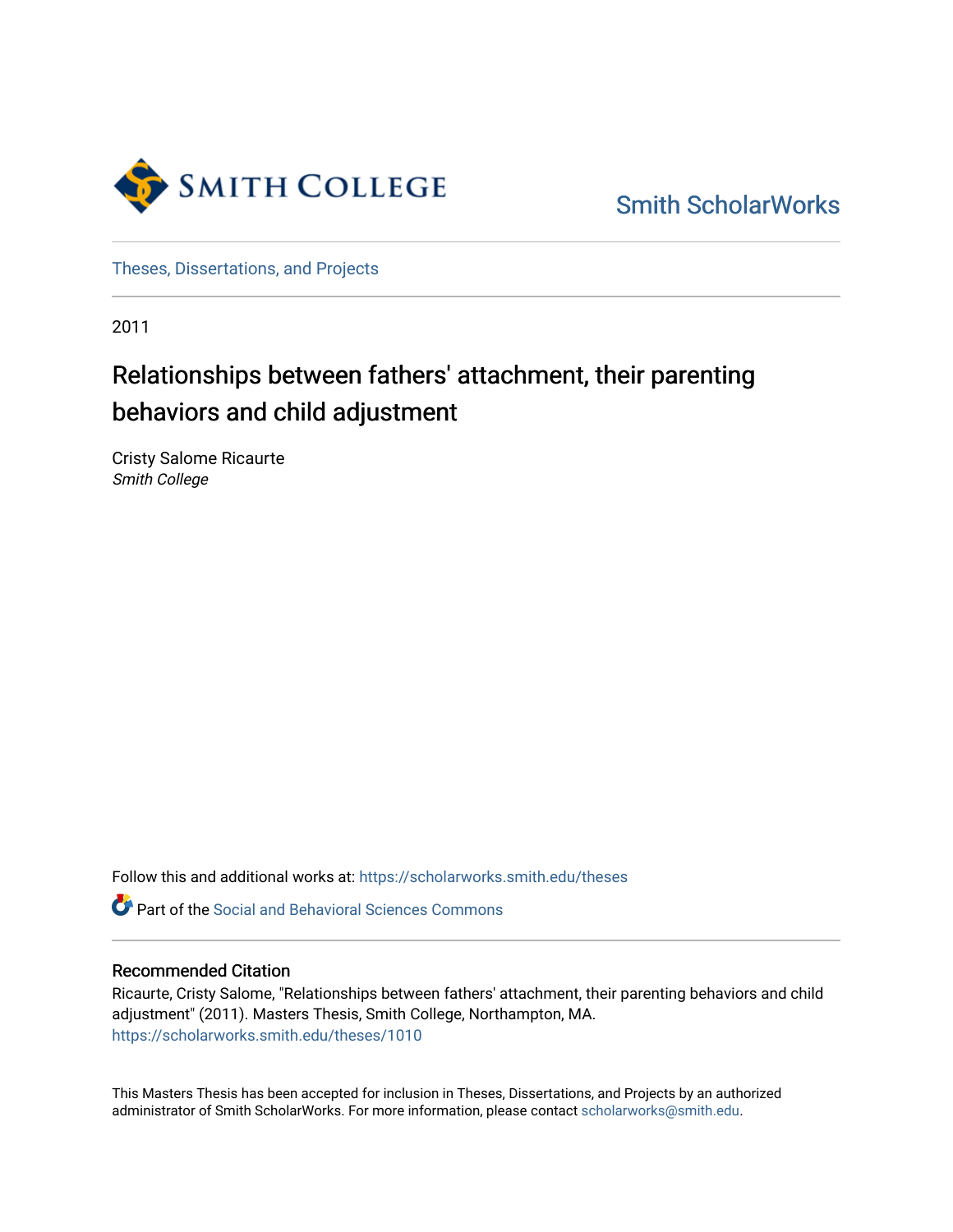

[Smith ScholarWorks](https://scholarworks.smith.edu/) 

[Theses, Dissertations, and Projects](https://scholarworks.smith.edu/theses) 

2011

# Relationships between fathers' attachment, their parenting behaviors and child adjustment

Cristy Salome Ricaurte Smith College

Follow this and additional works at: [https://scholarworks.smith.edu/theses](https://scholarworks.smith.edu/theses?utm_source=scholarworks.smith.edu%2Ftheses%2F1010&utm_medium=PDF&utm_campaign=PDFCoverPages) 

**C** Part of the Social and Behavioral Sciences Commons

## Recommended Citation

Ricaurte, Cristy Salome, "Relationships between fathers' attachment, their parenting behaviors and child adjustment" (2011). Masters Thesis, Smith College, Northampton, MA. [https://scholarworks.smith.edu/theses/1010](https://scholarworks.smith.edu/theses/1010?utm_source=scholarworks.smith.edu%2Ftheses%2F1010&utm_medium=PDF&utm_campaign=PDFCoverPages)

This Masters Thesis has been accepted for inclusion in Theses, Dissertations, and Projects by an authorized administrator of Smith ScholarWorks. For more information, please contact [scholarworks@smith.edu](mailto:scholarworks@smith.edu).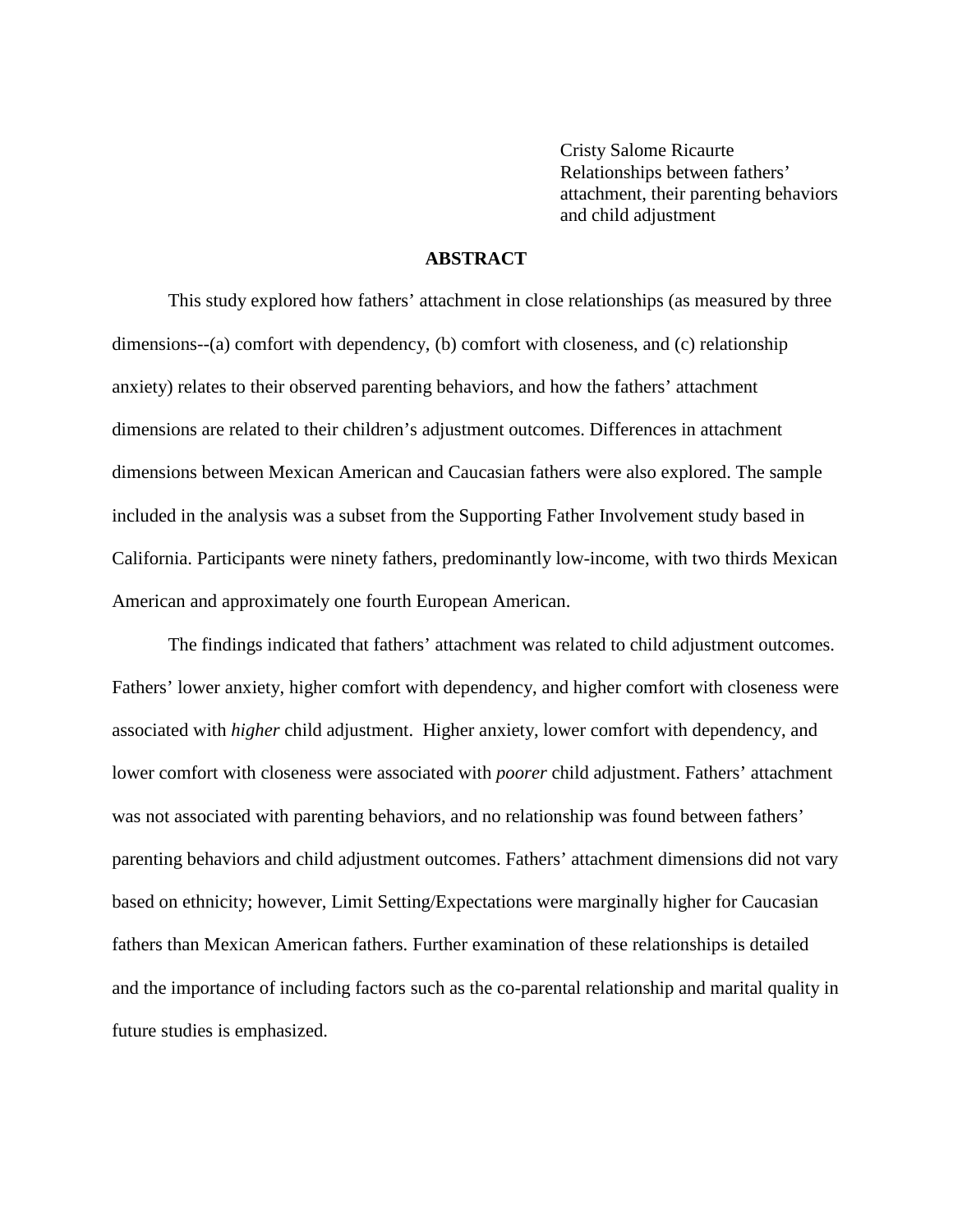Cristy Salome Ricaurte Relationships between fathers' attachment, their parenting behaviors and child adjustment

## **ABSTRACT**

This study explored how fathers' attachment in close relationships (as measured by three dimensions--(a) comfort with dependency, (b) comfort with closeness, and (c) relationship anxiety) relates to their observed parenting behaviors, and how the fathers' attachment dimensions are related to their children's adjustment outcomes. Differences in attachment dimensions between Mexican American and Caucasian fathers were also explored. The sample included in the analysis was a subset from the Supporting Father Involvement study based in California. Participants were ninety fathers, predominantly low-income, with two thirds Mexican American and approximately one fourth European American.

The findings indicated that fathers' attachment was related to child adjustment outcomes. Fathers' lower anxiety, higher comfort with dependency, and higher comfort with closeness were associated with *higher* child adjustment. Higher anxiety, lower comfort with dependency, and lower comfort with closeness were associated with *poorer* child adjustment. Fathers' attachment was not associated with parenting behaviors, and no relationship was found between fathers' parenting behaviors and child adjustment outcomes. Fathers' attachment dimensions did not vary based on ethnicity; however, Limit Setting/Expectations were marginally higher for Caucasian fathers than Mexican American fathers. Further examination of these relationships is detailed and the importance of including factors such as the co-parental relationship and marital quality in future studies is emphasized.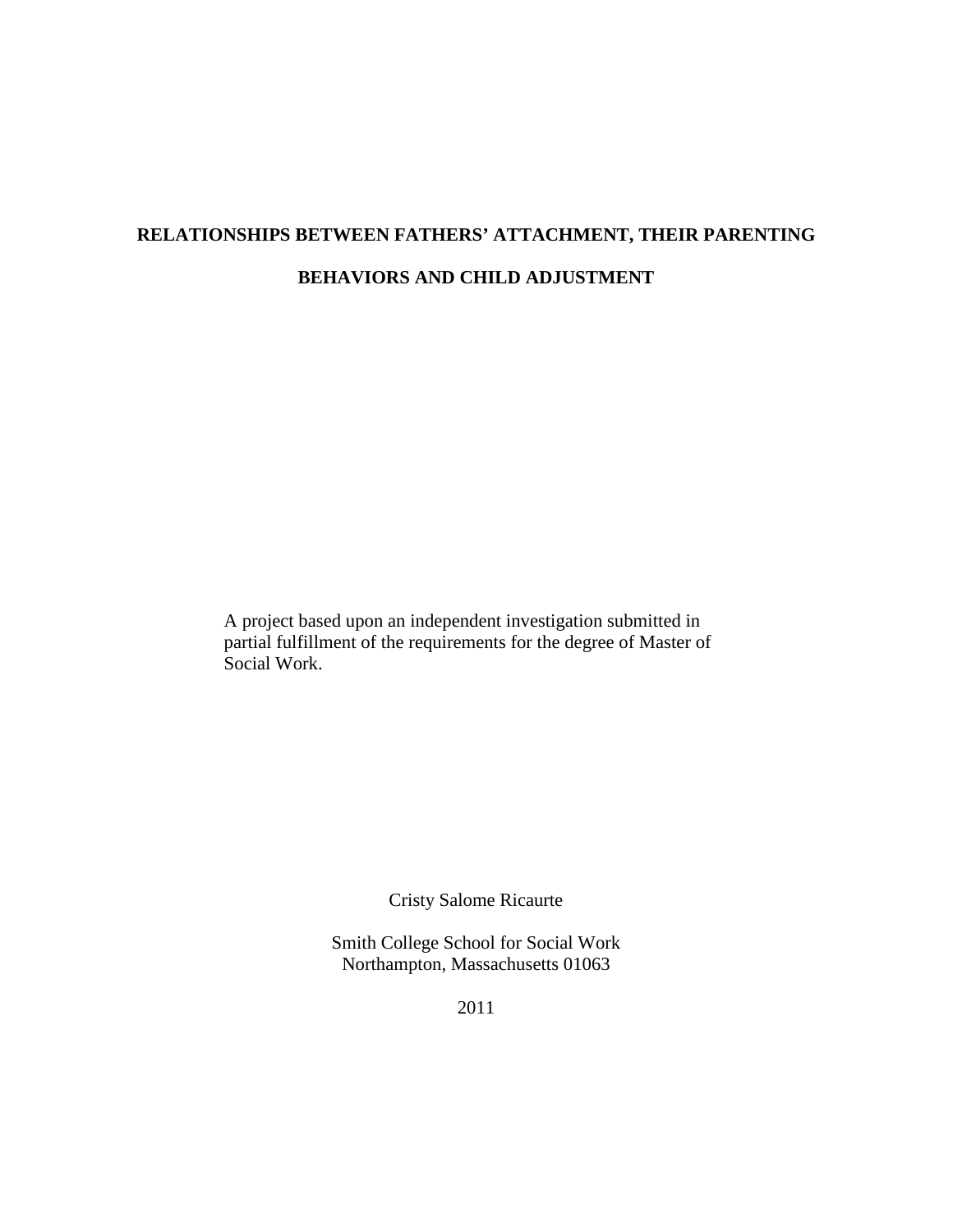# **RELATIONSHIPS BETWEEN FATHERS' ATTACHMENT, THEIR PARENTING BEHAVIORS AND CHILD ADJUSTMENT**

A project based upon an independent investigation submitted in partial fulfillment of the requirements for the degree of Master of Social Work.

Cristy Salome Ricaurte

Smith College School for Social Work Northampton, Massachusetts 01063

2011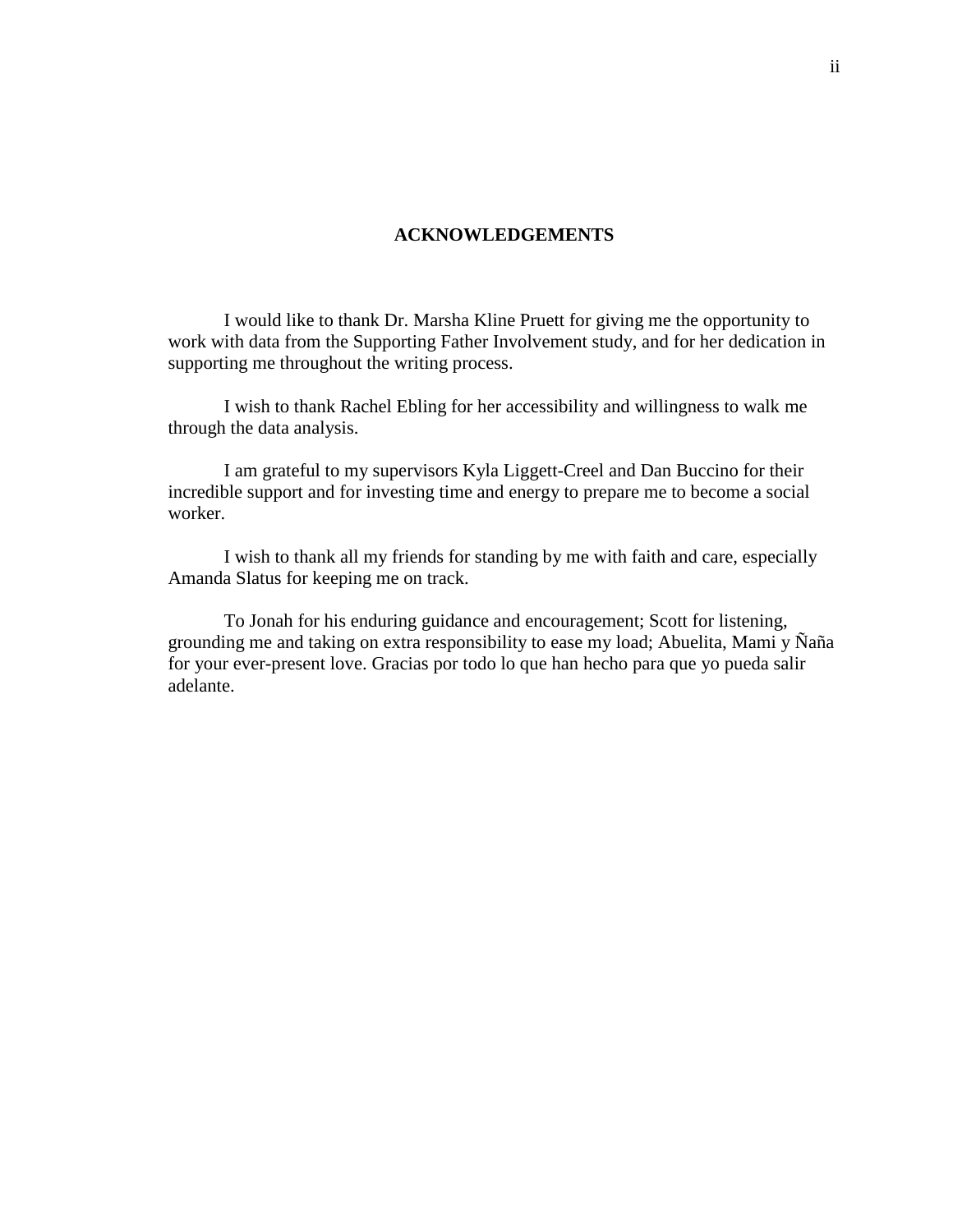#### **ACKNOWLEDGEMENTS**

I would like to thank Dr. Marsha Kline Pruett for giving me the opportunity to work with data from the Supporting Father Involvement study, and for her dedication in supporting me throughout the writing process.

I wish to thank Rachel Ebling for her accessibility and willingness to walk me through the data analysis.

I am grateful to my supervisors Kyla Liggett-Creel and Dan Buccino for their incredible support and for investing time and energy to prepare me to become a social worker.

I wish to thank all my friends for standing by me with faith and care, especially Amanda Slatus for keeping me on track.

To Jonah for his enduring guidance and encouragement; Scott for listening, grounding me and taking on extra responsibility to ease my load; Abuelita, Mami y  $\tilde{N}a\tilde{n}a$ for your ever-present love. Gracias por todo lo que han hecho para que yo pueda salir adelante.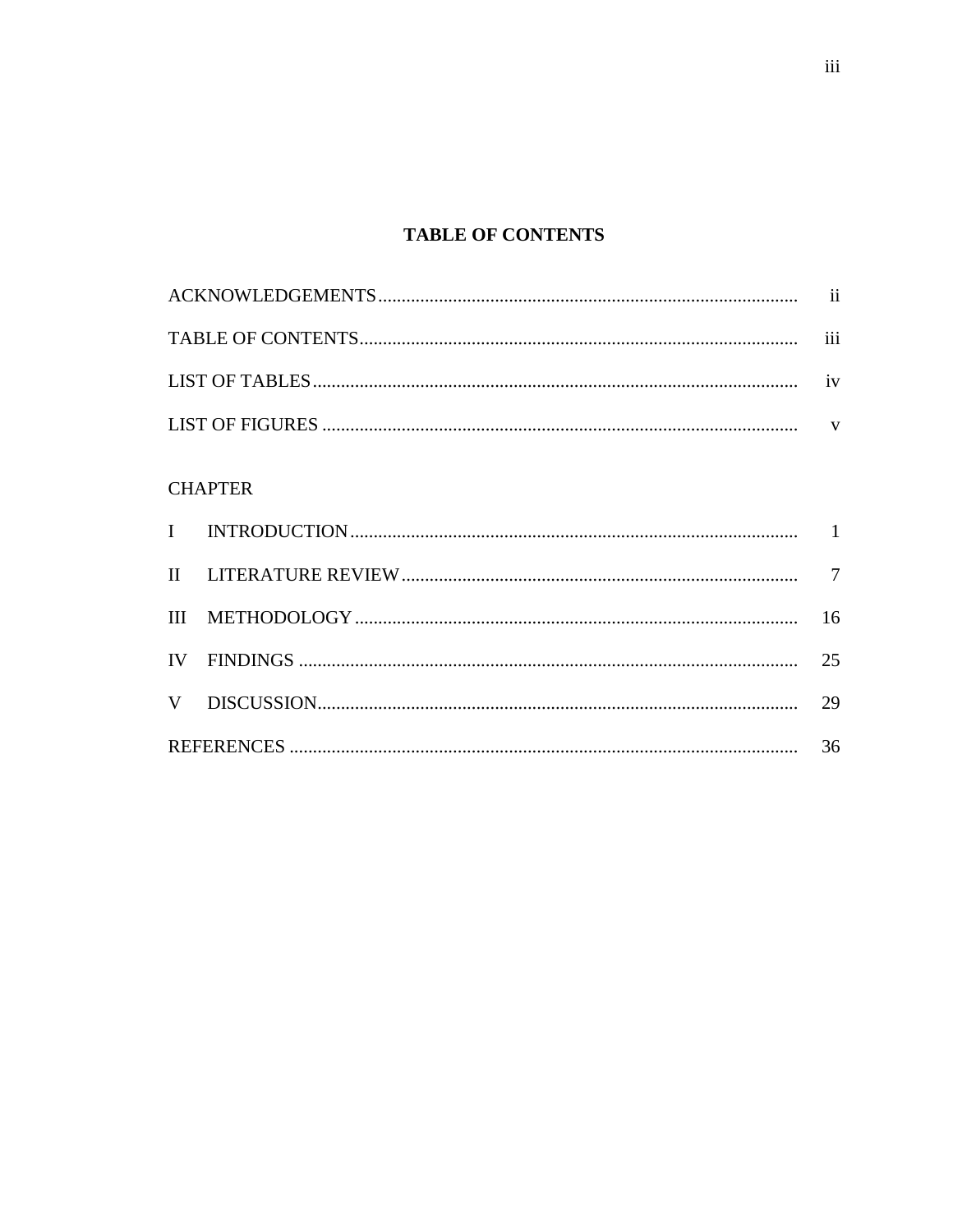# **TABLE OF CONTENTS**

| <b>CHAPTER</b> |  |    |  |  |
|----------------|--|----|--|--|
|                |  |    |  |  |
|                |  |    |  |  |
| Ш              |  | 16 |  |  |
| IV             |  | 25 |  |  |
| V              |  |    |  |  |
|                |  |    |  |  |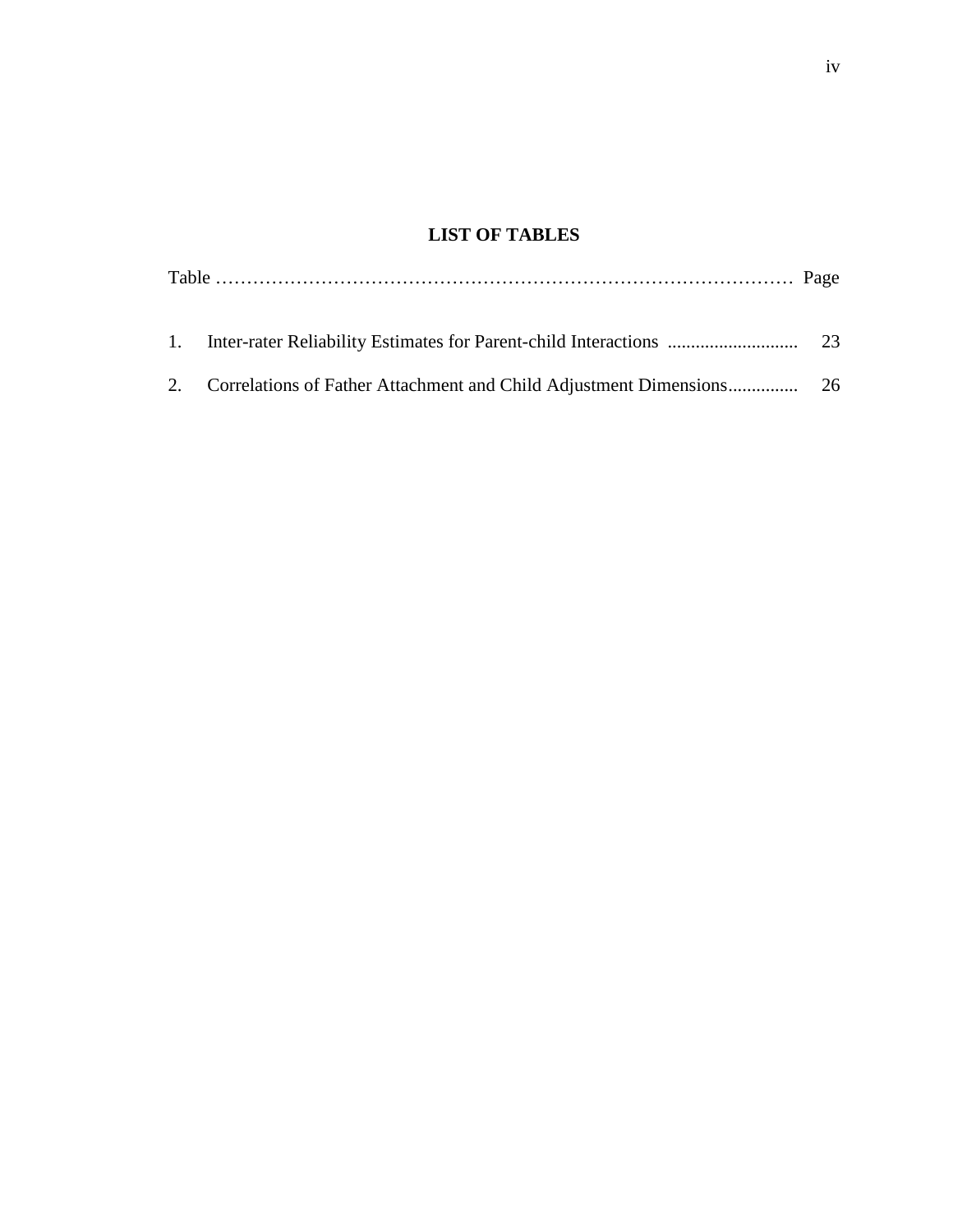# **LIST OF TABLES**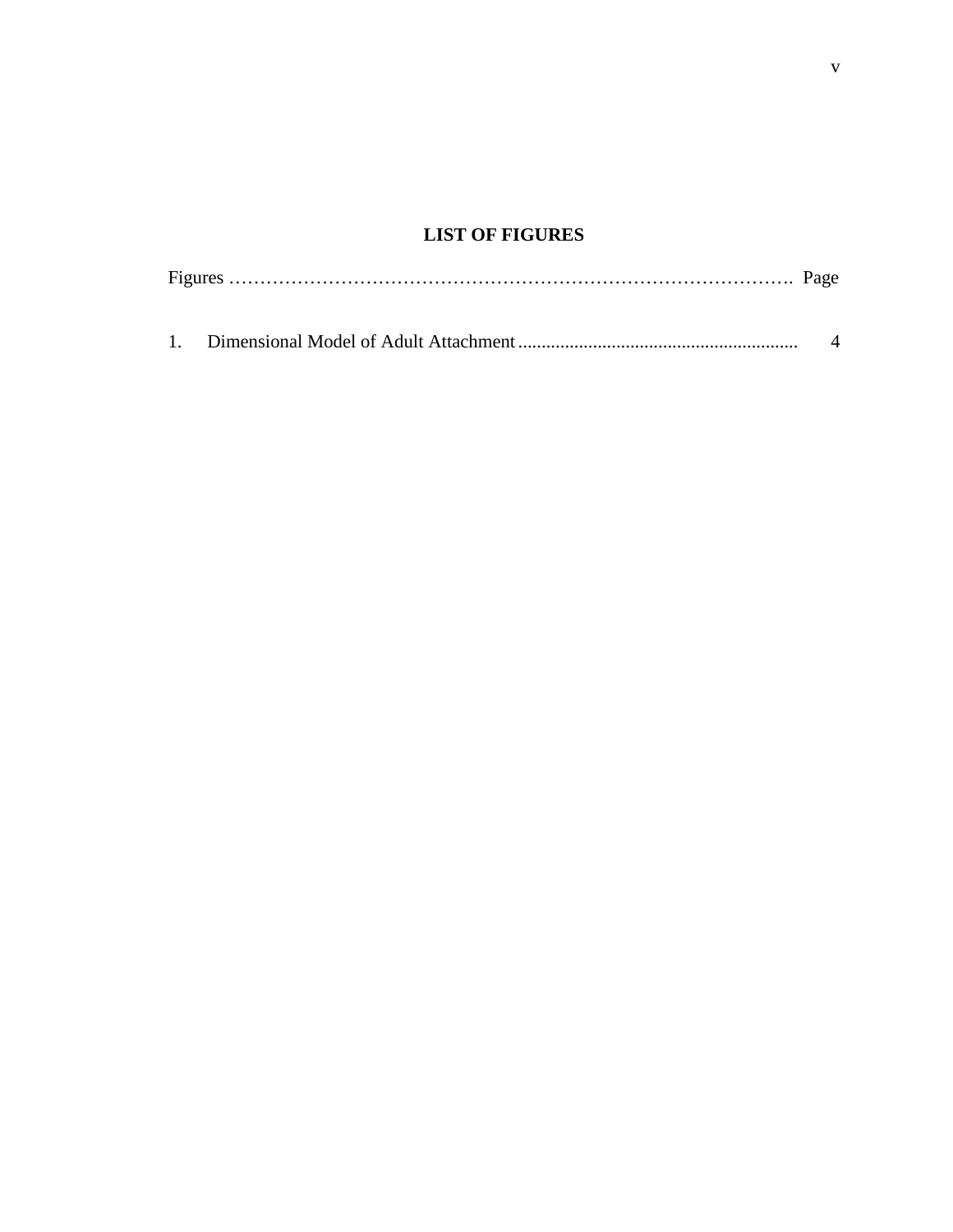# **LIST OF FIGURES**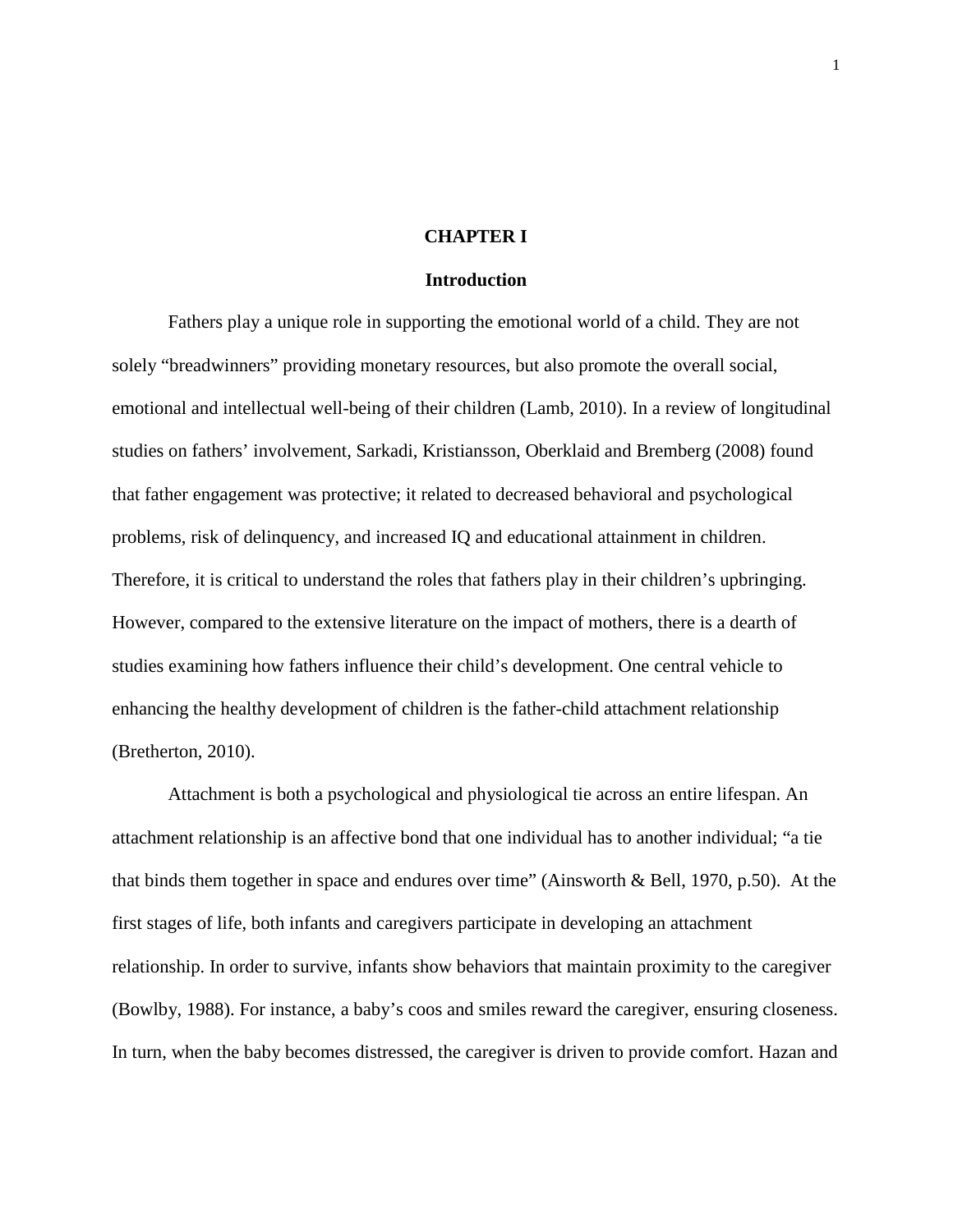#### **CHAPTER I**

#### **Introduction**

Fathers play a unique role in supporting the emotional world of a child. They are not solely "breadwinners" providing monetary resources, but also promote the overall social, emotional and intellectual well-being of their children (Lamb, 2010). In a review of longitudinal studies on fathers' involvement, Sarkadi, Kristiansson, Oberklaid and Bremberg (2008) found that father engagement was protective; it related to decreased behavioral and psychological problems, risk of delinquency, and increased IQ and educational attainment in children. Therefore, it is critical to understand the roles that fathers play in their children's upbringing. However, compared to the extensive literature on the impact of mothers, there is a dearth of studies examining how fathers influence their child's development. One central vehicle to enhancing the healthy development of children is the father-child attachment relationship (Bretherton, 2010).

Attachment is both a psychological and physiological tie across an entire lifespan. An attachment relationship is an affective bond that one individual has to another individual; "a tie that binds them together in space and endures over time" (Ainsworth & Bell, 1970, p.50). At the first stages of life, both infants and caregivers participate in developing an attachment relationship. In order to survive, infants show behaviors that maintain proximity to the caregiver (Bowlby, 1988). For instance, a baby's coos and smiles reward the caregiver, ensuring closeness. In turn, when the baby becomes distressed, the caregiver is driven to provide comfort. Hazan and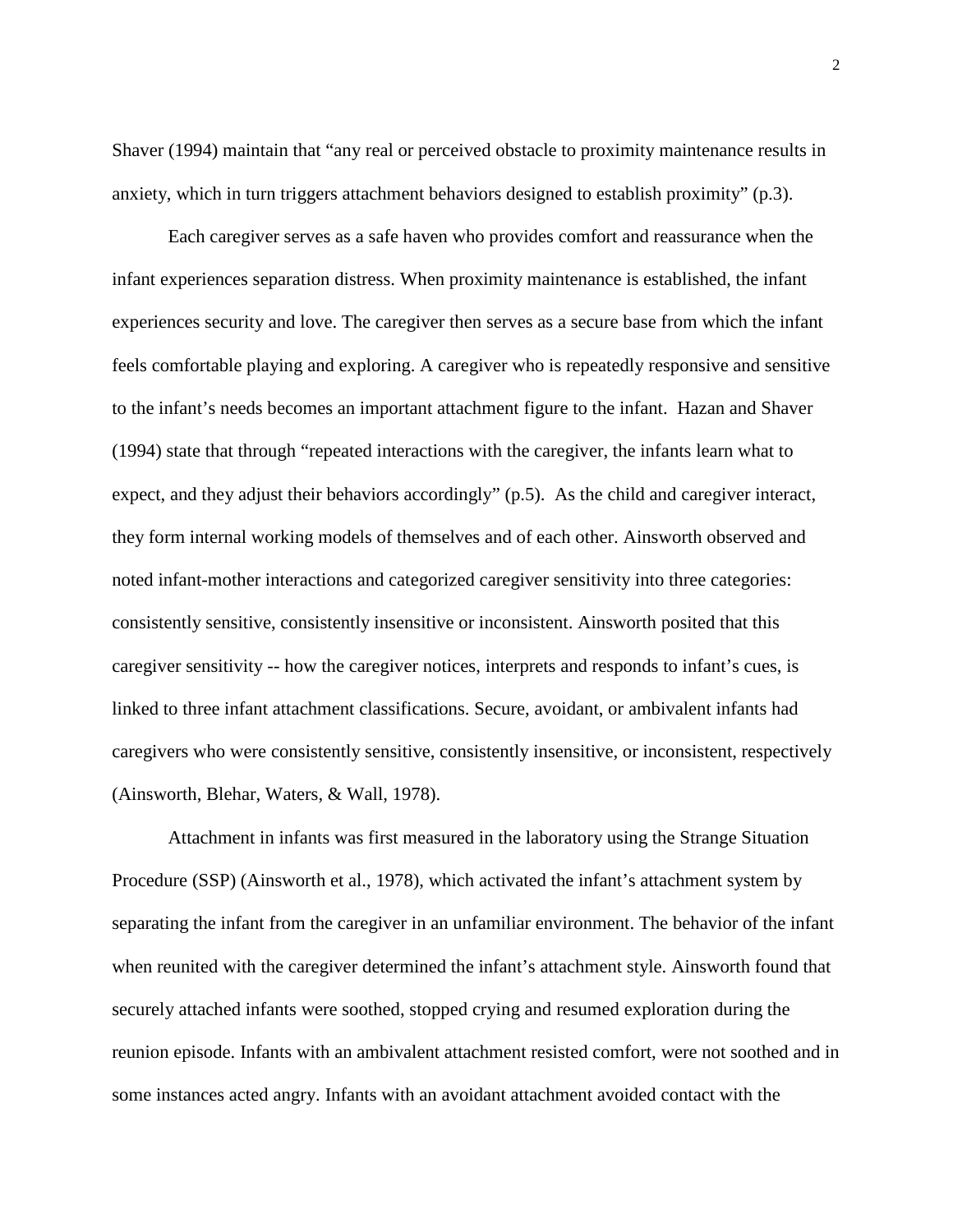Shaver (1994) maintain that "any real or perceived obstacle to proximity maintenance results in anxiety, which in turn triggers attachment behaviors designed to establish proximity" (p.3).

Each caregiver serves as a safe haven who provides comfort and reassurance when the infant experiences separation distress. When proximity maintenance is established, the infant experiences security and love. The caregiver then serves as a secure base from which the infant feels comfortable playing and exploring. A caregiver who is repeatedly responsive and sensitive to the infant's needs becomes an important attachment figure to the infant. Hazan and Shaver (1994) state that through "repeated interactions with the caregiver, the infants learn what to expect, and they adjust their behaviors accordingly" (p.5). As the child and caregiver interact, they form internal working models of themselves and of each other. Ainsworth observed and noted infant-mother interactions and categorized caregiver sensitivity into three categories: consistently sensitive, consistently insensitive or inconsistent. Ainsworth posited that this caregiver sensitivity -- how the caregiver notices, interprets and responds to infant's cues, is linked to three infant attachment classifications. Secure, avoidant, or ambivalent infants had caregivers who were consistently sensitive, consistently insensitive, or inconsistent, respectively (Ainsworth, Blehar, Waters, & Wall, 1978).

Attachment in infants was first measured in the laboratory using the Strange Situation Procedure (SSP) (Ainsworth et al., 1978), which activated the infant's attachment system by separating the infant from the caregiver in an unfamiliar environment. The behavior of the infant when reunited with the caregiver determined the infant's attachment style. Ainsworth found that securely attached infants were soothed, stopped crying and resumed exploration during the reunion episode. Infants with an ambivalent attachment resisted comfort, were not soothed and in some instances acted angry. Infants with an avoidant attachment avoided contact with the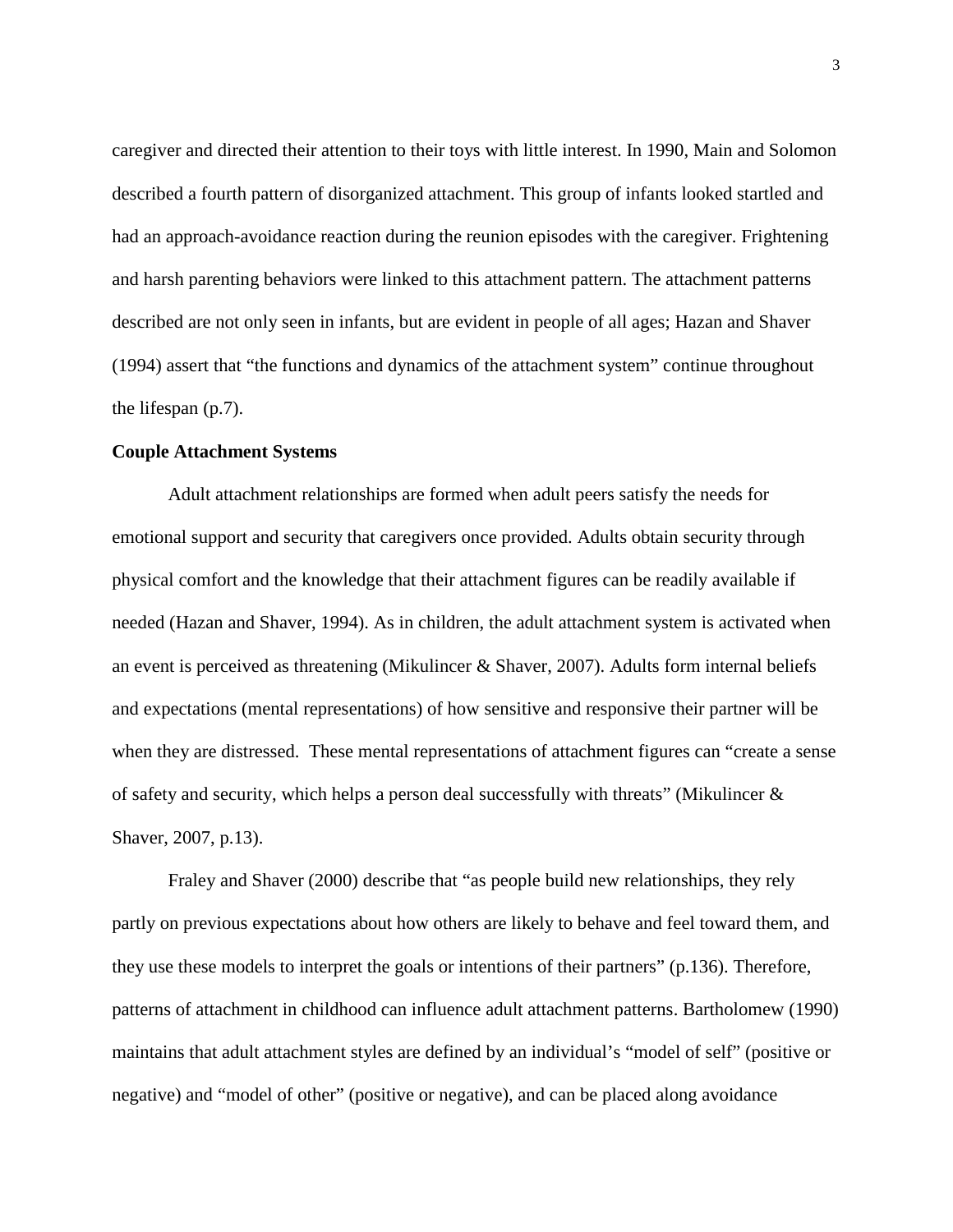caregiver and directed their attention to their toys with little interest. In 1990, Main and Solomon described a fourth pattern of disorganized attachment. This group of infants looked startled and had an approach-avoidance reaction during the reunion episodes with the caregiver. Frightening and harsh parenting behaviors were linked to this attachment pattern. The attachment patterns described are not only seen in infants, but are evident in people of all ages; Hazan and Shaver (1994) assert that "the functions and dynamics of the attachment system" continue throughout the lifespan (p.7).

#### **Couple Attachment Systems**

Adult attachment relationships are formed when adult peers satisfy the needs for emotional support and security that caregivers once provided. Adults obtain security through physical comfort and the knowledge that their attachment figures can be readily available if needed (Hazan and Shaver, 1994). As in children, the adult attachment system is activated when an event is perceived as threatening (Mikulincer & Shaver, 2007). Adults form internal beliefs and expectations (mental representations) of how sensitive and responsive their partner will be when they are distressed. These mental representations of attachment figures can "create a sense of safety and security, which helps a person deal successfully with threats" (Mikulincer & Shaver, 2007, p.13).

Fraley and Shaver (2000) describe that "as people build new relationships, they rely partly on previous expectations about how others are likely to behave and feel toward them, and they use these models to interpret the goals or intentions of their partners" (p.136). Therefore, patterns of attachment in childhood can influence adult attachment patterns. Bartholomew (1990) maintains that adult attachment styles are defined by an individual's "model of self" (positive or negative) and "model of other" (positive or negative), and can be placed along avoidance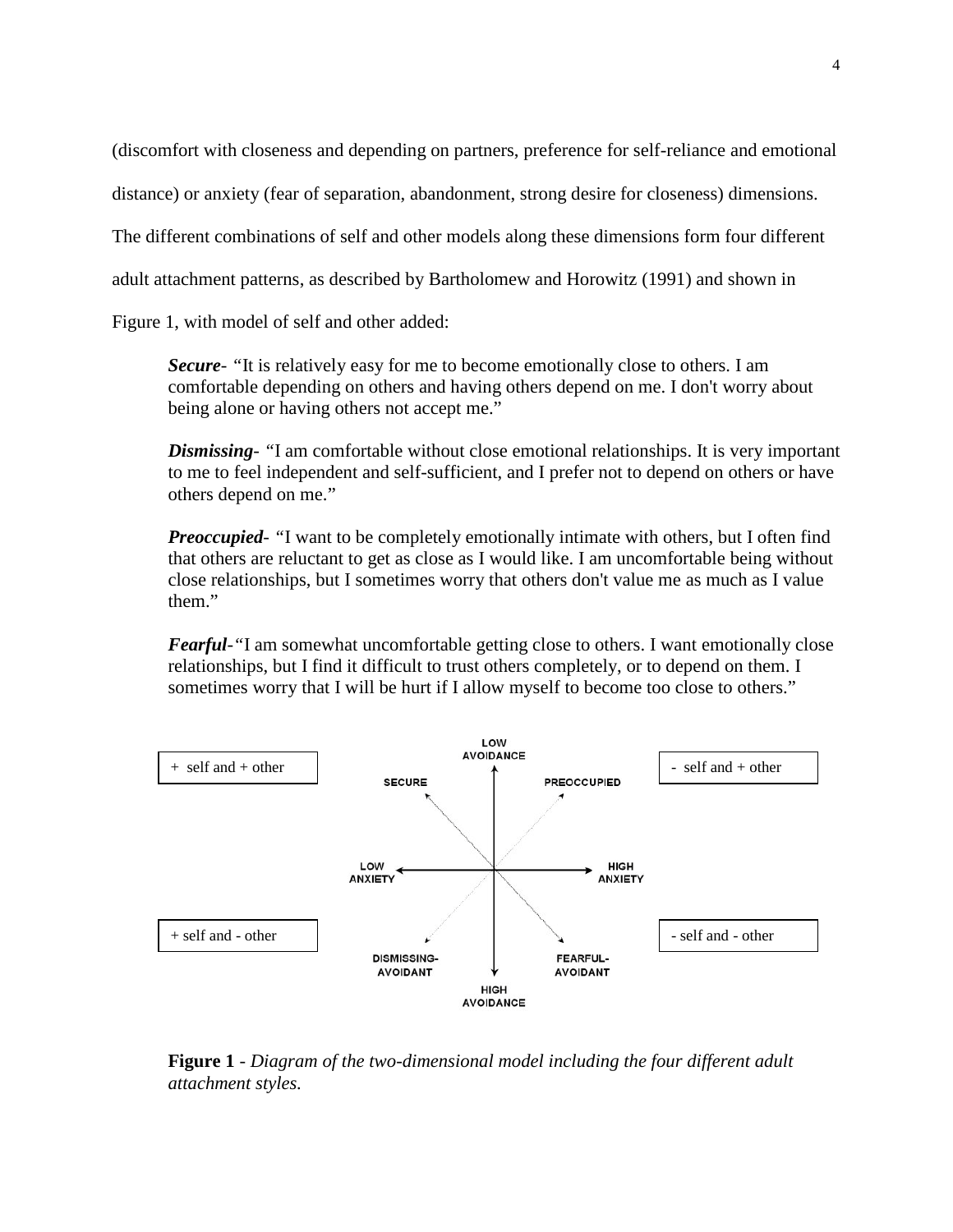(discomfort with closeness and depending on partners, preference for self-reliance and emotional

distance) or anxiety (fear of separation, abandonment, strong desire for closeness) dimensions.

The different combinations of self and other models along these dimensions form four different

adult attachment patterns, as described by Bartholomew and Horowitz (1991) and shown in

Figure 1, with model of self and other added:

*Secure- "*It is relatively easy for me to become emotionally close to others. I am comfortable depending on others and having others depend on me. I don't worry about being alone or having others not accept me."

*Dismissing- "*I am comfortable without close emotional relationships. It is very important to me to feel independent and self-sufficient, and I prefer not to depend on others or have others depend on me."

*Preoccupied- "*I want to be completely emotionally intimate with others, but I often find that others are reluctant to get as close as I would like. I am uncomfortable being without close relationships, but I sometimes worry that others don't value me as much as I value them."

*Fearful-"*I am somewhat uncomfortable getting close to others. I want emotionally close relationships, but I find it difficult to trust others completely, or to depend on them. I sometimes worry that I will be hurt if I allow myself to become too close to others."



**Figure 1** - *Diagram of the two-dimensional model including the four different adult attachment styles.*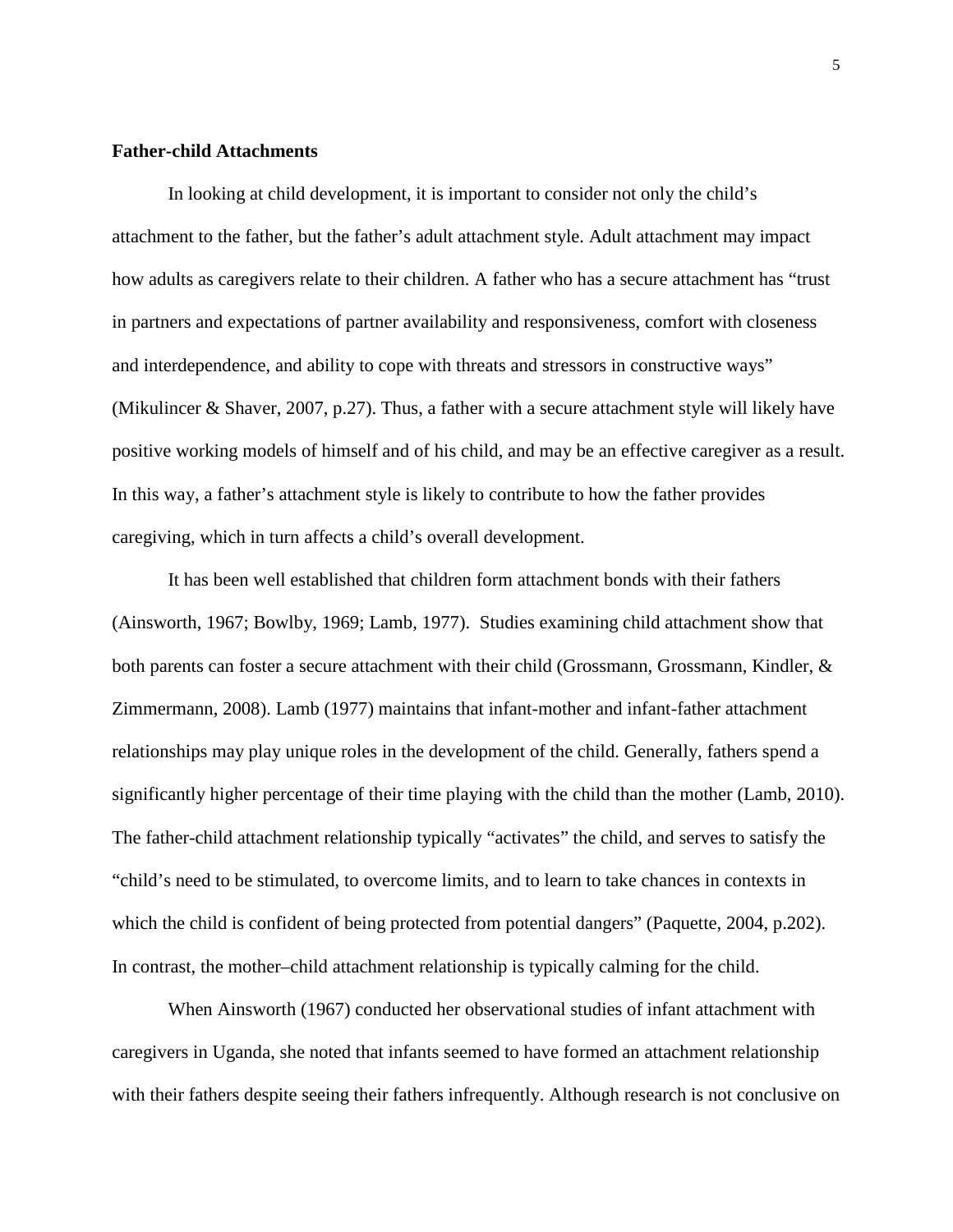#### **Father-child Attachments**

In looking at child development, it is important to consider not only the child's attachment to the father, but the father's adult attachment style. Adult attachment may impact how adults as caregivers relate to their children. A father who has a secure attachment has "trust in partners and expectations of partner availability and responsiveness, comfort with closeness and interdependence, and ability to cope with threats and stressors in constructive ways" (Mikulincer & Shaver, 2007, p.27). Thus, a father with a secure attachment style will likely have positive working models of himself and of his child, and may be an effective caregiver as a result. In this way, a father's attachment style is likely to contribute to how the father provides caregiving, which in turn affects a child's overall development.

It has been well established that children form attachment bonds with their fathers (Ainsworth, 1967; Bowlby, 1969; Lamb, 1977). Studies examining child attachment show that both parents can foster a secure attachment with their child (Grossmann, Grossmann, Kindler, & Zimmermann, 2008). Lamb (1977) maintains that infant-mother and infant-father attachment relationships may play unique roles in the development of the child. Generally, fathers spend a significantly higher percentage of their time playing with the child than the mother (Lamb, 2010). The father-child attachment relationship typically "activates" the child, and serves to satisfy the "child's need to be stimulated, to overcome limits, and to learn to take chances in contexts in which the child is confident of being protected from potential dangers" (Paquette, 2004, p.202). In contrast, the mother–child attachment relationship is typically calming for the child.

When Ainsworth (1967) conducted her observational studies of infant attachment with caregivers in Uganda, she noted that infants seemed to have formed an attachment relationship with their fathers despite seeing their fathers infrequently. Although research is not conclusive on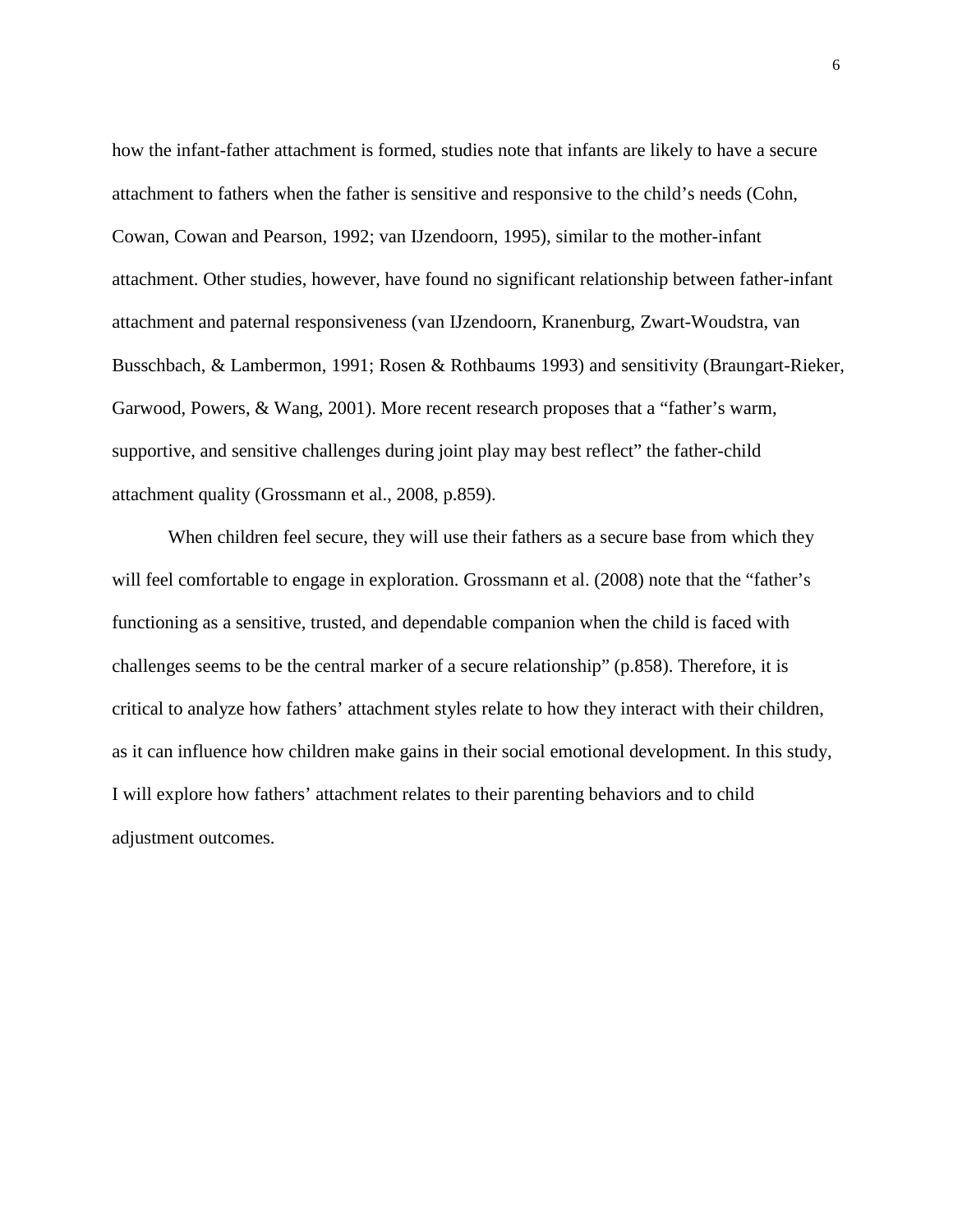how the infant-father attachment is formed, studies note that infants are likely to have a secure attachment to fathers when the father is sensitive and responsive to the child's needs (Cohn, Cowan, Cowan and Pearson, 1992; van IJzendoorn, 1995), similar to the mother-infant attachment. Other studies, however, have found no significant relationship between father-infant attachment and paternal responsiveness (van IJzendoorn, Kranenburg, Zwart-Woudstra, van Busschbach, & Lambermon, 1991; Rosen & Rothbaums 1993) and sensitivity (Braungart-Rieker, Garwood, Powers, & Wang, 2001). More recent research proposes that a "father's warm, supportive, and sensitive challenges during joint play may best reflect" the father-child attachment quality (Grossmann et al., 2008, p.859).

When children feel secure, they will use their fathers as a secure base from which they will feel comfortable to engage in exploration. Grossmann et al. (2008) note that the "father's functioning as a sensitive, trusted, and dependable companion when the child is faced with challenges seems to be the central marker of a secure relationship" (p.858). Therefore, it is critical to analyze how fathers' attachment styles relate to how they interact with their children, as it can influence how children make gains in their social emotional development. In this study, I will explore how fathers' attachment relates to their parenting behaviors and to child adjustment outcomes.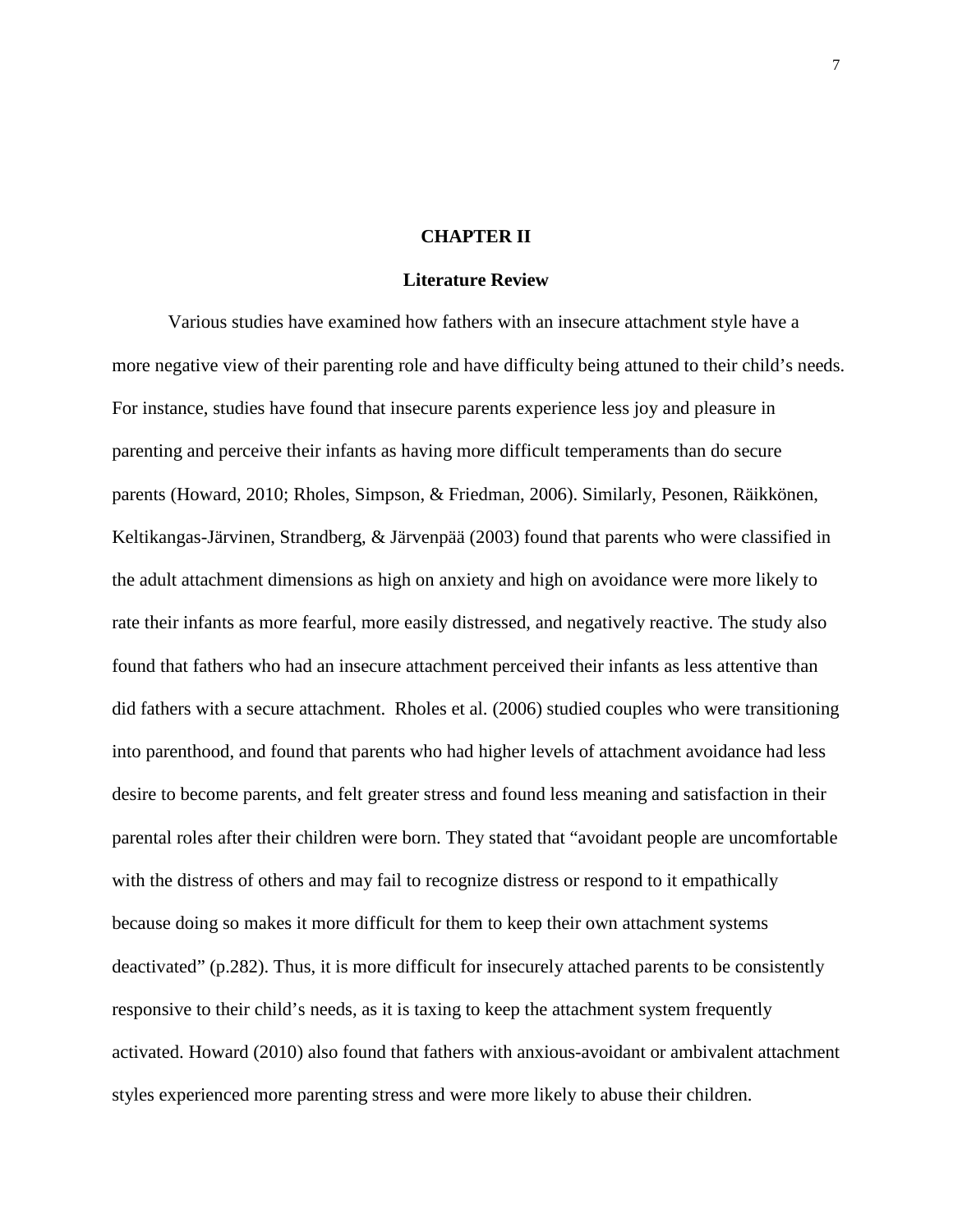#### **CHAPTER II**

#### **Literature Review**

Various studies have examined how fathers with an insecure attachment style have a more negative view of their parenting role and have difficulty being attuned to their child's needs. For instance, studies have found that insecure parents experience less joy and pleasure in parenting and perceive their infants as having more difficult temperaments than do secure parents (Howard, 2010; Rholes, Simpson, & Friedman, 2006). Similarly, Pesonen, Räikkönen, Keltikangas-Järvinen, Strandberg, & Järvenpää (2003) found that parents who were classified in the adult attachment dimensions as high on anxiety and high on avoidance were more likely to rate their infants as more fearful, more easily distressed, and negatively reactive. The study also found that fathers who had an insecure attachment perceived their infants as less attentive than did fathers with a secure attachment. Rholes et al. (2006) studied couples who were transitioning into parenthood, and found that parents who had higher levels of attachment avoidance had less desire to become parents, and felt greater stress and found less meaning and satisfaction in their parental roles after their children were born. They stated that "avoidant people are uncomfortable with the distress of others and may fail to recognize distress or respond to it empathically because doing so makes it more difficult for them to keep their own attachment systems deactivated" (p.282). Thus, it is more difficult for insecurely attached parents to be consistently responsive to their child's needs, as it is taxing to keep the attachment system frequently activated. Howard (2010) also found that fathers with anxious-avoidant or ambivalent attachment styles experienced more parenting stress and were more likely to abuse their children.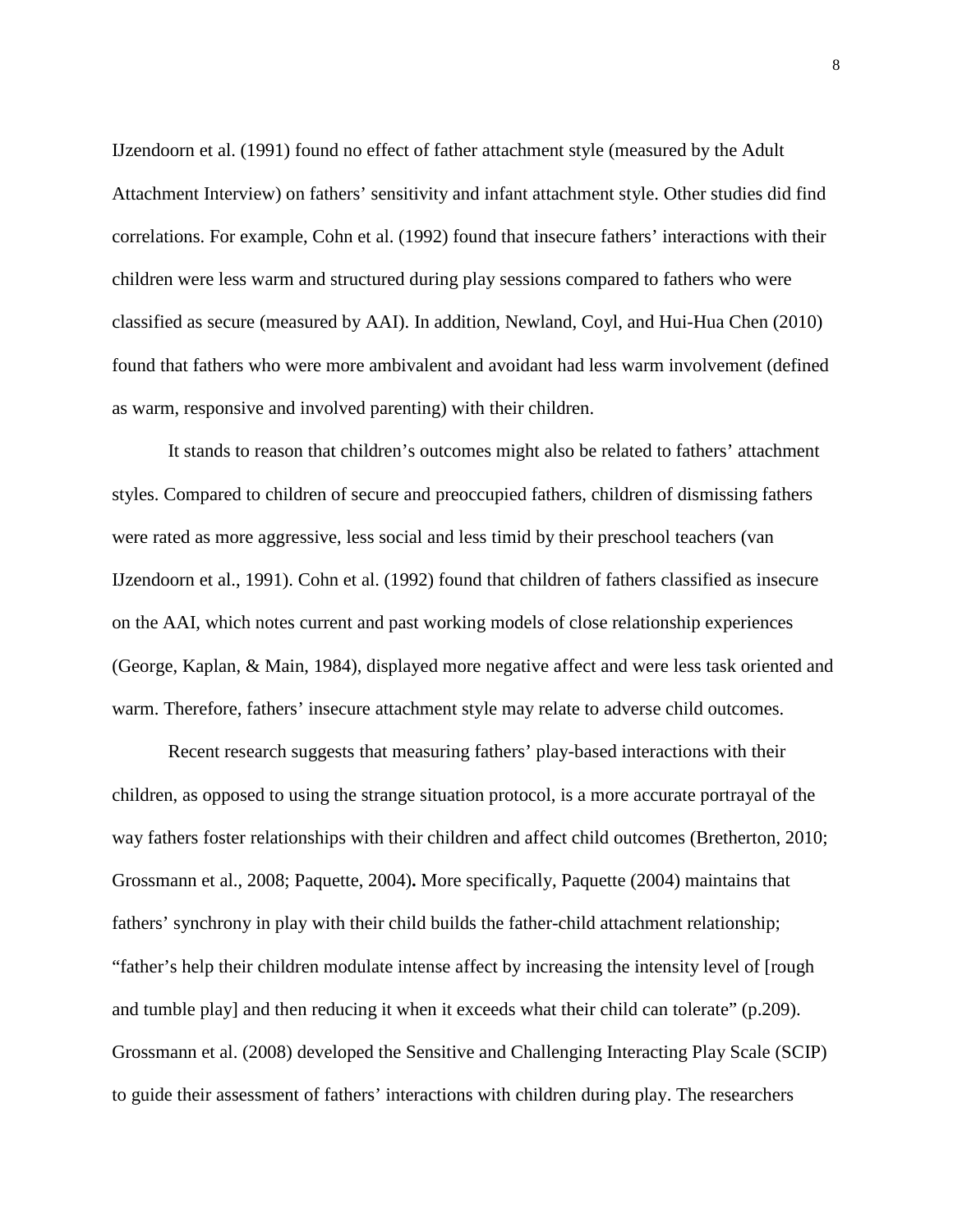IJzendoorn et al. (1991) found no effect of father attachment style (measured by the Adult Attachment Interview) on fathers' sensitivity and infant attachment style. Other studies did find correlations. For example, Cohn et al. (1992) found that insecure fathers' interactions with their children were less warm and structured during play sessions compared to fathers who were classified as secure (measured by AAI). In addition, Newland, Coyl, and Hui-Hua Chen (2010) found that fathers who were more ambivalent and avoidant had less warm involvement (defined as warm, responsive and involved parenting) with their children.

It stands to reason that children's outcomes might also be related to fathers' attachment styles. Compared to children of secure and preoccupied fathers, children of dismissing fathers were rated as more aggressive, less social and less timid by their preschool teachers (van IJzendoorn et al., 1991). Cohn et al. (1992) found that children of fathers classified as insecure on the AAI, which notes current and past working models of close relationship experiences (George, Kaplan, & Main, 1984), displayed more negative affect and were less task oriented and warm. Therefore, fathers' insecure attachment style may relate to adverse child outcomes.

Recent research suggests that measuring fathers' play-based interactions with their children, as opposed to using the strange situation protocol, is a more accurate portrayal of the way fathers foster relationships with their children and affect child outcomes (Bretherton, 2010; Grossmann et al., 2008; Paquette, 2004)**.** More specifically, Paquette (2004) maintains that fathers' synchrony in play with their child builds the father-child attachment relationship; "father's help their children modulate intense affect by increasing the intensity level of [rough and tumble play] and then reducing it when it exceeds what their child can tolerate" (p.209). Grossmann et al. (2008) developed the Sensitive and Challenging Interacting Play Scale (SCIP) to guide their assessment of fathers' interactions with children during play. The researchers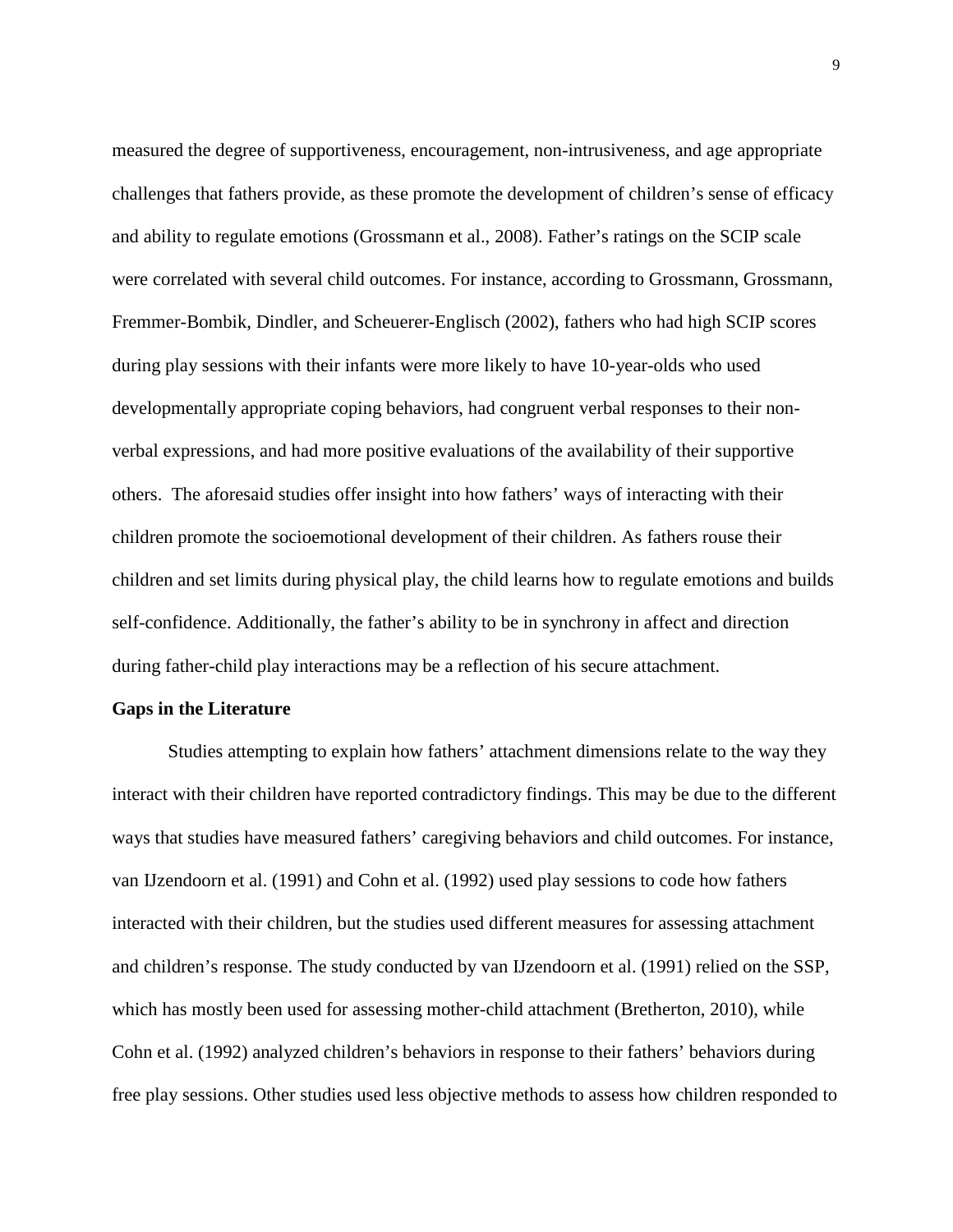measured the degree of supportiveness, encouragement, non-intrusiveness, and age appropriate challenges that fathers provide, as these promote the development of children's sense of efficacy and ability to regulate emotions (Grossmann et al., 2008). Father's ratings on the SCIP scale were correlated with several child outcomes. For instance, according to Grossmann, Grossmann, Fremmer-Bombik, Dindler, and Scheuerer-Englisch (2002), fathers who had high SCIP scores during play sessions with their infants were more likely to have 10-year-olds who used developmentally appropriate coping behaviors, had congruent verbal responses to their nonverbal expressions, and had more positive evaluations of the availability of their supportive others. The aforesaid studies offer insight into how fathers' ways of interacting with their children promote the socioemotional development of their children. As fathers rouse their children and set limits during physical play, the child learns how to regulate emotions and builds self-confidence. Additionally, the father's ability to be in synchrony in affect and direction during father-child play interactions may be a reflection of his secure attachment.

### **Gaps in the Literature**

Studies attempting to explain how fathers' attachment dimensions relate to the way they interact with their children have reported contradictory findings. This may be due to the different ways that studies have measured fathers' caregiving behaviors and child outcomes. For instance, van IJzendoorn et al. (1991) and Cohn et al. (1992) used play sessions to code how fathers interacted with their children, but the studies used different measures for assessing attachment and children's response. The study conducted by van IJzendoorn et al. (1991) relied on the SSP, which has mostly been used for assessing mother-child attachment (Bretherton, 2010), while Cohn et al. (1992) analyzed children's behaviors in response to their fathers' behaviors during free play sessions. Other studies used less objective methods to assess how children responded to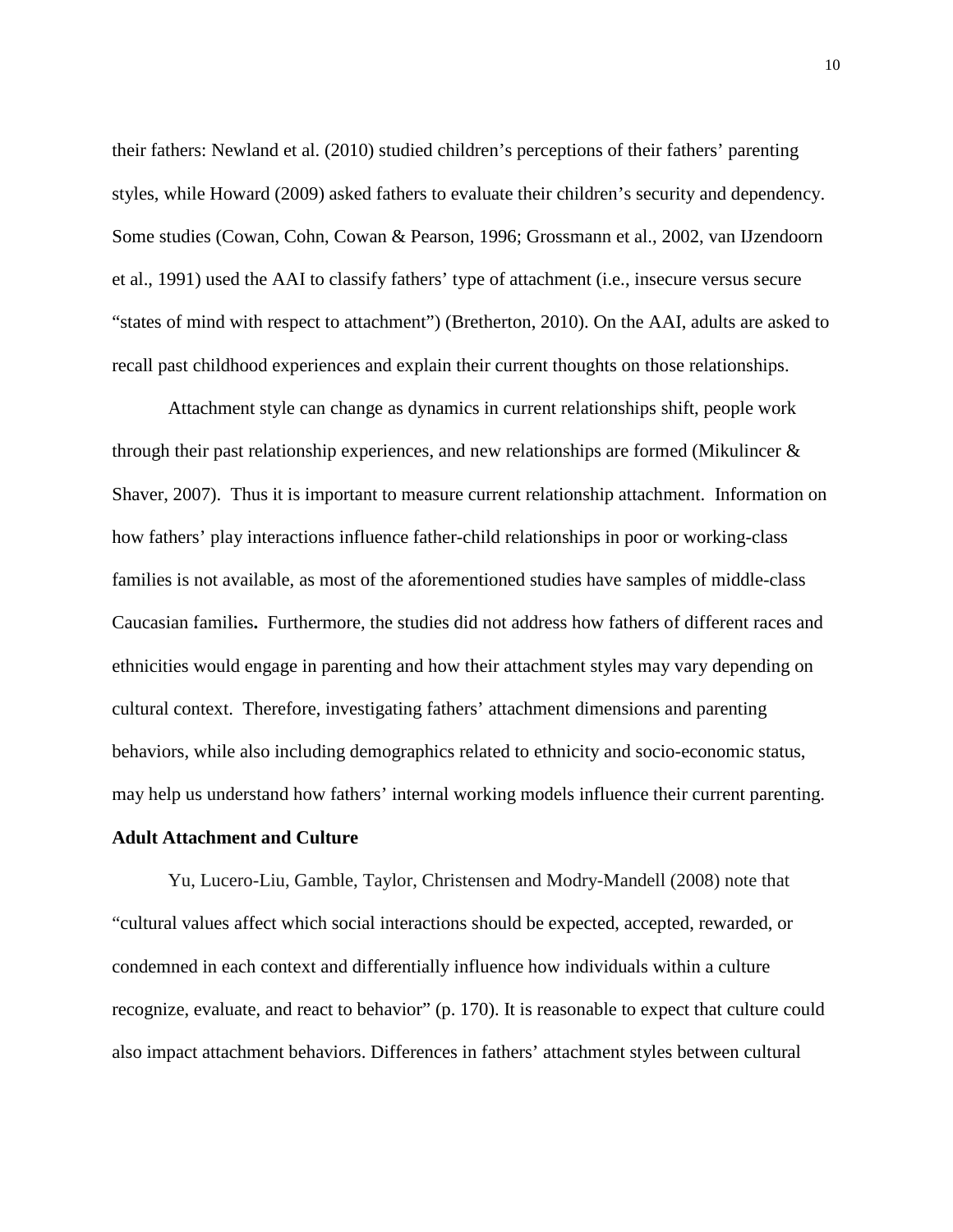their fathers: Newland et al. (2010) studied children's perceptions of their fathers' parenting styles, while Howard (2009) asked fathers to evaluate their children's security and dependency. Some studies (Cowan, Cohn, Cowan & Pearson, 1996; Grossmann et al., 2002, van IJzendoorn et al., 1991) used the AAI to classify fathers' type of attachment (i.e., insecure versus secure "states of mind with respect to attachment") (Bretherton, 2010). On the AAI, adults are asked to recall past childhood experiences and explain their current thoughts on those relationships.

Attachment style can change as dynamics in current relationships shift, people work through their past relationship experiences, and new relationships are formed (Mikulincer & Shaver, 2007). Thus it is important to measure current relationship attachment. Information on how fathers' play interactions influence father-child relationships in poor or working-class families is not available, as most of the aforementioned studies have samples of middle-class Caucasian families**.** Furthermore, the studies did not address how fathers of different races and ethnicities would engage in parenting and how their attachment styles may vary depending on cultural context. Therefore, investigating fathers' attachment dimensions and parenting behaviors, while also including demographics related to ethnicity and socio-economic status, may help us understand how fathers' internal working models influence their current parenting.

#### **Adult Attachment and Culture**

Yu, Lucero-Liu, Gamble, Taylor, Christensen and Modry-Mandell (2008) note that "cultural values affect which social interactions should be expected, accepted, rewarded, or condemned in each context and differentially influence how individuals within a culture recognize, evaluate, and react to behavior" (p. 170). It is reasonable to expect that culture could also impact attachment behaviors. Differences in fathers' attachment styles between cultural

10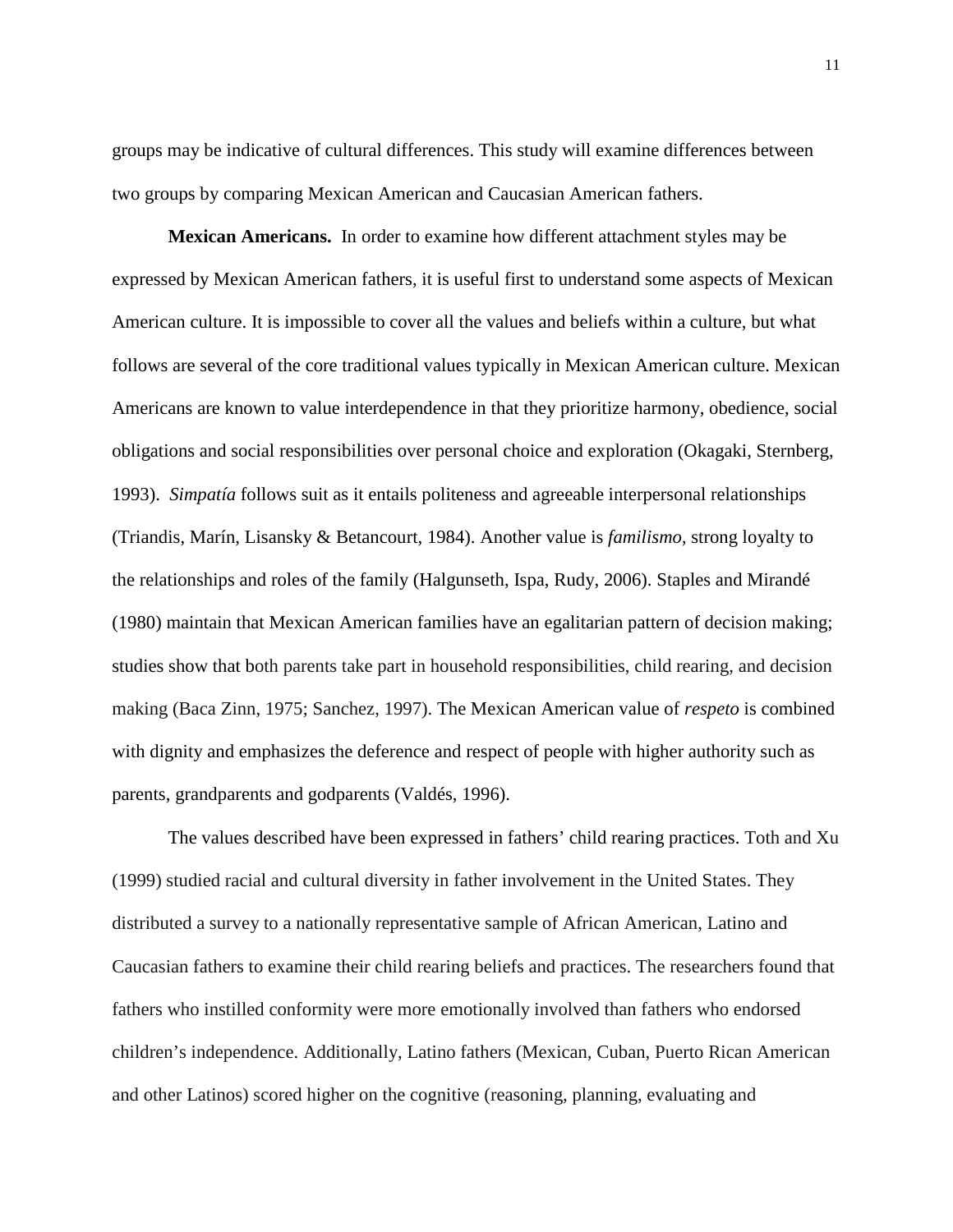groups may be indicative of cultural differences. This study will examine differences between two groups by comparing Mexican American and Caucasian American fathers.

**Mexican Americans.** In order to examine how different attachment styles may be expressed by Mexican American fathers, it is useful first to understand some aspects of Mexican American culture. It is impossible to cover all the values and beliefs within a culture, but what follows are several of the core traditional values typically in Mexican American culture. Mexican Americans are known to value interdependence in that they prioritize harmony, obedience, social obligations and social responsibilities over personal choice and exploration (Okagaki, Sternberg, 1993). *Simpatía* follows suit as it entails politeness and agreeable interpersonal relationships (Triandis, Marín, Lisansky & Betancourt, 1984). Another value is *familismo*, strong loyalty to the relationships and roles of the family (Halgunseth, Ispa, Rudy, 2006). Staples and Mirandé (1980) maintain that Mexican American families have an egalitarian pattern of decision making; studies show that both parents take part in household responsibilities, child rearing, and decision making (Baca Zinn, 1975; Sanchez, 1997). The Mexican American value of *respeto* is combined with dignity and emphasizes the deference and respect of people with higher authority such as parents, grandparents and godparents (Valdés, 1996).

The values described have been expressed in fathers' child rearing practices. Toth and Xu (1999) studied racial and cultural diversity in father involvement in the United States. They distributed a survey to a nationally representative sample of African American, Latino and Caucasian fathers to examine their child rearing beliefs and practices. The researchers found that fathers who instilled conformity were more emotionally involved than fathers who endorsed children's independence. Additionally, Latino fathers (Mexican, Cuban, Puerto Rican American and other Latinos) scored higher on the cognitive (reasoning, planning, evaluating and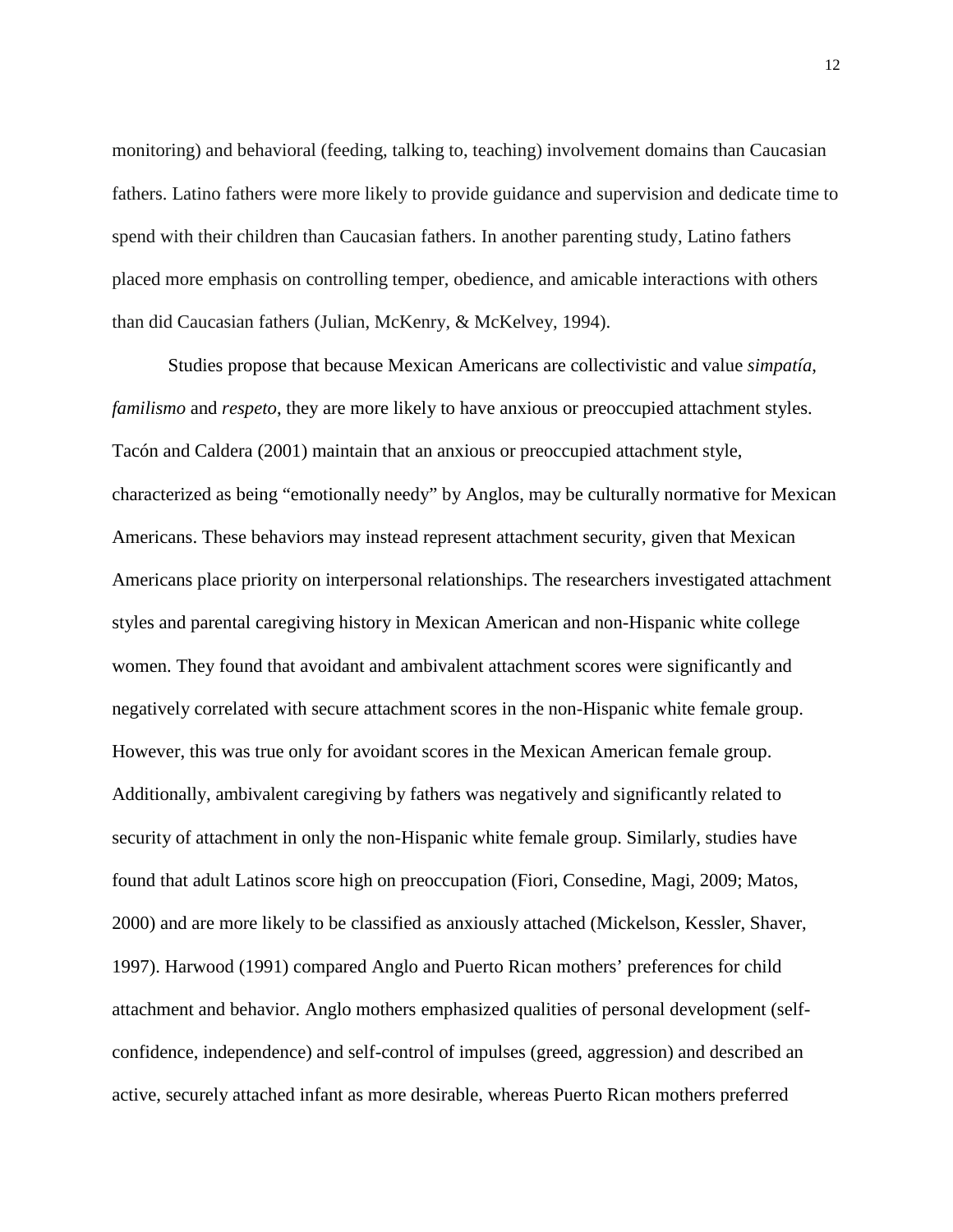monitoring) and behavioral (feeding, talking to, teaching) involvement domains than Caucasian fathers. Latino fathers were more likely to provide guidance and supervision and dedicate time to spend with their children than Caucasian fathers. In another parenting study, Latino fathers placed more emphasis on controlling temper, obedience, and amicable interactions with others than did Caucasian fathers (Julian, McKenry, & McKelvey, 1994).

Studies propose that because Mexican Americans are collectivistic and value *simpatía*, *familismo* and *respeto*, they are more likely to have anxious or preoccupied attachment styles. Tacón and Caldera (2001) maintain that an anxious or preoccupied attachment style, characterized as being "emotionally needy" by Anglos, may be culturally normative for Mexican Americans. These behaviors may instead represent attachment security, given that Mexican Americans place priority on interpersonal relationships. The researchers investigated attachment styles and parental caregiving history in Mexican American and non-Hispanic white college women. They found that avoidant and ambivalent attachment scores were significantly and negatively correlated with secure attachment scores in the non-Hispanic white female group. However, this was true only for avoidant scores in the Mexican American female group. Additionally, ambivalent caregiving by fathers was negatively and significantly related to security of attachment in only the non-Hispanic white female group. Similarly, studies have found that adult Latinos score high on preoccupation (Fiori, Consedine, Magi, 2009; Matos, 2000) and are more likely to be classified as anxiously attached (Mickelson, Kessler, Shaver, 1997). Harwood (1991) compared Anglo and Puerto Rican mothers' preferences for child attachment and behavior. Anglo mothers emphasized qualities of personal development (selfconfidence, independence) and self-control of impulses (greed, aggression) and described an active, securely attached infant as more desirable, whereas Puerto Rican mothers preferred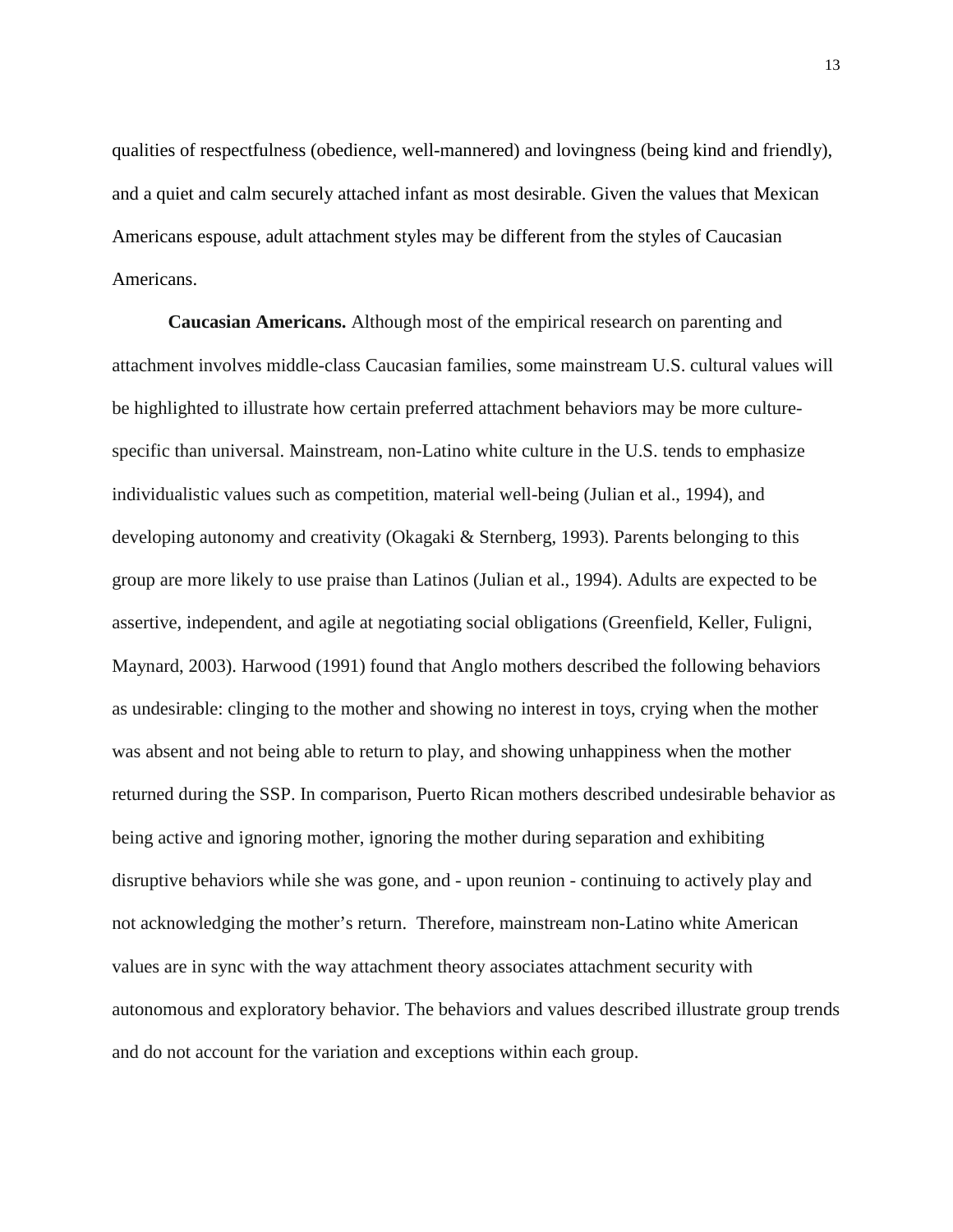qualities of respectfulness (obedience, well-mannered) and lovingness (being kind and friendly), and a quiet and calm securely attached infant as most desirable. Given the values that Mexican Americans espouse, adult attachment styles may be different from the styles of Caucasian Americans.

**Caucasian Americans.** Although most of the empirical research on parenting and attachment involves middle-class Caucasian families, some mainstream U.S. cultural values will be highlighted to illustrate how certain preferred attachment behaviors may be more culturespecific than universal. Mainstream, non-Latino white culture in the U.S. tends to emphasize individualistic values such as competition, material well-being (Julian et al., 1994), and developing autonomy and creativity (Okagaki & Sternberg, 1993). Parents belonging to this group are more likely to use praise than Latinos (Julian et al., 1994). Adults are expected to be assertive, independent, and agile at negotiating social obligations (Greenfield, Keller, Fuligni, Maynard, 2003). Harwood (1991) found that Anglo mothers described the following behaviors as undesirable: clinging to the mother and showing no interest in toys, crying when the mother was absent and not being able to return to play, and showing unhappiness when the mother returned during the SSP. In comparison, Puerto Rican mothers described undesirable behavior as being active and ignoring mother, ignoring the mother during separation and exhibiting disruptive behaviors while she was gone, and - upon reunion - continuing to actively play and not acknowledging the mother's return. Therefore, mainstream non-Latino white American values are in sync with the way attachment theory associates attachment security with autonomous and exploratory behavior. The behaviors and values described illustrate group trends and do not account for the variation and exceptions within each group.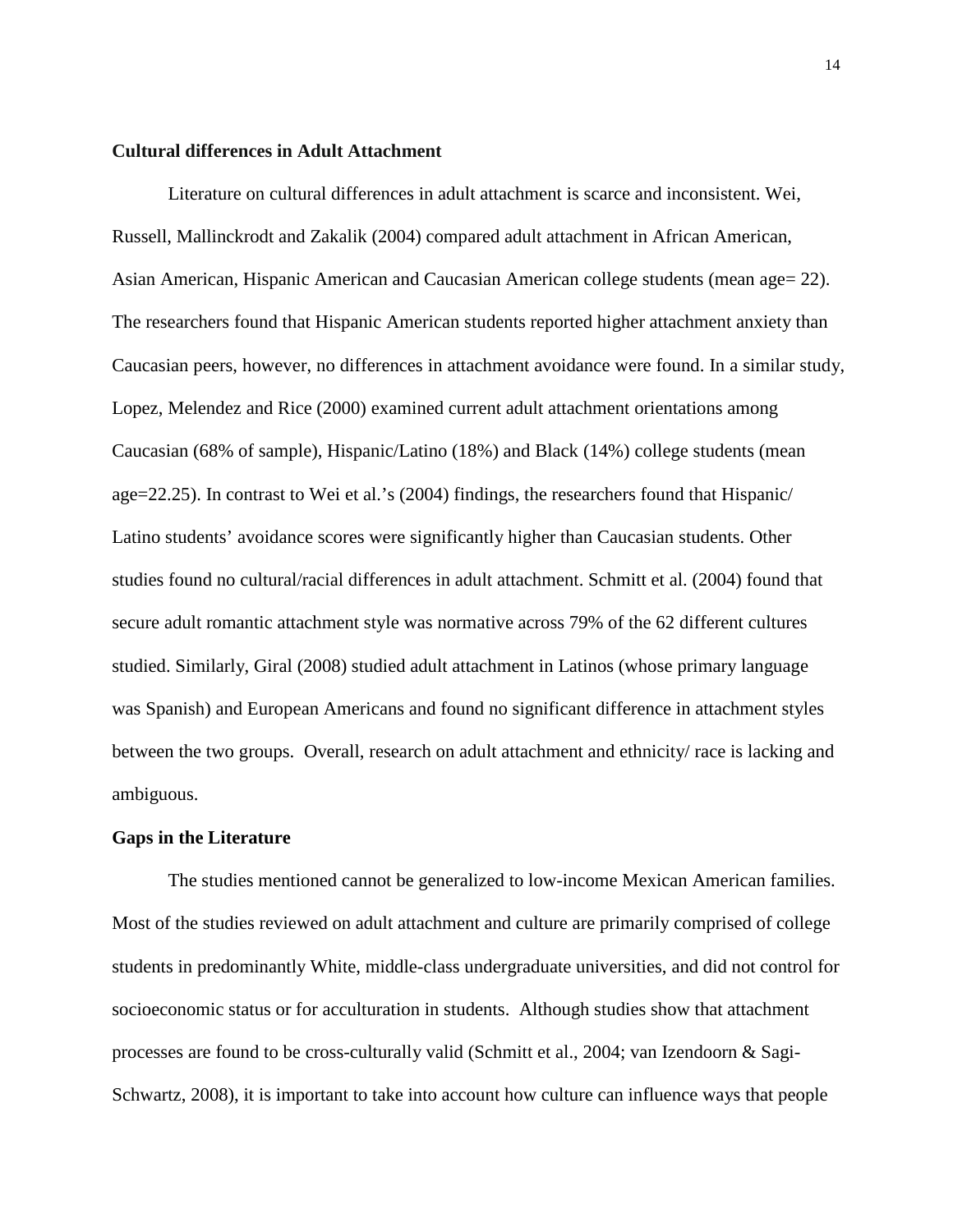#### **Cultural differences in Adult Attachment**

Literature on cultural differences in adult attachment is scarce and inconsistent. Wei, Russell, Mallinckrodt and Zakalik (2004) compared adult attachment in African American, Asian American, Hispanic American and Caucasian American college students (mean age= 22). The researchers found that Hispanic American students reported higher attachment anxiety than Caucasian peers, however, no differences in attachment avoidance were found. In a similar study, Lopez, Melendez and Rice (2000) examined current adult attachment orientations among Caucasian (68% of sample), Hispanic/Latino (18%) and Black (14%) college students (mean age=22.25). In contrast to Wei et al.'s (2004) findings, the researchers found that Hispanic/ Latino students' avoidance scores were significantly higher than Caucasian students. Other studies found no cultural/racial differences in adult attachment. Schmitt et al. (2004) found that secure adult romantic attachment style was normative across 79% of the 62 different cultures studied. Similarly, Giral (2008) studied adult attachment in Latinos (whose primary language was Spanish) and European Americans and found no significant difference in attachment styles between the two groups. Overall, research on adult attachment and ethnicity/ race is lacking and ambiguous.

#### **Gaps in the Literature**

The studies mentioned cannot be generalized to low-income Mexican American families. Most of the studies reviewed on adult attachment and culture are primarily comprised of college students in predominantly White, middle-class undergraduate universities, and did not control for socioeconomic status or for acculturation in students. Although studies show that attachment processes are found to be cross-culturally valid (Schmitt et al., 2004; van Izendoorn & Sagi-Schwartz, 2008), it is important to take into account how culture can influence ways that people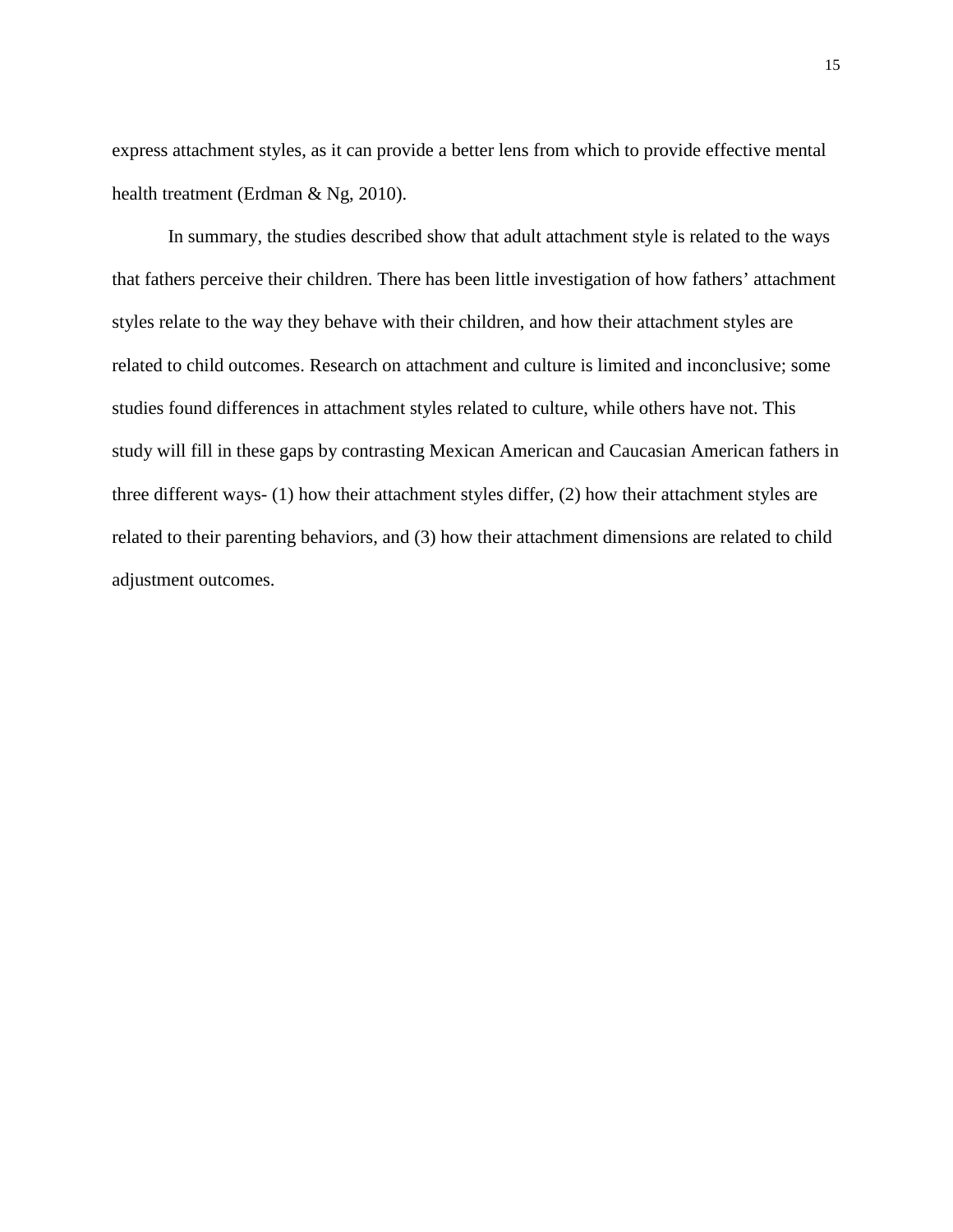express attachment styles, as it can provide a better lens from which to provide effective mental health treatment (Erdman & Ng, 2010).

In summary, the studies described show that adult attachment style is related to the ways that fathers perceive their children. There has been little investigation of how fathers' attachment styles relate to the way they behave with their children, and how their attachment styles are related to child outcomes. Research on attachment and culture is limited and inconclusive; some studies found differences in attachment styles related to culture, while others have not. This study will fill in these gaps by contrasting Mexican American and Caucasian American fathers in three different ways- (1) how their attachment styles differ, (2) how their attachment styles are related to their parenting behaviors, and (3) how their attachment dimensions are related to child adjustment outcomes.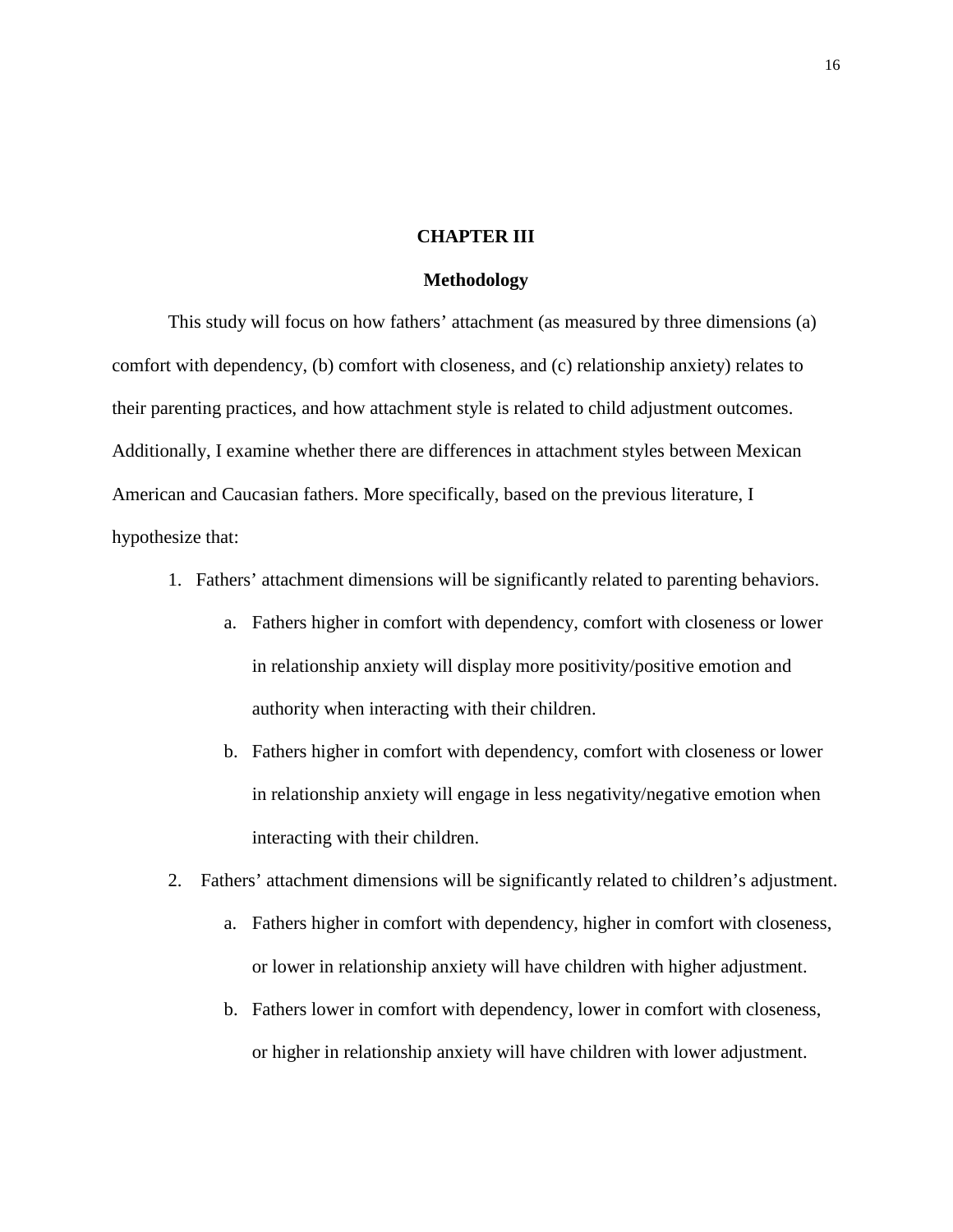#### **CHAPTER III**

#### **Methodology**

This study will focus on how fathers' attachment (as measured by three dimensions (a) comfort with dependency, (b) comfort with closeness, and (c) relationship anxiety) relates to their parenting practices, and how attachment style is related to child adjustment outcomes. Additionally, I examine whether there are differences in attachment styles between Mexican American and Caucasian fathers. More specifically, based on the previous literature, I hypothesize that:

- 1. Fathers' attachment dimensions will be significantly related to parenting behaviors.
	- a. Fathers higher in comfort with dependency, comfort with closeness or lower in relationship anxiety will display more positivity/positive emotion and authority when interacting with their children.
	- b. Fathers higher in comfort with dependency, comfort with closeness or lower in relationship anxiety will engage in less negativity/negative emotion when interacting with their children.
- 2. Fathers' attachment dimensions will be significantly related to children's adjustment.
	- a. Fathers higher in comfort with dependency, higher in comfort with closeness, or lower in relationship anxiety will have children with higher adjustment.
	- b. Fathers lower in comfort with dependency, lower in comfort with closeness, or higher in relationship anxiety will have children with lower adjustment.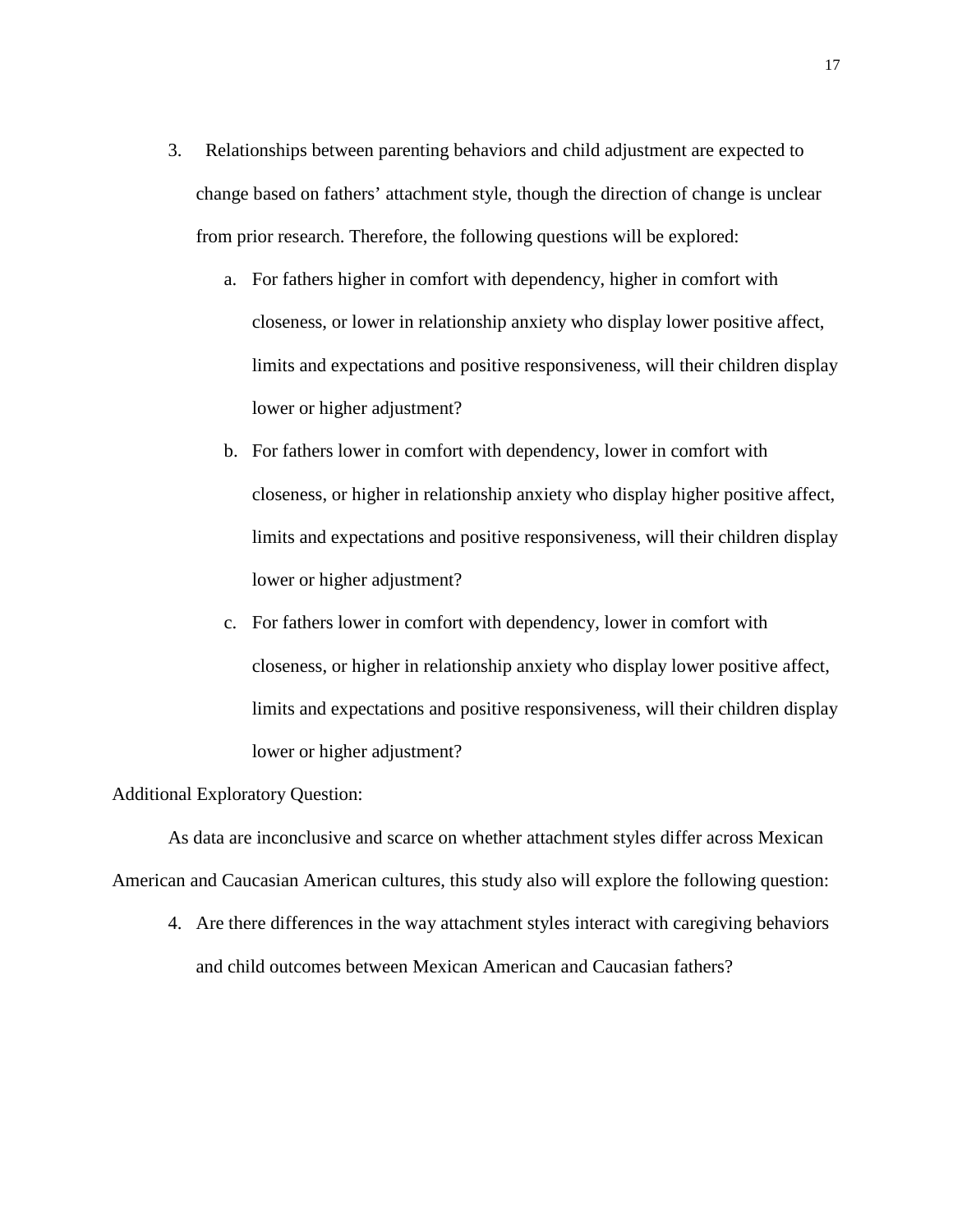- 3. Relationships between parenting behaviors and child adjustment are expected to change based on fathers' attachment style, though the direction of change is unclear from prior research. Therefore, the following questions will be explored:
	- a. For fathers higher in comfort with dependency, higher in comfort with closeness, or lower in relationship anxiety who display lower positive affect, limits and expectations and positive responsiveness, will their children display lower or higher adjustment?
	- b. For fathers lower in comfort with dependency, lower in comfort with closeness, or higher in relationship anxiety who display higher positive affect, limits and expectations and positive responsiveness, will their children display lower or higher adjustment?
	- c. For fathers lower in comfort with dependency, lower in comfort with closeness, or higher in relationship anxiety who display lower positive affect, limits and expectations and positive responsiveness, will their children display lower or higher adjustment?

#### Additional Exploratory Question:

As data are inconclusive and scarce on whether attachment styles differ across Mexican American and Caucasian American cultures, this study also will explore the following question:

4. Are there differences in the way attachment styles interact with caregiving behaviors and child outcomes between Mexican American and Caucasian fathers?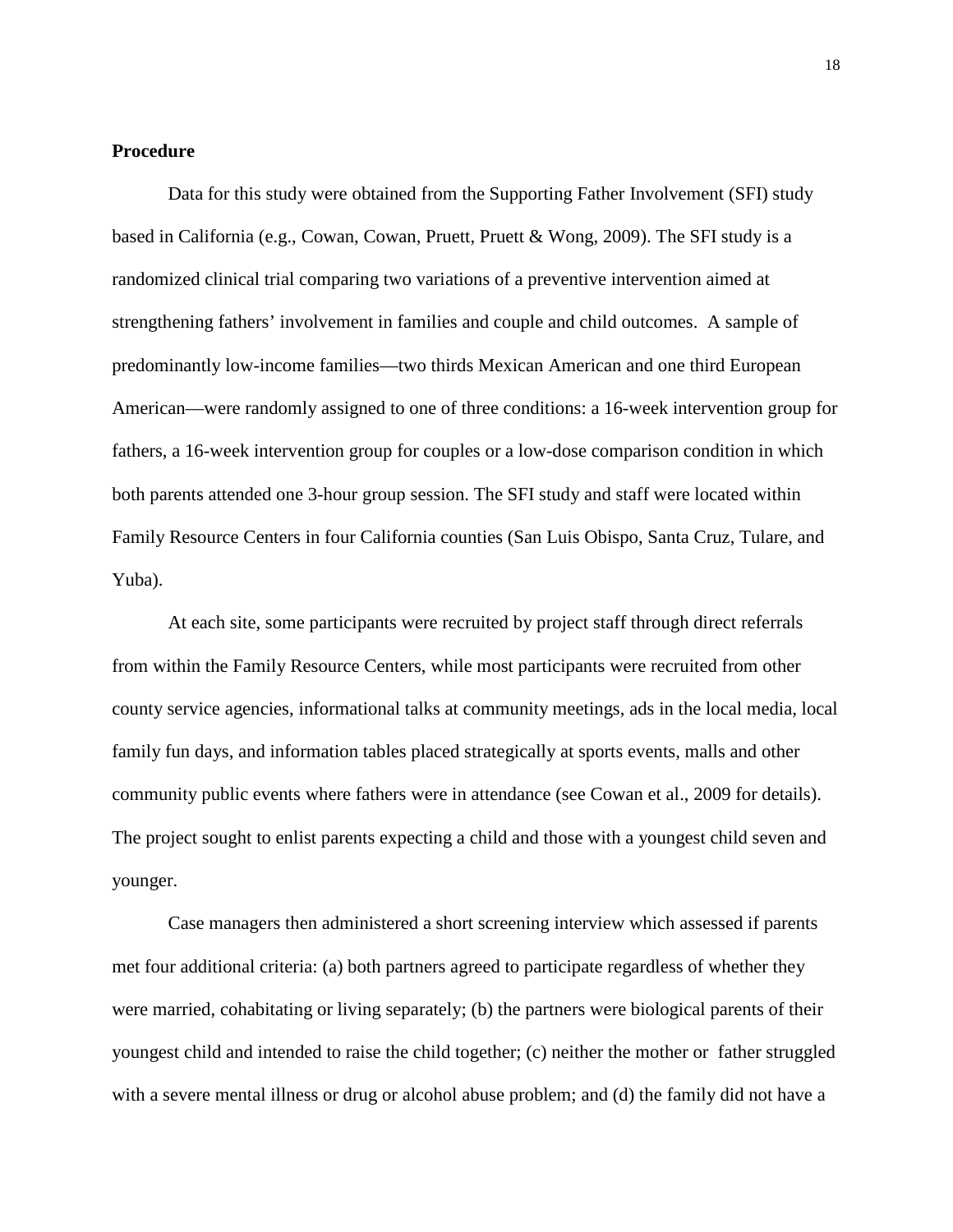#### **Procedure**

Data for this study were obtained from the Supporting Father Involvement (SFI) study based in California (e.g., Cowan, Cowan, Pruett, Pruett & Wong, 2009). The SFI study is a randomized clinical trial comparing two variations of a preventive intervention aimed at strengthening fathers' involvement in families and couple and child outcomes. A sample of predominantly low-income families—two thirds Mexican American and one third European American—were randomly assigned to one of three conditions: a 16-week intervention group for fathers, a 16-week intervention group for couples or a low-dose comparison condition in which both parents attended one 3-hour group session. The SFI study and staff were located within Family Resource Centers in four California counties (San Luis Obispo, Santa Cruz, Tulare, and Yuba).

At each site, some participants were recruited by project staff through direct referrals from within the Family Resource Centers, while most participants were recruited from other county service agencies, informational talks at community meetings, ads in the local media, local family fun days, and information tables placed strategically at sports events, malls and other community public events where fathers were in attendance (see Cowan et al., 2009 for details). The project sought to enlist parents expecting a child and those with a youngest child seven and younger.

Case managers then administered a short screening interview which assessed if parents met four additional criteria: (a) both partners agreed to participate regardless of whether they were married, cohabitating or living separately; (b) the partners were biological parents of their youngest child and intended to raise the child together; (c) neither the mother or father struggled with a severe mental illness or drug or alcohol abuse problem; and (d) the family did not have a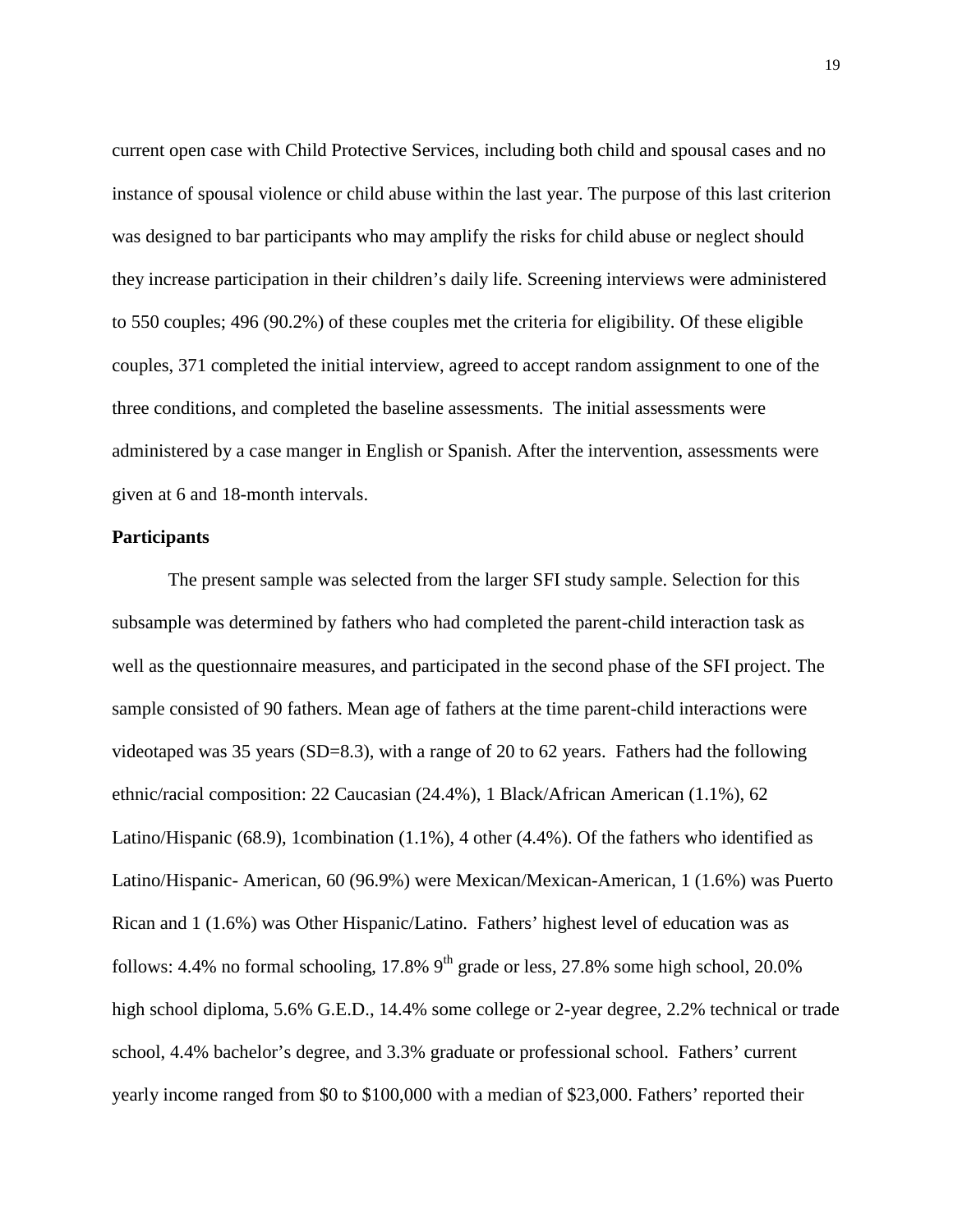current open case with Child Protective Services, including both child and spousal cases and no instance of spousal violence or child abuse within the last year. The purpose of this last criterion was designed to bar participants who may amplify the risks for child abuse or neglect should they increase participation in their children's daily life. Screening interviews were administered to 550 couples; 496 (90.2%) of these couples met the criteria for eligibility. Of these eligible couples, 371 completed the initial interview, agreed to accept random assignment to one of the three conditions, and completed the baseline assessments. The initial assessments were administered by a case manger in English or Spanish. After the intervention, assessments were given at 6 and 18-month intervals.

#### **Participants**

The present sample was selected from the larger SFI study sample. Selection for this subsample was determined by fathers who had completed the parent-child interaction task as well as the questionnaire measures, and participated in the second phase of the SFI project. The sample consisted of 90 fathers. Mean age of fathers at the time parent-child interactions were videotaped was 35 years (SD=8.3), with a range of 20 to 62 years. Fathers had the following ethnic/racial composition: 22 Caucasian (24.4%), 1 Black/African American (1.1%), 62 Latino/Hispanic (68.9), 1combination (1.1%), 4 other (4.4%). Of the fathers who identified as Latino/Hispanic- American, 60 (96.9%) were Mexican/Mexican-American, 1 (1.6%) was Puerto Rican and 1 (1.6%) was Other Hispanic/Latino. Fathers' highest level of education was as follows: 4.4% no formal schooling, 17.8%  $9<sup>th</sup>$  grade or less, 27.8% some high school, 20.0% high school diploma, 5.6% G.E.D., 14.4% some college or 2-year degree, 2.2% technical or trade school, 4.4% bachelor's degree, and 3.3% graduate or professional school. Fathers' current yearly income ranged from \$0 to \$100,000 with a median of \$23,000. Fathers' reported their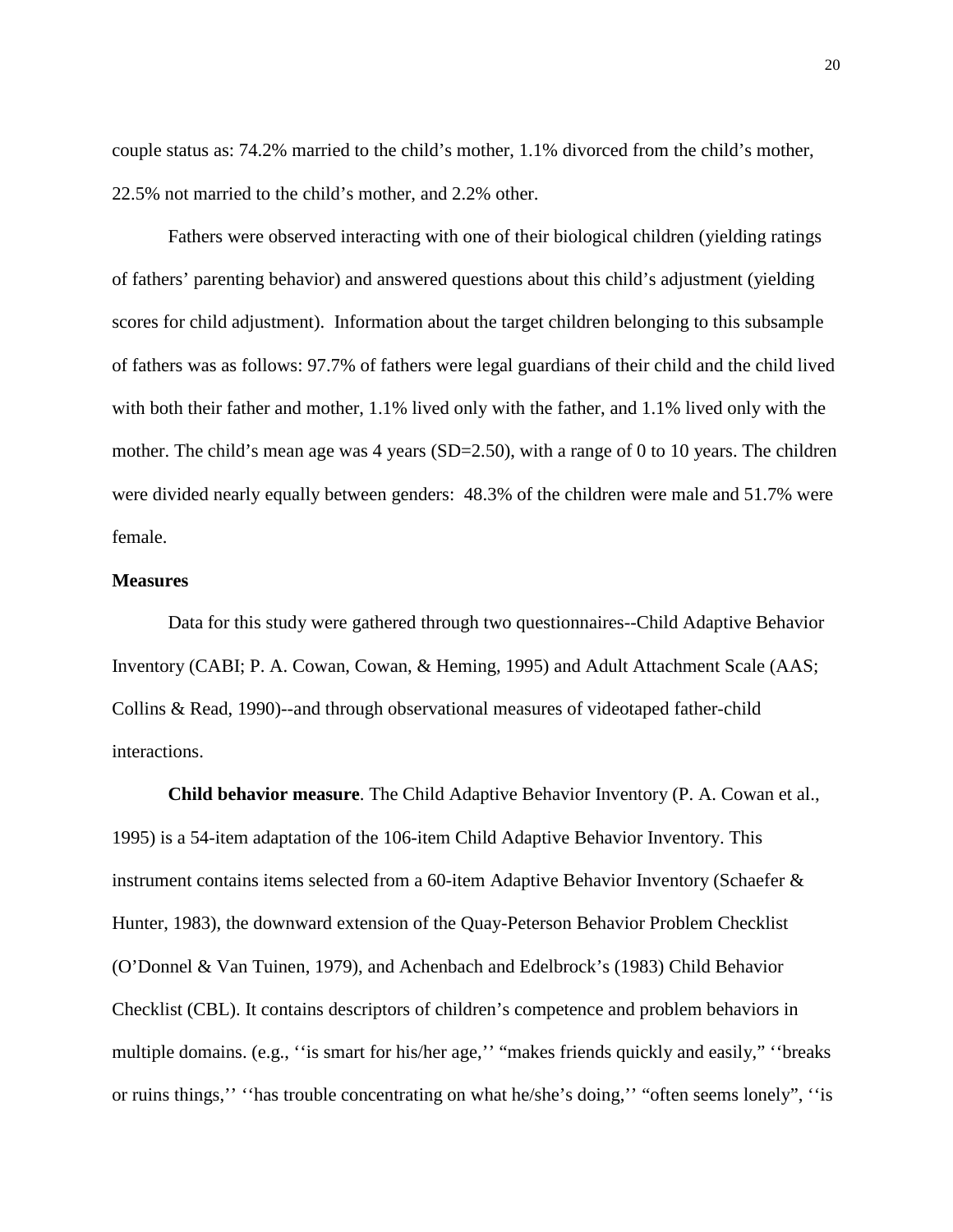couple status as: 74.2% married to the child's mother, 1.1% divorced from the child's mother, 22.5% not married to the child's mother, and 2.2% other.

Fathers were observed interacting with one of their biological children (yielding ratings of fathers' parenting behavior) and answered questions about this child's adjustment (yielding scores for child adjustment). Information about the target children belonging to this subsample of fathers was as follows: 97.7% of fathers were legal guardians of their child and the child lived with both their father and mother, 1.1% lived only with the father, and 1.1% lived only with the mother. The child's mean age was 4 years  $(SD=2.50)$ , with a range of 0 to 10 years. The children were divided nearly equally between genders: 48.3% of the children were male and 51.7% were female.

## **Measures**

Data for this study were gathered through two questionnaires--Child Adaptive Behavior Inventory (CABI; P. A. Cowan, Cowan, & Heming, 1995) and Adult Attachment Scale (AAS; Collins & Read, 1990)--and through observational measures of videotaped father-child interactions.

**Child behavior measure**. The Child Adaptive Behavior Inventory (P. A. Cowan et al., 1995) is a 54-item adaptation of the 106-item Child Adaptive Behavior Inventory. This instrument contains items selected from a 60-item Adaptive Behavior Inventory (Schaefer & Hunter, 1983), the downward extension of the Quay-Peterson Behavior Problem Checklist (O'Donnel & Van Tuinen, 1979), and Achenbach and Edelbrock's (1983) Child Behavior Checklist (CBL). It contains descriptors of children's competence and problem behaviors in multiple domains. (e.g., "is smart for his/her age," "makes friends quickly and easily," "breaks" or ruins things,'' ''has trouble concentrating on what he/she's doing,'' "often seems lonely", ''is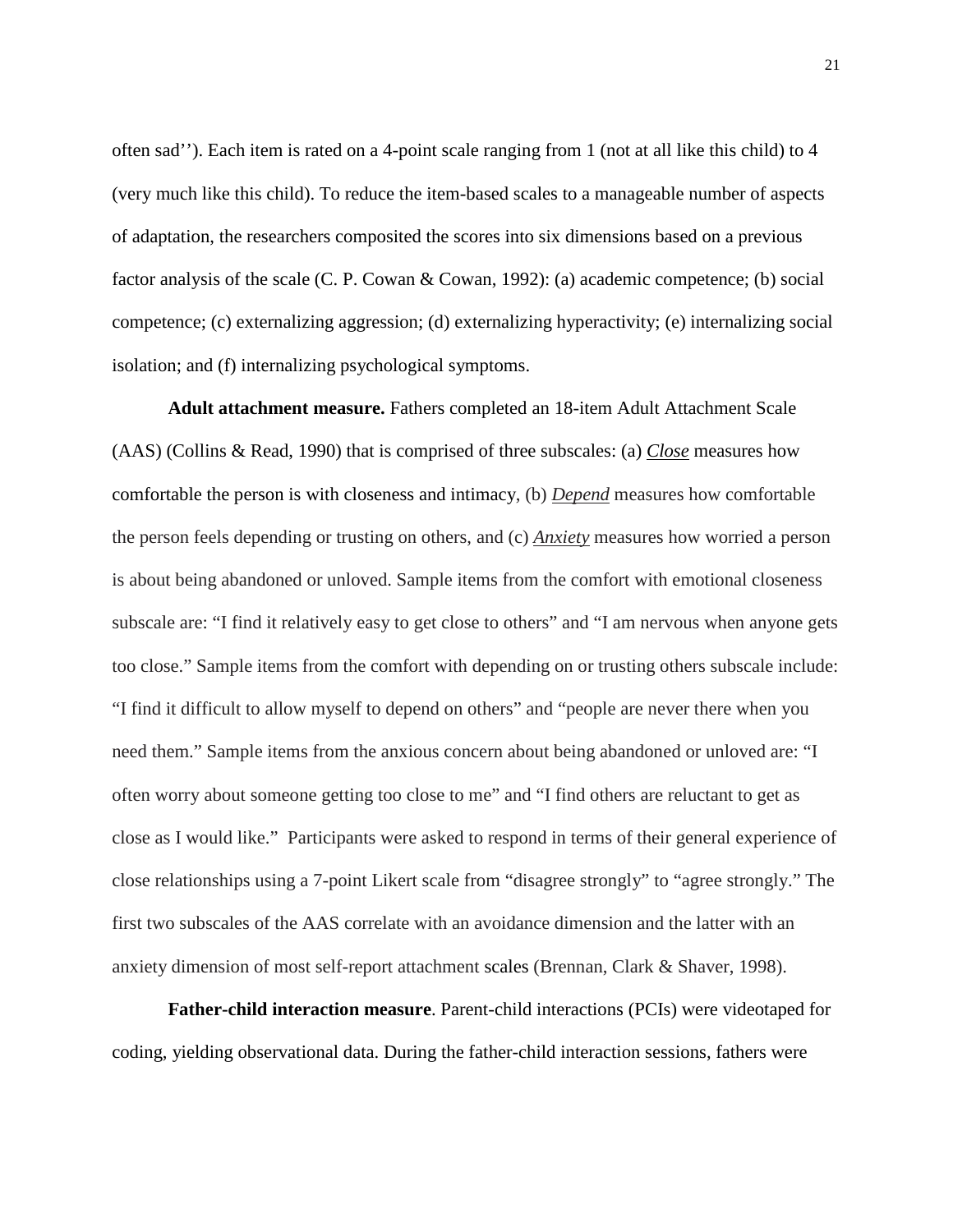often sad''). Each item is rated on a 4-point scale ranging from 1 (not at all like this child) to 4 (very much like this child). To reduce the item-based scales to a manageable number of aspects of adaptation, the researchers composited the scores into six dimensions based on a previous factor analysis of the scale (C. P. Cowan & Cowan, 1992): (a) academic competence; (b) social competence; (c) externalizing aggression; (d) externalizing hyperactivity; (e) internalizing social isolation; and (f) internalizing psychological symptoms.

**Adult attachment measure.** Fathers completed an 18-item Adult Attachment Scale (AAS) (Collins & Read, 1990) that is comprised of three subscales: (a) *Close* measures how comfortable the person is with closeness and intimacy, (b) *Depend* measures how comfortable the person feels depending or trusting on others, and (c) *Anxiety* measures how worried a person is about being abandoned or unloved. Sample items from the comfort with emotional closeness subscale are: "I find it relatively easy to get close to others" and "I am nervous when anyone gets too close." Sample items from the comfort with depending on or trusting others subscale include: "I find it difficult to allow myself to depend on others" and "people are never there when you need them." Sample items from the anxious concern about being abandoned or unloved are: "I often worry about someone getting too close to me" and "I find others are reluctant to get as close as I would like." Participants were asked to respond in terms of their general experience of close relationships using a 7-point Likert scale from "disagree strongly" to "agree strongly." The first two subscales of the AAS correlate with an avoidance dimension and the latter with an anxiety dimension of most self-report attachment scales (Brennan, Clark & Shaver, 1998).

**Father-child interaction measure**. Parent-child interactions (PCIs) were videotaped for coding, yielding observational data. During the father-child interaction sessions, fathers were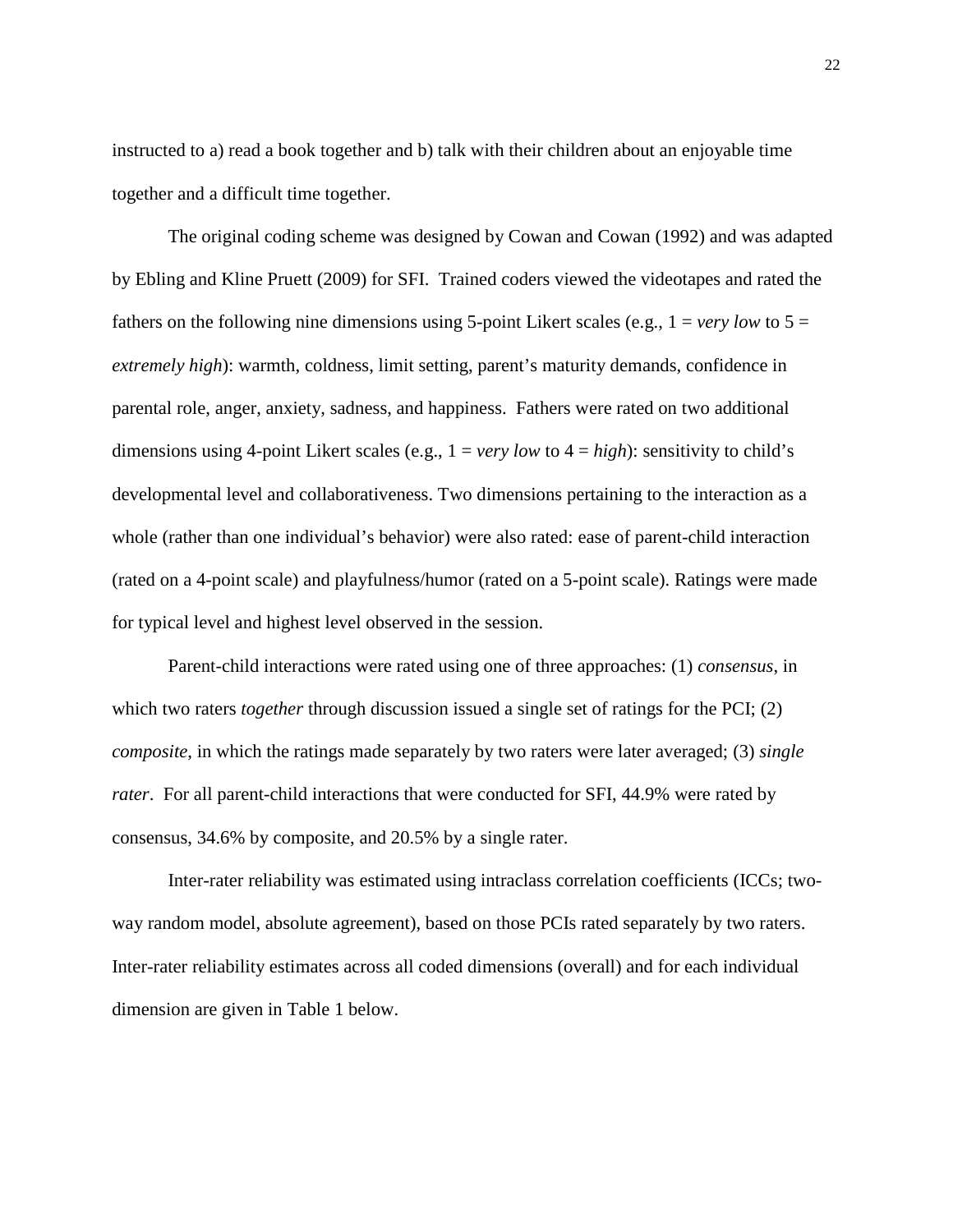instructed to a) read a book together and b) talk with their children about an enjoyable time together and a difficult time together.

The original coding scheme was designed by Cowan and Cowan (1992) and was adapted by Ebling and Kline Pruett (2009) for SFI. Trained coders viewed the videotapes and rated the fathers on the following nine dimensions using 5-point Likert scales (e.g.,  $1 = \text{very low to } 5 =$ *extremely high*): warmth, coldness, limit setting, parent's maturity demands, confidence in parental role, anger, anxiety, sadness, and happiness. Fathers were rated on two additional dimensions using 4-point Likert scales (e.g.,  $1 = \text{very low to } 4 = \text{high}$ ): sensitivity to child's developmental level and collaborativeness. Two dimensions pertaining to the interaction as a whole (rather than one individual's behavior) were also rated: ease of parent-child interaction (rated on a 4-point scale) and playfulness/humor (rated on a 5-point scale). Ratings were made for typical level and highest level observed in the session.

Parent-child interactions were rated using one of three approaches: (1) *consensus*, in which two raters *together* through discussion issued a single set of ratings for the PCI; (2) *composite*, in which the ratings made separately by two raters were later averaged; (3) *single rater*. For all parent-child interactions that were conducted for SFI, 44.9% were rated by consensus, 34.6% by composite, and 20.5% by a single rater.

Inter-rater reliability was estimated using intraclass correlation coefficients (ICCs; twoway random model, absolute agreement), based on those PCIs rated separately by two raters. Inter-rater reliability estimates across all coded dimensions (overall) and for each individual dimension are given in Table 1 below.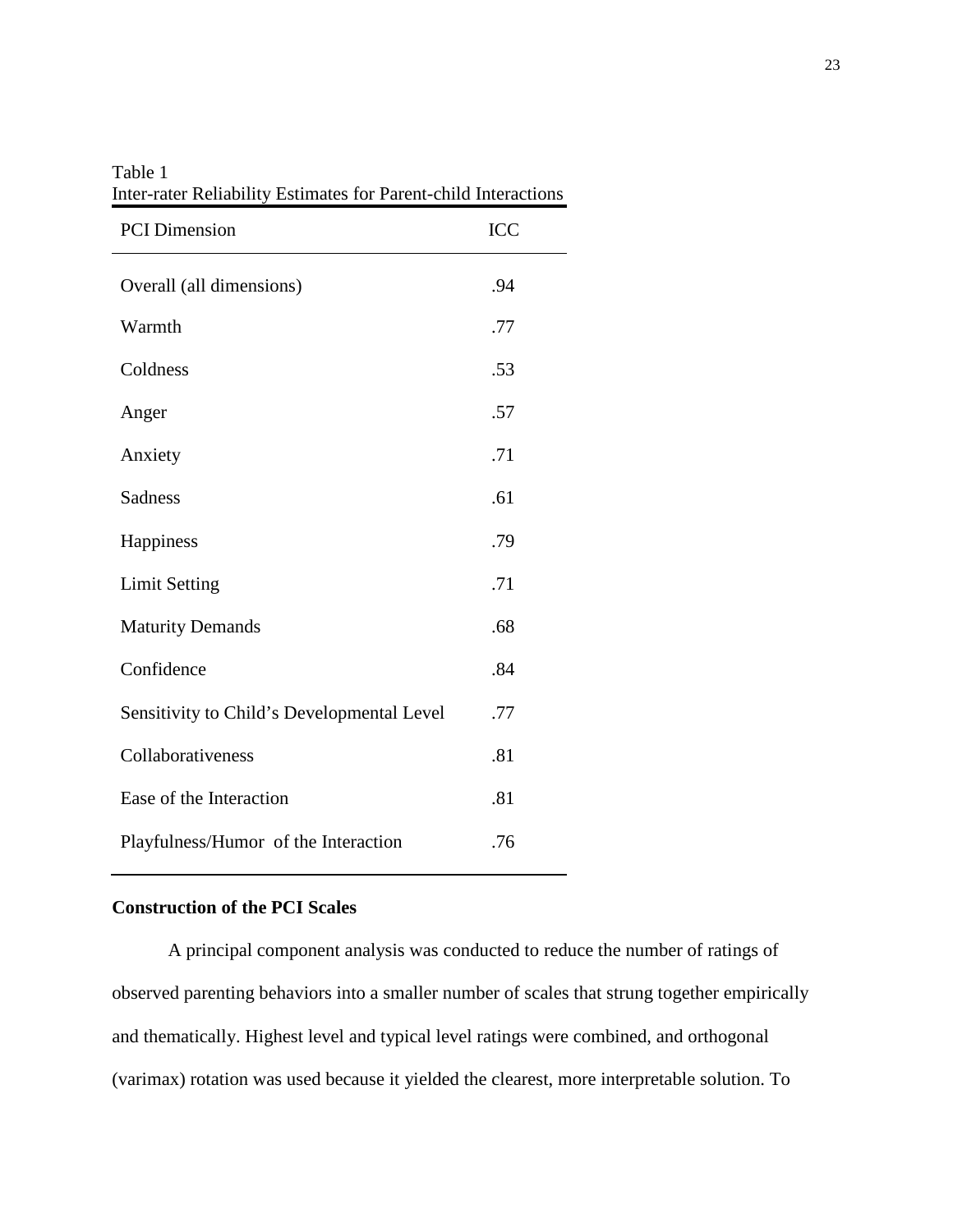| <b>PCI</b> Dimension                       | ICC |
|--------------------------------------------|-----|
| Overall (all dimensions)                   | .94 |
| Warmth                                     | .77 |
| Coldness                                   | .53 |
| Anger                                      | .57 |
| Anxiety                                    | .71 |
| <b>Sadness</b>                             | .61 |
| Happiness                                  | .79 |
| <b>Limit Setting</b>                       | .71 |
| <b>Maturity Demands</b>                    | .68 |
| Confidence                                 | .84 |
| Sensitivity to Child's Developmental Level | .77 |
| Collaborativeness                          | .81 |
| Ease of the Interaction                    | .81 |
| Playfulness/Humor of the Interaction       | .76 |

Table 1 Inter-rater Reliability Estimates for Parent-child Interactions

## **Construction of the PCI Scales**

A principal component analysis was conducted to reduce the number of ratings of observed parenting behaviors into a smaller number of scales that strung together empirically and thematically. Highest level and typical level ratings were combined, and orthogonal (varimax) rotation was used because it yielded the clearest, more interpretable solution. To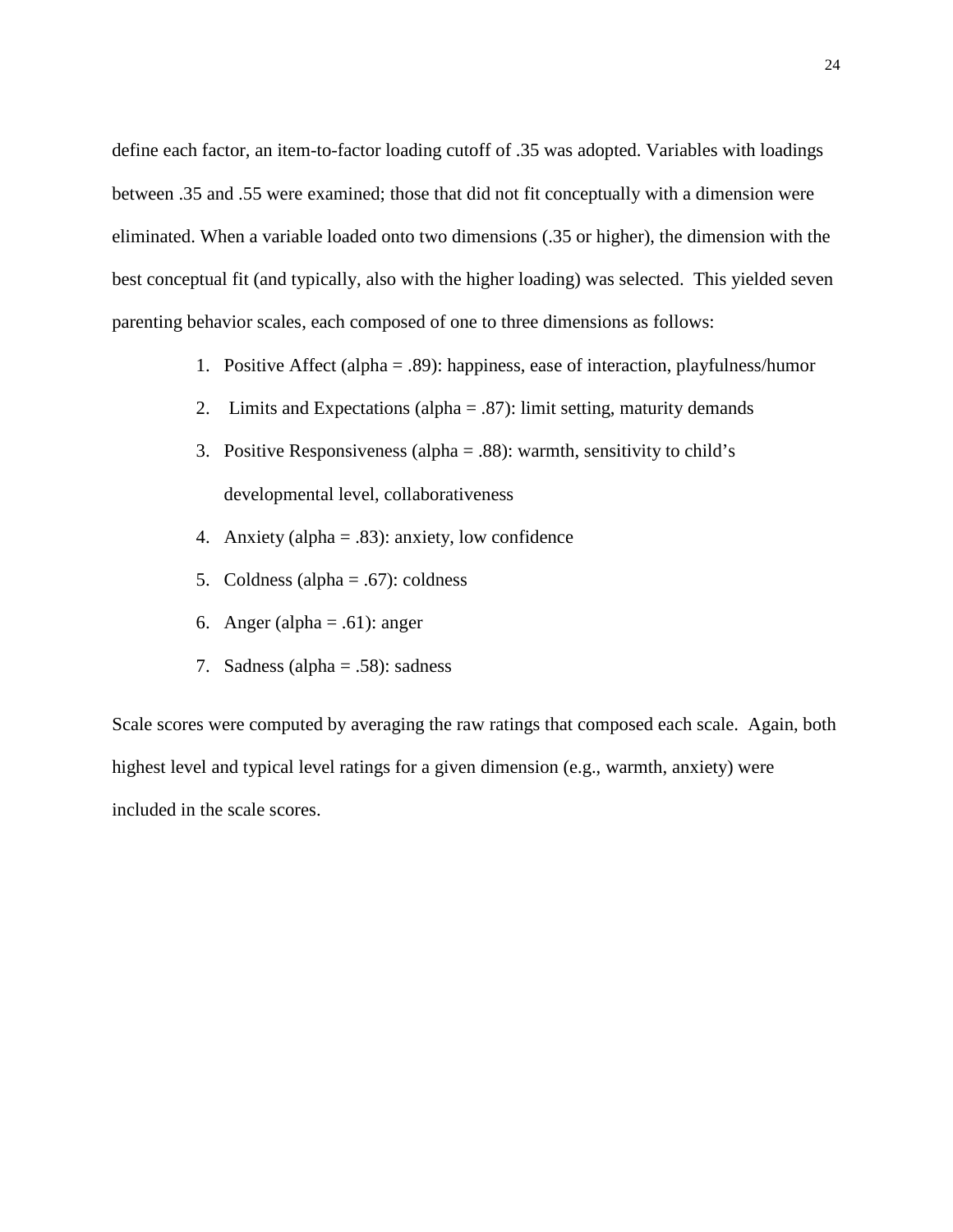define each factor, an item-to-factor loading cutoff of .35 was adopted. Variables with loadings between .35 and .55 were examined; those that did not fit conceptually with a dimension were eliminated. When a variable loaded onto two dimensions (.35 or higher), the dimension with the best conceptual fit (and typically, also with the higher loading) was selected. This yielded seven parenting behavior scales, each composed of one to three dimensions as follows:

- 1. Positive Affect (alpha = .89): happiness, ease of interaction, playfulness/humor
- 2. Limits and Expectations (alpha = .87): limit setting, maturity demands
- 3. Positive Responsiveness (alpha = .88): warmth, sensitivity to child's developmental level, collaborativeness
- 4. Anxiety (alpha =  $.83$ ): anxiety, low confidence
- 5. Coldness (alpha = .67): coldness
- 6. Anger (alpha = .61): anger
- 7. Sadness (alpha = .58): sadness

Scale scores were computed by averaging the raw ratings that composed each scale. Again, both highest level and typical level ratings for a given dimension (e.g., warmth, anxiety) were included in the scale scores.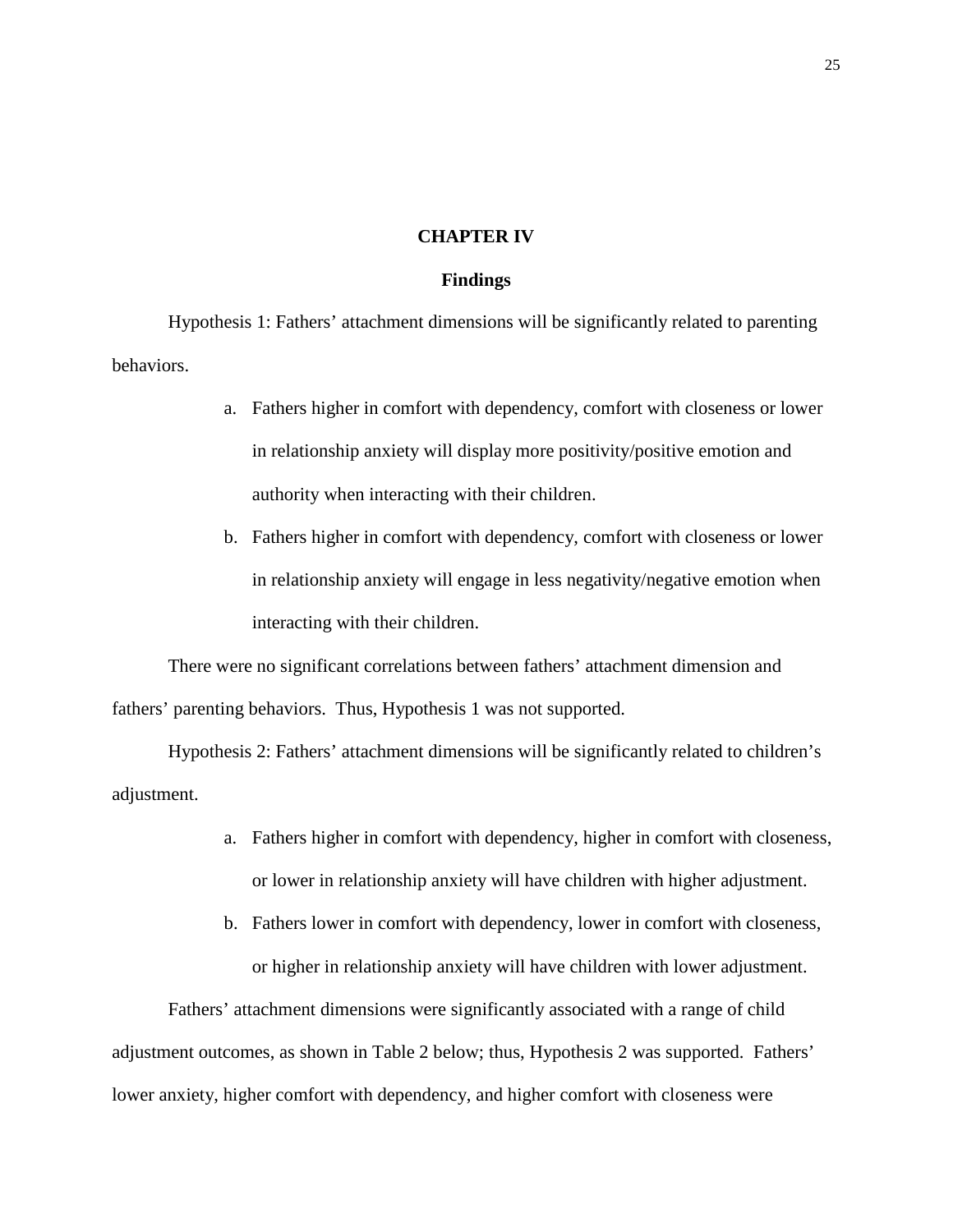#### **CHAPTER IV**

#### **Findings**

Hypothesis 1: Fathers' attachment dimensions will be significantly related to parenting behaviors.

- a. Fathers higher in comfort with dependency, comfort with closeness or lower in relationship anxiety will display more positivity/positive emotion and authority when interacting with their children.
- b. Fathers higher in comfort with dependency, comfort with closeness or lower in relationship anxiety will engage in less negativity/negative emotion when interacting with their children.

There were no significant correlations between fathers' attachment dimension and fathers' parenting behaviors. Thus, Hypothesis 1 was not supported.

Hypothesis 2: Fathers' attachment dimensions will be significantly related to children's adjustment.

- a. Fathers higher in comfort with dependency, higher in comfort with closeness, or lower in relationship anxiety will have children with higher adjustment.
- b. Fathers lower in comfort with dependency, lower in comfort with closeness, or higher in relationship anxiety will have children with lower adjustment.

Fathers' attachment dimensions were significantly associated with a range of child adjustment outcomes, as shown in Table 2 below; thus, Hypothesis 2 was supported. Fathers' lower anxiety, higher comfort with dependency, and higher comfort with closeness were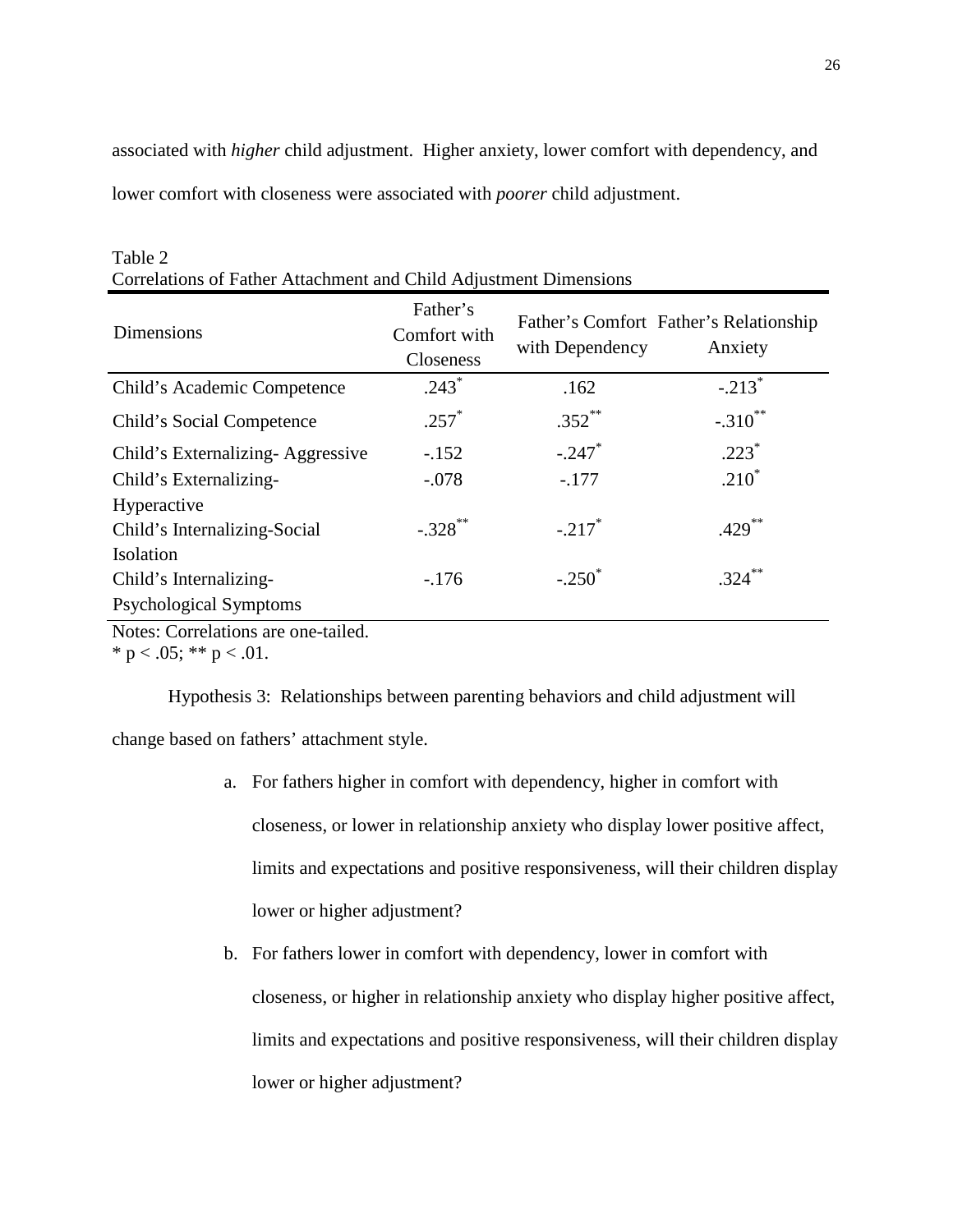associated with *higher* child adjustment. Higher anxiety, lower comfort with dependency, and lower comfort with closeness were associated with *poorer* child adjustment.

| Dimensions                       | Father's<br>Comfort with<br><b>Closeness</b> | with Dependency      | Father's Comfort Father's Relationship<br>Anxiety |
|----------------------------------|----------------------------------------------|----------------------|---------------------------------------------------|
| Child's Academic Competence      | $.243*$                                      | .162                 | $-.213$ <sup>*</sup>                              |
| Child's Social Competence        | $.257*$                                      | $.352$ **            | $-.310$ <sup>**</sup>                             |
| Child's Externalizing-Aggressive | $-.152$                                      | $-.247$              | $.223*$                                           |
| Child's Externalizing-           | $-.078$                                      | $-.177$              | $.210*$                                           |
| Hyperactive                      |                                              |                      |                                                   |
| Child's Internalizing-Social     | $-.328$ **                                   | $-.217$ <sup>*</sup> | $.429***$                                         |
| Isolation                        |                                              |                      |                                                   |
| Child's Internalizing-           | $-176$                                       | $-.250^*$            | $324$ **                                          |
| <b>Psychological Symptoms</b>    |                                              |                      |                                                   |

Table 2 Correlations of Father Attachment and Child Adjustment Dimensions

Notes: Correlations are one-tailed.

\* p < .05; \*\* p < .01.

Hypothesis 3: Relationships between parenting behaviors and child adjustment will

change based on fathers' attachment style.

- a. For fathers higher in comfort with dependency, higher in comfort with closeness, or lower in relationship anxiety who display lower positive affect, limits and expectations and positive responsiveness, will their children display lower or higher adjustment?
- b. For fathers lower in comfort with dependency, lower in comfort with closeness, or higher in relationship anxiety who display higher positive affect, limits and expectations and positive responsiveness, will their children display lower or higher adjustment?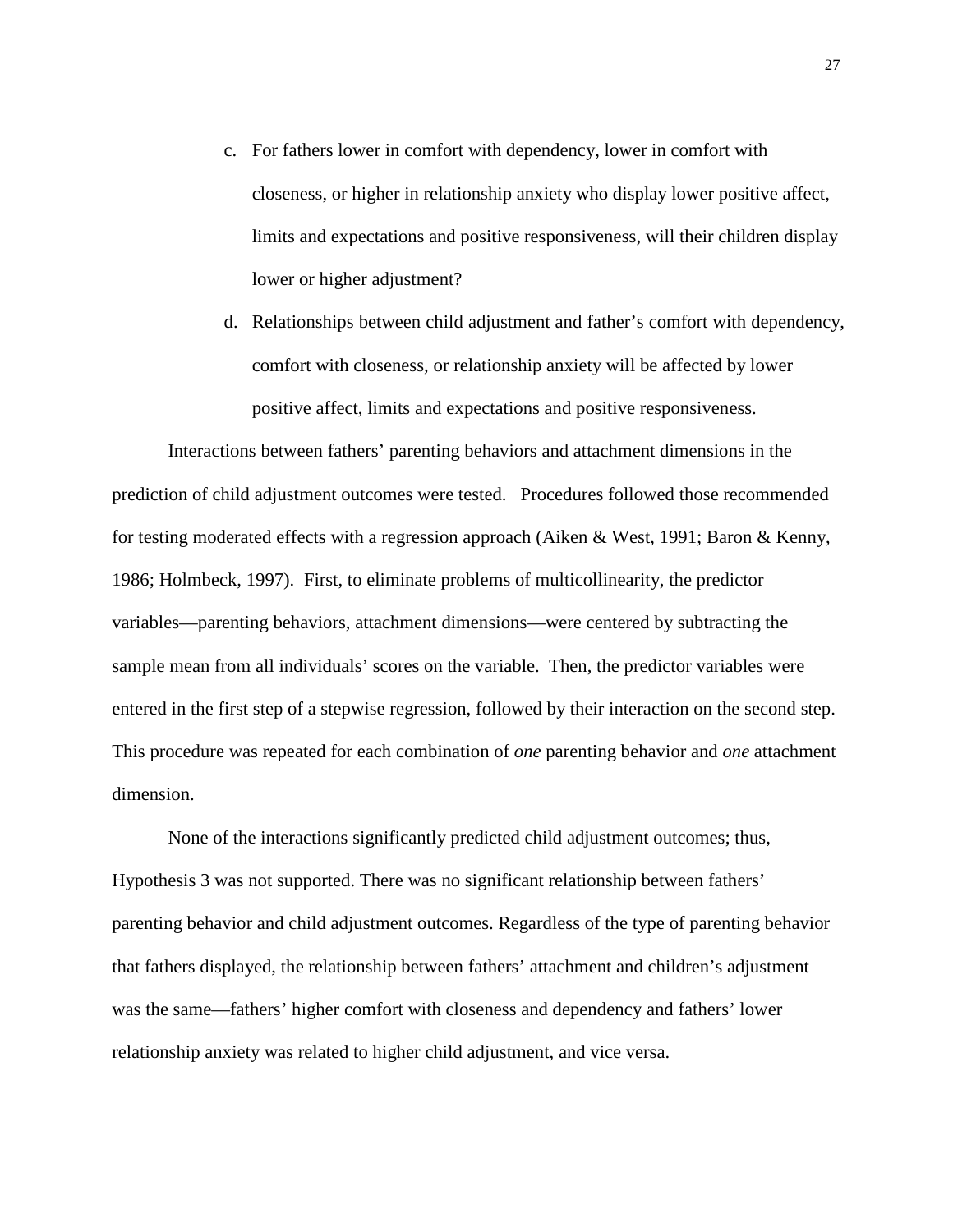- c. For fathers lower in comfort with dependency, lower in comfort with closeness, or higher in relationship anxiety who display lower positive affect, limits and expectations and positive responsiveness, will their children display lower or higher adjustment?
- d. Relationships between child adjustment and father's comfort with dependency, comfort with closeness, or relationship anxiety will be affected by lower positive affect, limits and expectations and positive responsiveness.

Interactions between fathers' parenting behaviors and attachment dimensions in the prediction of child adjustment outcomes were tested. Procedures followed those recommended for testing moderated effects with a regression approach (Aiken & West, 1991; Baron & Kenny, 1986; Holmbeck, 1997). First, to eliminate problems of multicollinearity, the predictor variables—parenting behaviors, attachment dimensions—were centered by subtracting the sample mean from all individuals' scores on the variable. Then, the predictor variables were entered in the first step of a stepwise regression, followed by their interaction on the second step. This procedure was repeated for each combination of *one* parenting behavior and *one* attachment dimension.

None of the interactions significantly predicted child adjustment outcomes; thus, Hypothesis 3 was not supported. There was no significant relationship between fathers' parenting behavior and child adjustment outcomes. Regardless of the type of parenting behavior that fathers displayed, the relationship between fathers' attachment and children's adjustment was the same—fathers' higher comfort with closeness and dependency and fathers' lower relationship anxiety was related to higher child adjustment, and vice versa.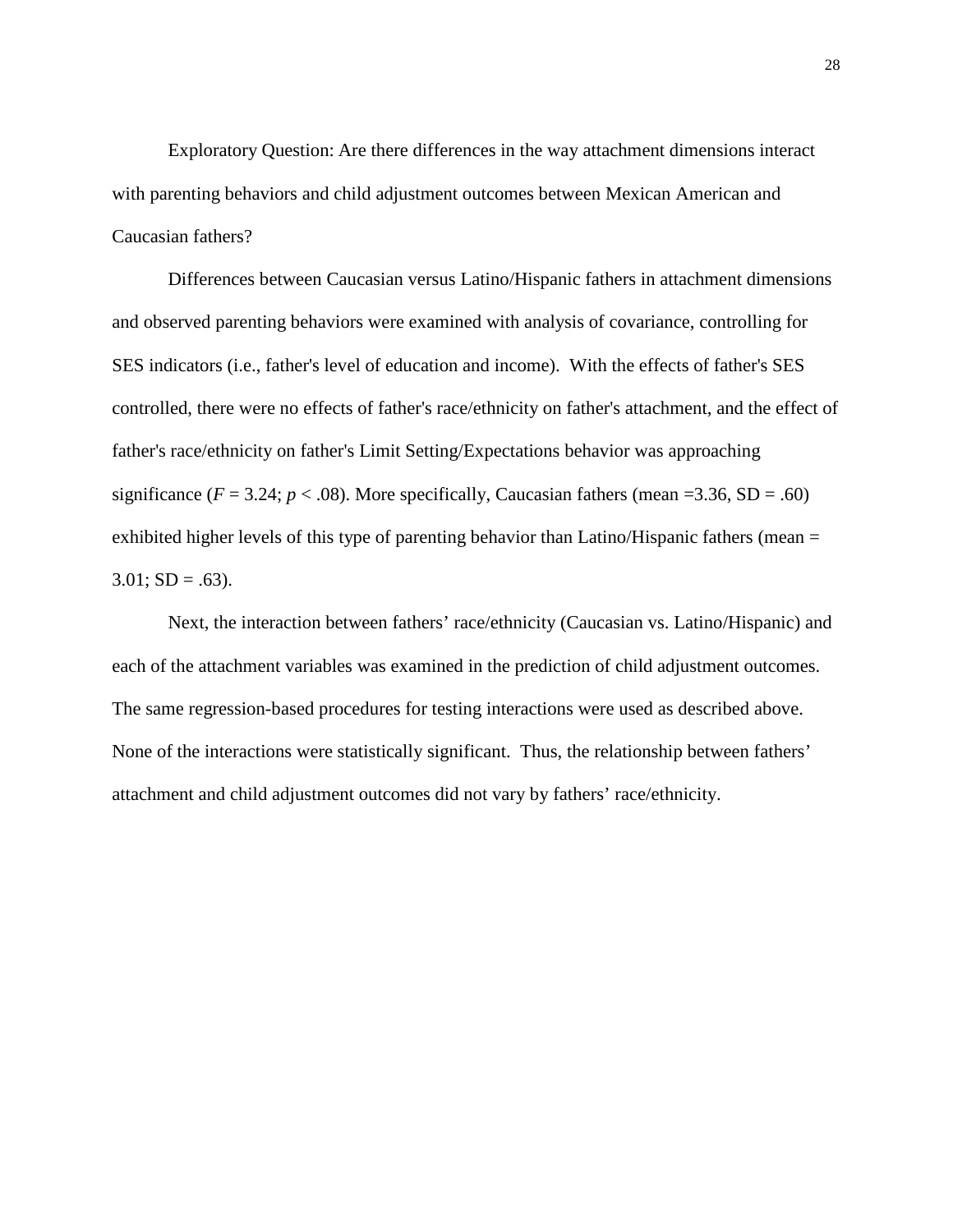Exploratory Question: Are there differences in the way attachment dimensions interact with parenting behaviors and child adjustment outcomes between Mexican American and Caucasian fathers?

Differences between Caucasian versus Latino/Hispanic fathers in attachment dimensions and observed parenting behaviors were examined with analysis of covariance, controlling for SES indicators (i.e., father's level of education and income). With the effects of father's SES controlled, there were no effects of father's race/ethnicity on father's attachment, and the effect of father's race/ethnicity on father's Limit Setting/Expectations behavior was approaching significance ( $F = 3.24$ ;  $p < .08$ ). More specifically, Caucasian fathers (mean =3.36, SD = .60) exhibited higher levels of this type of parenting behavior than Latino/Hispanic fathers (mean =  $3.01$ ; SD = .63).

Next, the interaction between fathers' race/ethnicity (Caucasian vs. Latino/Hispanic) and each of the attachment variables was examined in the prediction of child adjustment outcomes. The same regression-based procedures for testing interactions were used as described above. None of the interactions were statistically significant. Thus, the relationship between fathers' attachment and child adjustment outcomes did not vary by fathers' race/ethnicity.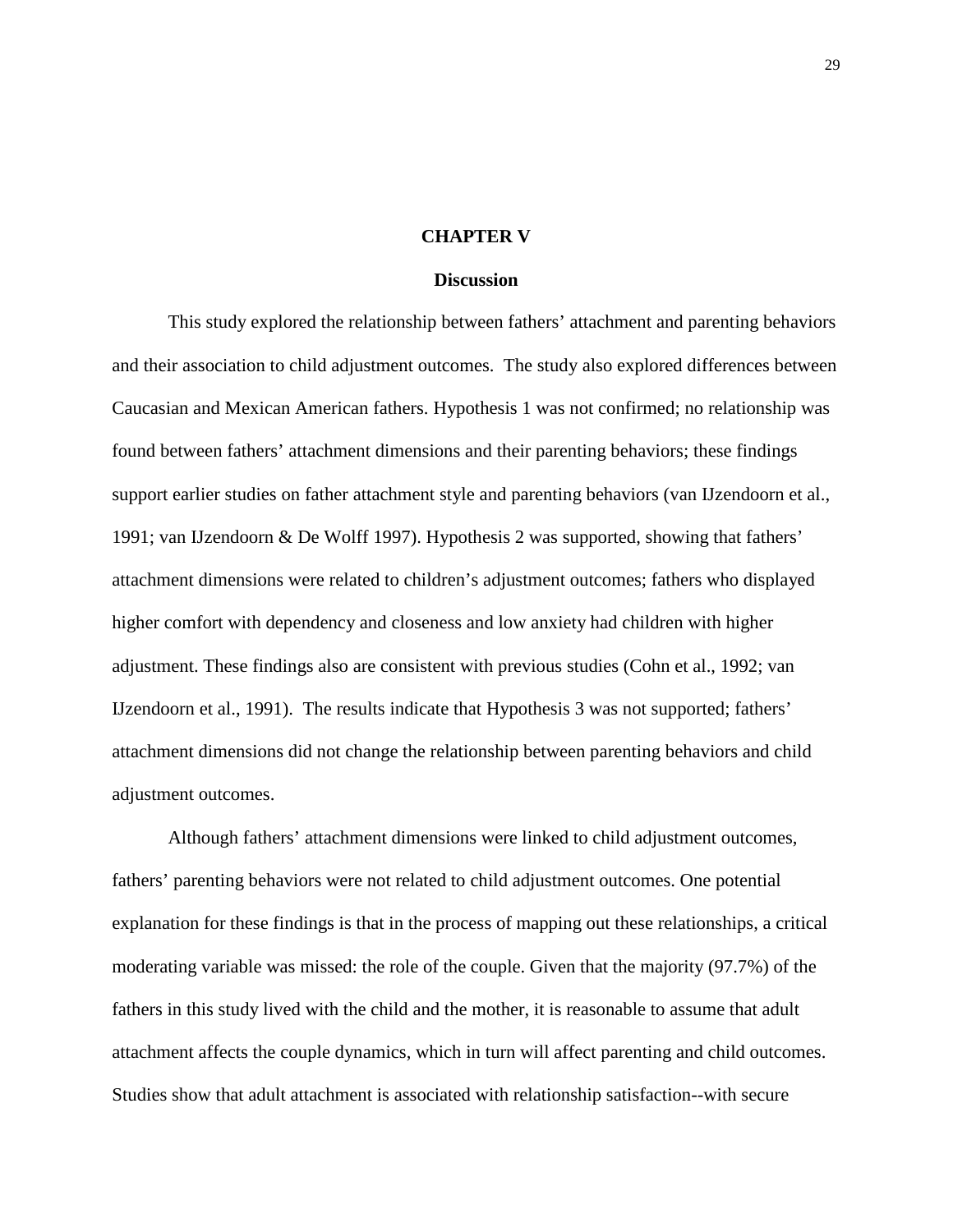#### **CHAPTER V**

#### **Discussion**

This study explored the relationship between fathers' attachment and parenting behaviors and their association to child adjustment outcomes. The study also explored differences between Caucasian and Mexican American fathers. Hypothesis 1 was not confirmed; no relationship was found between fathers' attachment dimensions and their parenting behaviors; these findings support earlier studies on father attachment style and parenting behaviors (van IJzendoorn et al., 1991; van IJzendoorn & De Wolff 1997). Hypothesis 2 was supported, showing that fathers' attachment dimensions were related to children's adjustment outcomes; fathers who displayed higher comfort with dependency and closeness and low anxiety had children with higher adjustment. These findings also are consistent with previous studies (Cohn et al., 1992; van IJzendoorn et al., 1991). The results indicate that Hypothesis 3 was not supported; fathers' attachment dimensions did not change the relationship between parenting behaviors and child adjustment outcomes.

Although fathers' attachment dimensions were linked to child adjustment outcomes, fathers' parenting behaviors were not related to child adjustment outcomes. One potential explanation for these findings is that in the process of mapping out these relationships, a critical moderating variable was missed: the role of the couple. Given that the majority (97.7%) of the fathers in this study lived with the child and the mother, it is reasonable to assume that adult attachment affects the couple dynamics, which in turn will affect parenting and child outcomes. Studies show that adult attachment is associated with relationship satisfaction--with secure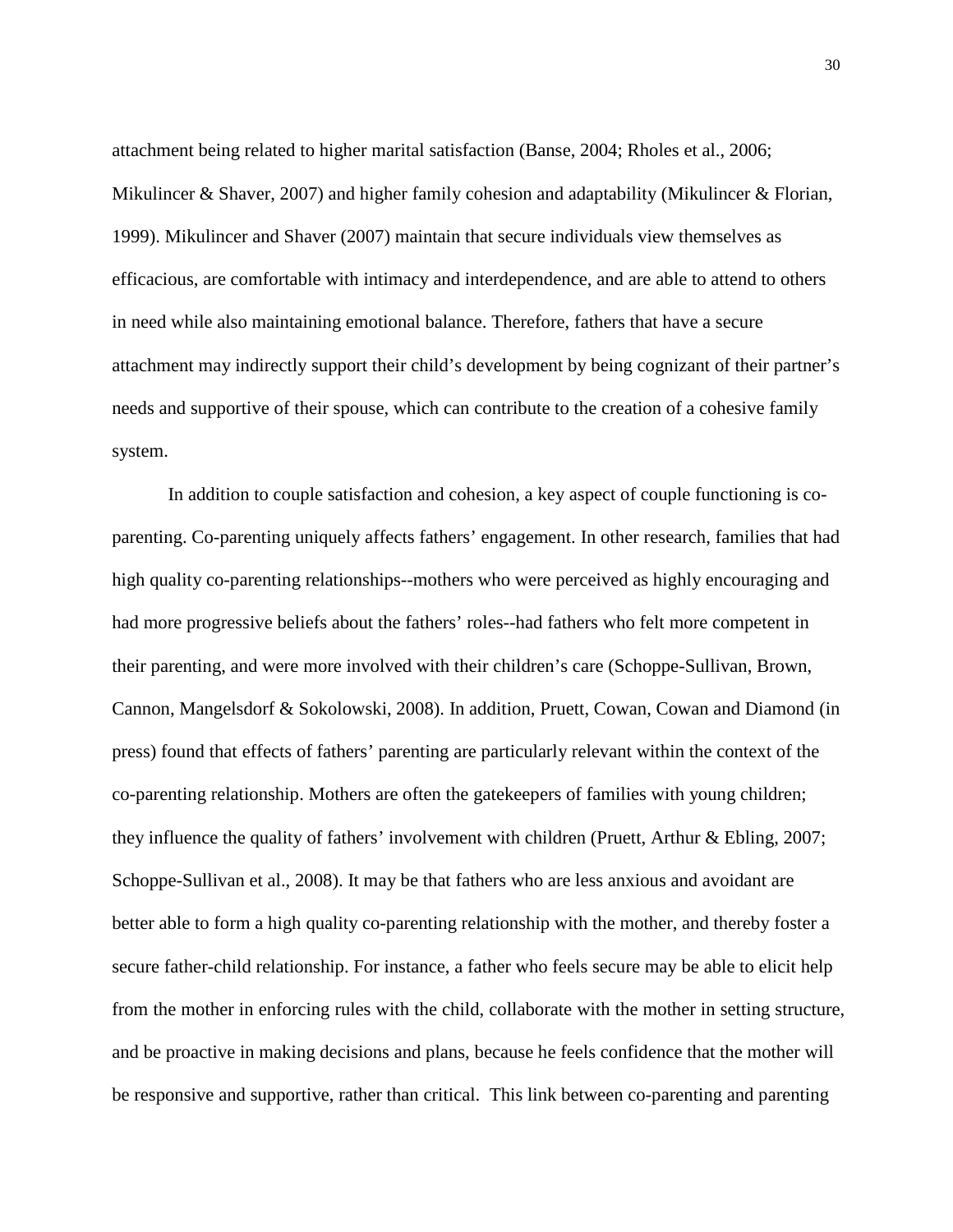attachment being related to higher marital satisfaction (Banse, 2004; Rholes et al., 2006; Mikulincer & Shaver, 2007) and higher family cohesion and adaptability (Mikulincer & Florian, 1999). Mikulincer and Shaver (2007) maintain that secure individuals view themselves as efficacious, are comfortable with intimacy and interdependence, and are able to attend to others in need while also maintaining emotional balance. Therefore, fathers that have a secure attachment may indirectly support their child's development by being cognizant of their partner's needs and supportive of their spouse, which can contribute to the creation of a cohesive family system.

In addition to couple satisfaction and cohesion, a key aspect of couple functioning is coparenting. Co-parenting uniquely affects fathers' engagement. In other research, families that had high quality co-parenting relationships--mothers who were perceived as highly encouraging and had more progressive beliefs about the fathers' roles--had fathers who felt more competent in their parenting, and were more involved with their children's care (Schoppe-Sullivan, Brown, Cannon, Mangelsdorf & Sokolowski, 2008). In addition, Pruett, Cowan, Cowan and Diamond (in press) found that effects of fathers' parenting are particularly relevant within the context of the co-parenting relationship. Mothers are often the gatekeepers of families with young children; they influence the quality of fathers' involvement with children (Pruett, Arthur & Ebling, 2007; Schoppe-Sullivan et al., 2008). It may be that fathers who are less anxious and avoidant are better able to form a high quality co-parenting relationship with the mother, and thereby foster a secure father-child relationship. For instance, a father who feels secure may be able to elicit help from the mother in enforcing rules with the child, collaborate with the mother in setting structure, and be proactive in making decisions and plans, because he feels confidence that the mother will be responsive and supportive, rather than critical. This link between co-parenting and parenting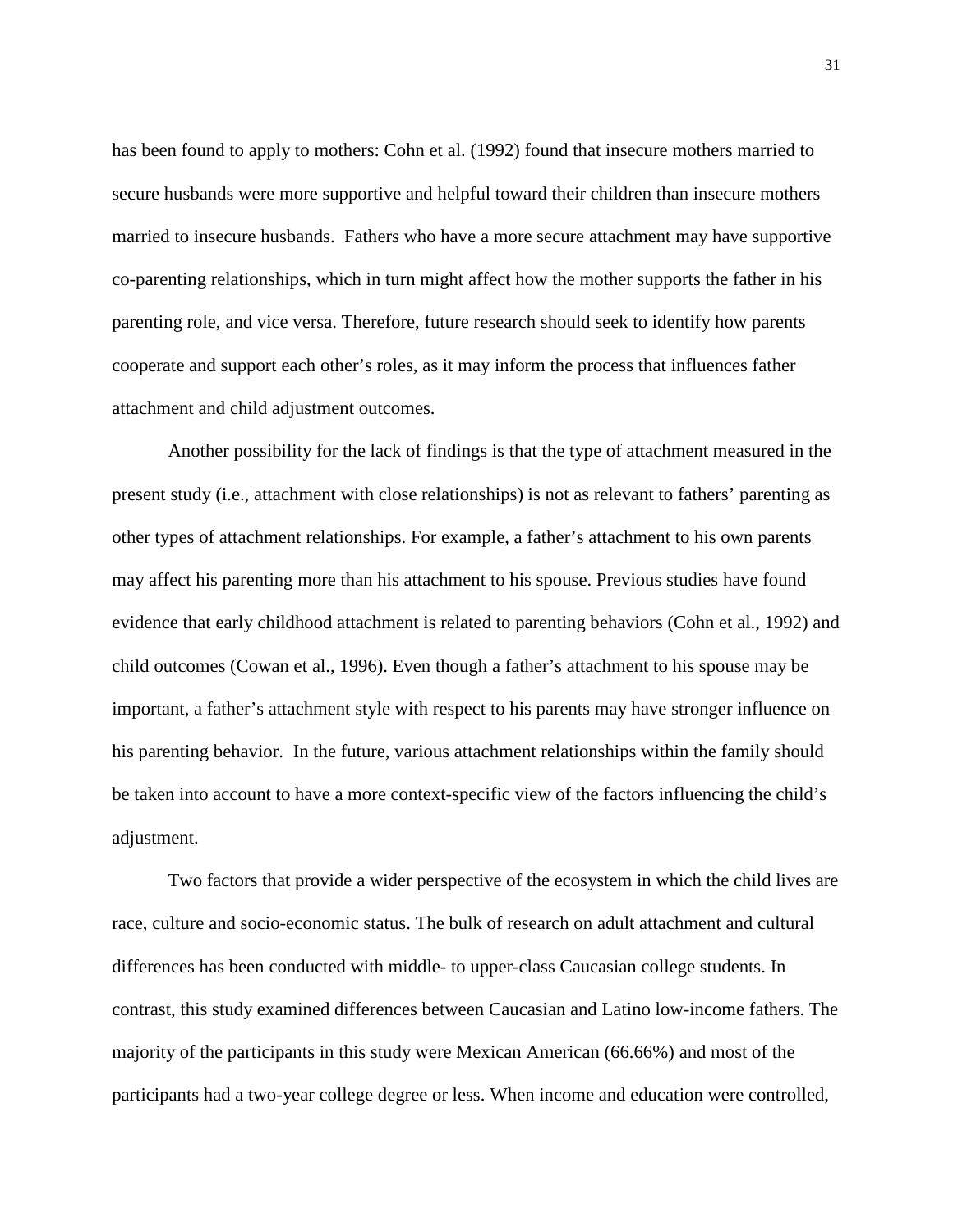has been found to apply to mothers: Cohn et al. (1992) found that insecure mothers married to secure husbands were more supportive and helpful toward their children than insecure mothers married to insecure husbands. Fathers who have a more secure attachment may have supportive co-parenting relationships, which in turn might affect how the mother supports the father in his parenting role, and vice versa. Therefore, future research should seek to identify how parents cooperate and support each other's roles, as it may inform the process that influences father attachment and child adjustment outcomes.

Another possibility for the lack of findings is that the type of attachment measured in the present study (i.e., attachment with close relationships) is not as relevant to fathers' parenting as other types of attachment relationships. For example, a father's attachment to his own parents may affect his parenting more than his attachment to his spouse. Previous studies have found evidence that early childhood attachment is related to parenting behaviors (Cohn et al., 1992) and child outcomes (Cowan et al., 1996). Even though a father's attachment to his spouse may be important, a father's attachment style with respect to his parents may have stronger influence on his parenting behavior. In the future, various attachment relationships within the family should be taken into account to have a more context-specific view of the factors influencing the child's adjustment.

Two factors that provide a wider perspective of the ecosystem in which the child lives are race, culture and socio-economic status. The bulk of research on adult attachment and cultural differences has been conducted with middle- to upper-class Caucasian college students. In contrast, this study examined differences between Caucasian and Latino low-income fathers. The majority of the participants in this study were Mexican American (66.66%) and most of the participants had a two-year college degree or less. When income and education were controlled,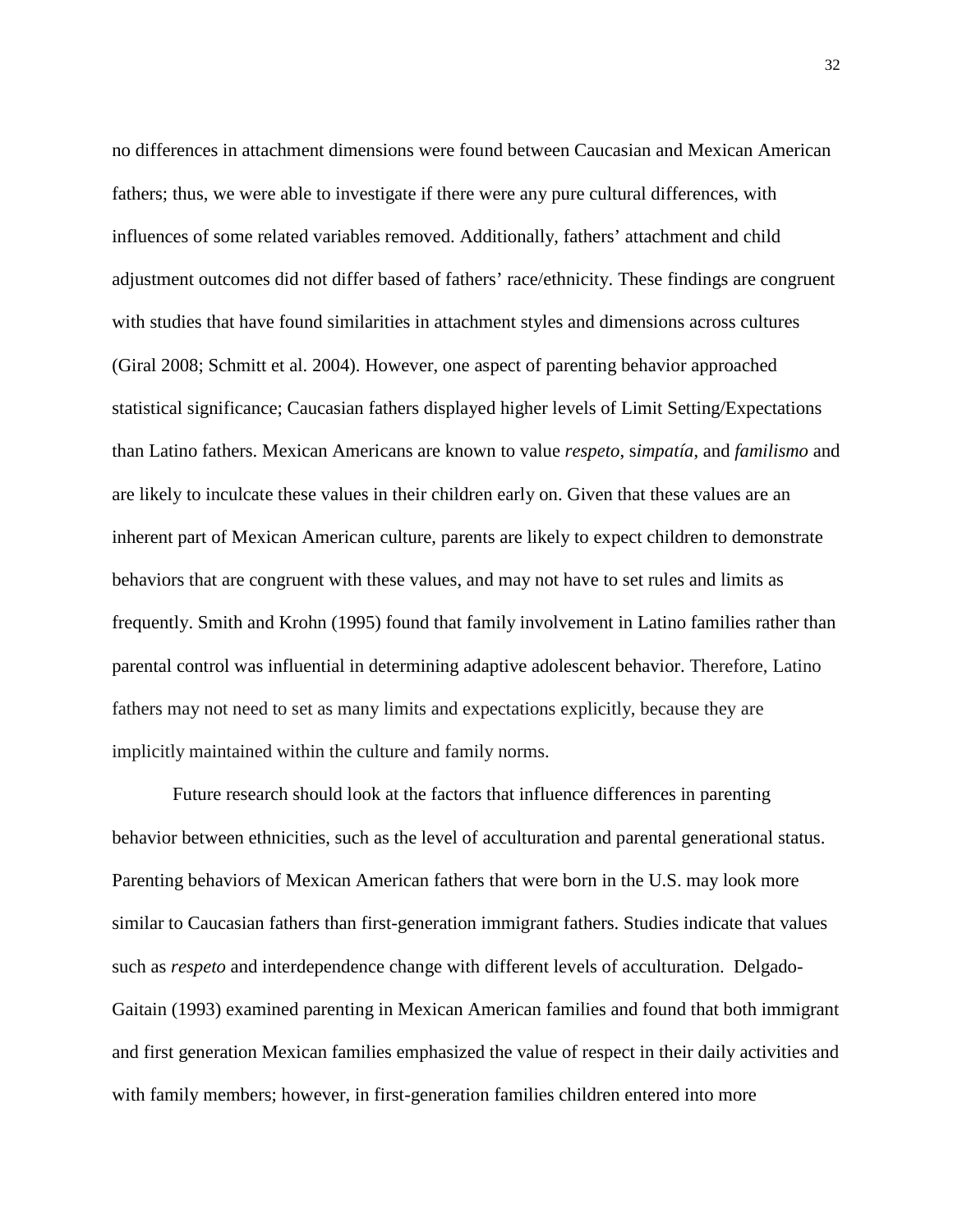no differences in attachment dimensions were found between Caucasian and Mexican American fathers; thus, we were able to investigate if there were any pure cultural differences, with influences of some related variables removed. Additionally, fathers' attachment and child adjustment outcomes did not differ based of fathers' race/ethnicity. These findings are congruent with studies that have found similarities in attachment styles and dimensions across cultures (Giral 2008; Schmitt et al. 2004). However, one aspect of parenting behavior approached statistical significance; Caucasian fathers displayed higher levels of Limit Setting/Expectations than Latino fathers. Mexican Americans are known to value *respeto*, s*impatía*, and *familismo* and are likely to inculcate these values in their children early on. Given that these values are an inherent part of Mexican American culture, parents are likely to expect children to demonstrate behaviors that are congruent with these values, and may not have to set rules and limits as frequently. Smith and Krohn (1995) found that family involvement in Latino families rather than parental control was influential in determining adaptive adolescent behavior. Therefore, Latino fathers may not need to set as many limits and expectations explicitly, because they are implicitly maintained within the culture and family norms.

Future research should look at the factors that influence differences in parenting behavior between ethnicities, such as the level of acculturation and parental generational status. Parenting behaviors of Mexican American fathers that were born in the U.S. may look more similar to Caucasian fathers than first-generation immigrant fathers. Studies indicate that values such as *respeto* and interdependence change with different levels of acculturation. Delgado-Gaitain (1993) examined parenting in Mexican American families and found that both immigrant and first generation Mexican families emphasized the value of respect in their daily activities and with family members; however, in first-generation families children entered into more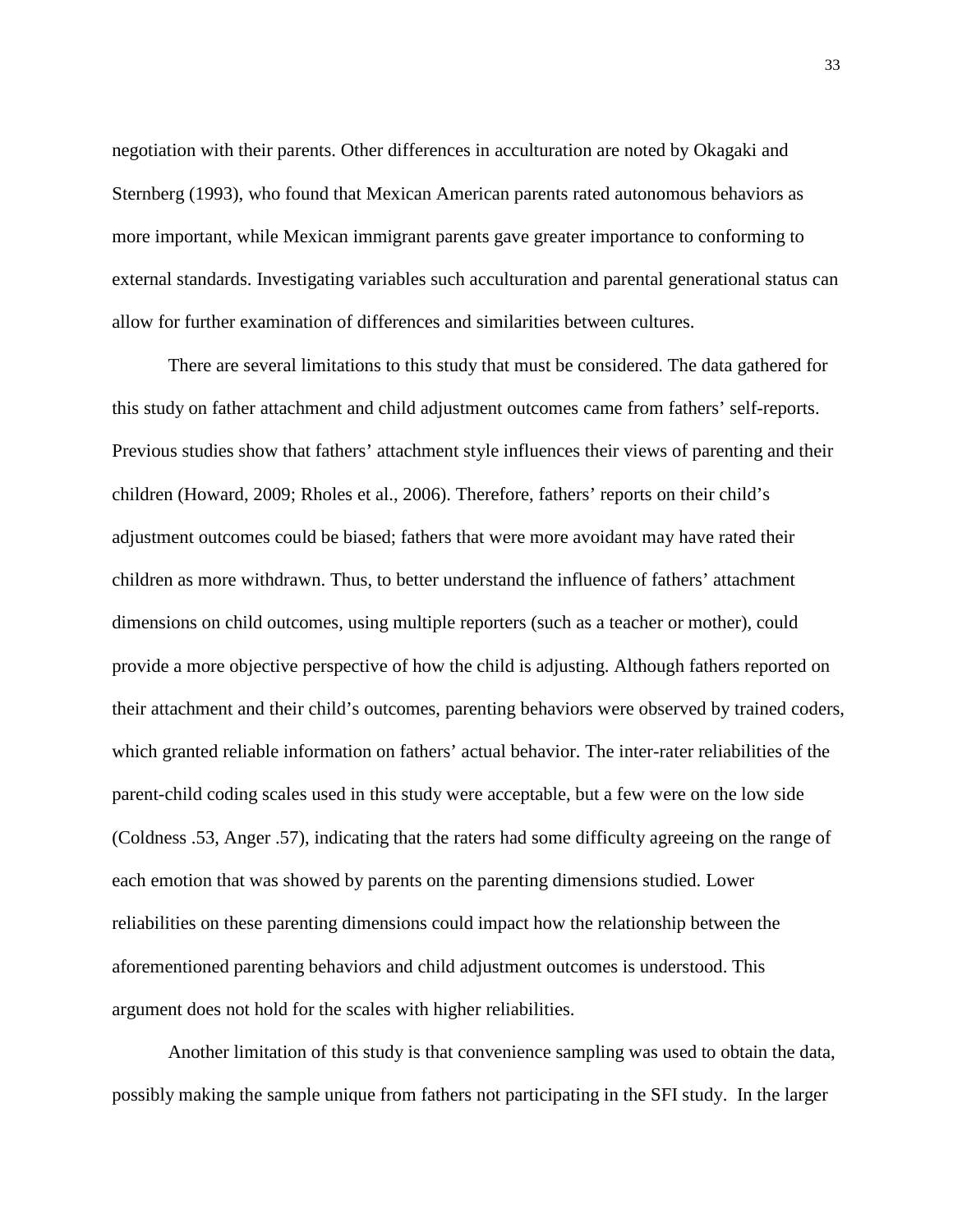negotiation with their parents. Other differences in acculturation are noted by Okagaki and Sternberg (1993), who found that Mexican American parents rated autonomous behaviors as more important, while Mexican immigrant parents gave greater importance to conforming to external standards. Investigating variables such acculturation and parental generational status can allow for further examination of differences and similarities between cultures.

There are several limitations to this study that must be considered. The data gathered for this study on father attachment and child adjustment outcomes came from fathers' self-reports. Previous studies show that fathers' attachment style influences their views of parenting and their children (Howard, 2009; Rholes et al., 2006). Therefore, fathers' reports on their child's adjustment outcomes could be biased; fathers that were more avoidant may have rated their children as more withdrawn. Thus, to better understand the influence of fathers' attachment dimensions on child outcomes, using multiple reporters (such as a teacher or mother), could provide a more objective perspective of how the child is adjusting. Although fathers reported on their attachment and their child's outcomes, parenting behaviors were observed by trained coders, which granted reliable information on fathers' actual behavior. The inter-rater reliabilities of the parent-child coding scales used in this study were acceptable, but a few were on the low side (Coldness .53, Anger .57), indicating that the raters had some difficulty agreeing on the range of each emotion that was showed by parents on the parenting dimensions studied. Lower reliabilities on these parenting dimensions could impact how the relationship between the aforementioned parenting behaviors and child adjustment outcomes is understood. This argument does not hold for the scales with higher reliabilities.

Another limitation of this study is that convenience sampling was used to obtain the data, possibly making the sample unique from fathers not participating in the SFI study. In the larger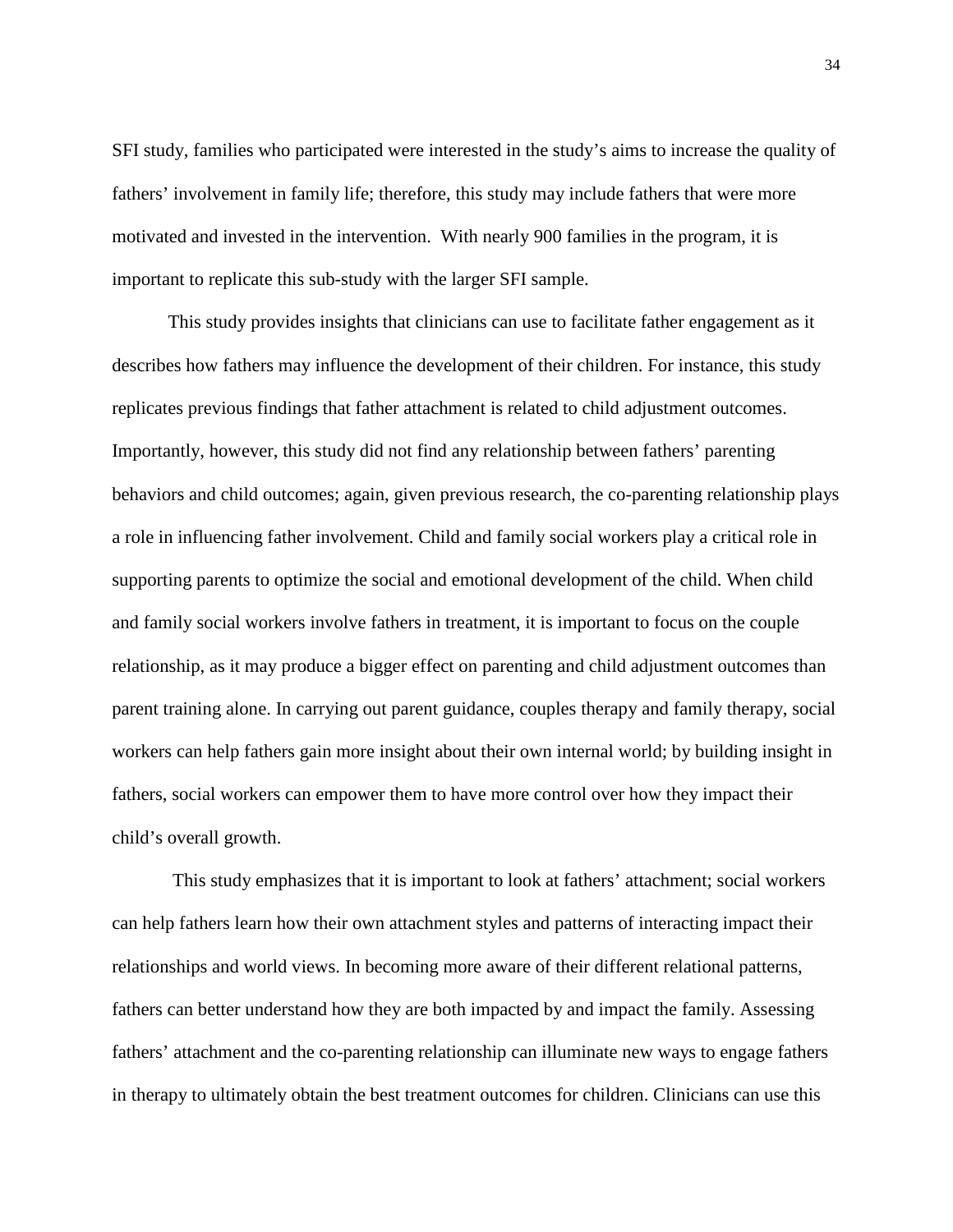SFI study, families who participated were interested in the study's aims to increase the quality of fathers' involvement in family life; therefore, this study may include fathers that were more motivated and invested in the intervention. With nearly 900 families in the program, it is important to replicate this sub-study with the larger SFI sample.

This study provides insights that clinicians can use to facilitate father engagement as it describes how fathers may influence the development of their children. For instance, this study replicates previous findings that father attachment is related to child adjustment outcomes. Importantly, however, this study did not find any relationship between fathers' parenting behaviors and child outcomes; again, given previous research, the co-parenting relationship plays a role in influencing father involvement. Child and family social workers play a critical role in supporting parents to optimize the social and emotional development of the child. When child and family social workers involve fathers in treatment, it is important to focus on the couple relationship, as it may produce a bigger effect on parenting and child adjustment outcomes than parent training alone. In carrying out parent guidance, couples therapy and family therapy, social workers can help fathers gain more insight about their own internal world; by building insight in fathers, social workers can empower them to have more control over how they impact their child's overall growth.

This study emphasizes that it is important to look at fathers' attachment; social workers can help fathers learn how their own attachment styles and patterns of interacting impact their relationships and world views. In becoming more aware of their different relational patterns, fathers can better understand how they are both impacted by and impact the family. Assessing fathers' attachment and the co-parenting relationship can illuminate new ways to engage fathers in therapy to ultimately obtain the best treatment outcomes for children. Clinicians can use this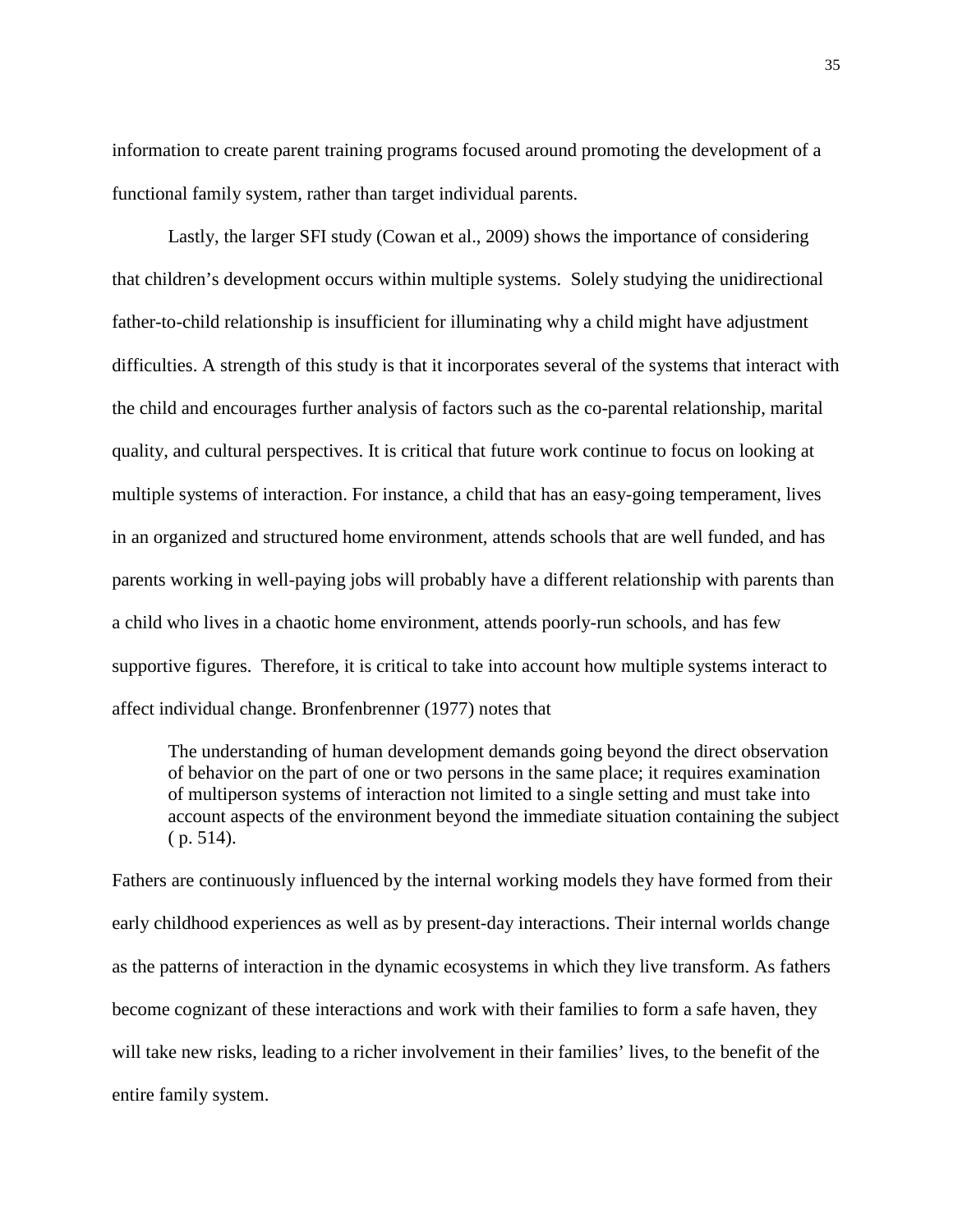information to create parent training programs focused around promoting the development of a functional family system, rather than target individual parents.

Lastly, the larger SFI study (Cowan et al., 2009) shows the importance of considering that children's development occurs within multiple systems. Solely studying the unidirectional father-to-child relationship is insufficient for illuminating why a child might have adjustment difficulties. A strength of this study is that it incorporates several of the systems that interact with the child and encourages further analysis of factors such as the co-parental relationship, marital quality, and cultural perspectives. It is critical that future work continue to focus on looking at multiple systems of interaction. For instance, a child that has an easy-going temperament, lives in an organized and structured home environment, attends schools that are well funded, and has parents working in well-paying jobs will probably have a different relationship with parents than a child who lives in a chaotic home environment, attends poorly-run schools, and has few supportive figures. Therefore, it is critical to take into account how multiple systems interact to affect individual change. Bronfenbrenner (1977) notes that

The understanding of human development demands going beyond the direct observation of behavior on the part of one or two persons in the same place; it requires examination of multiperson systems of interaction not limited to a single setting and must take into account aspects of the environment beyond the immediate situation containing the subject ( p. 514).

Fathers are continuously influenced by the internal working models they have formed from their early childhood experiences as well as by present-day interactions. Their internal worlds change as the patterns of interaction in the dynamic ecosystems in which they live transform. As fathers become cognizant of these interactions and work with their families to form a safe haven, they will take new risks, leading to a richer involvement in their families' lives, to the benefit of the entire family system.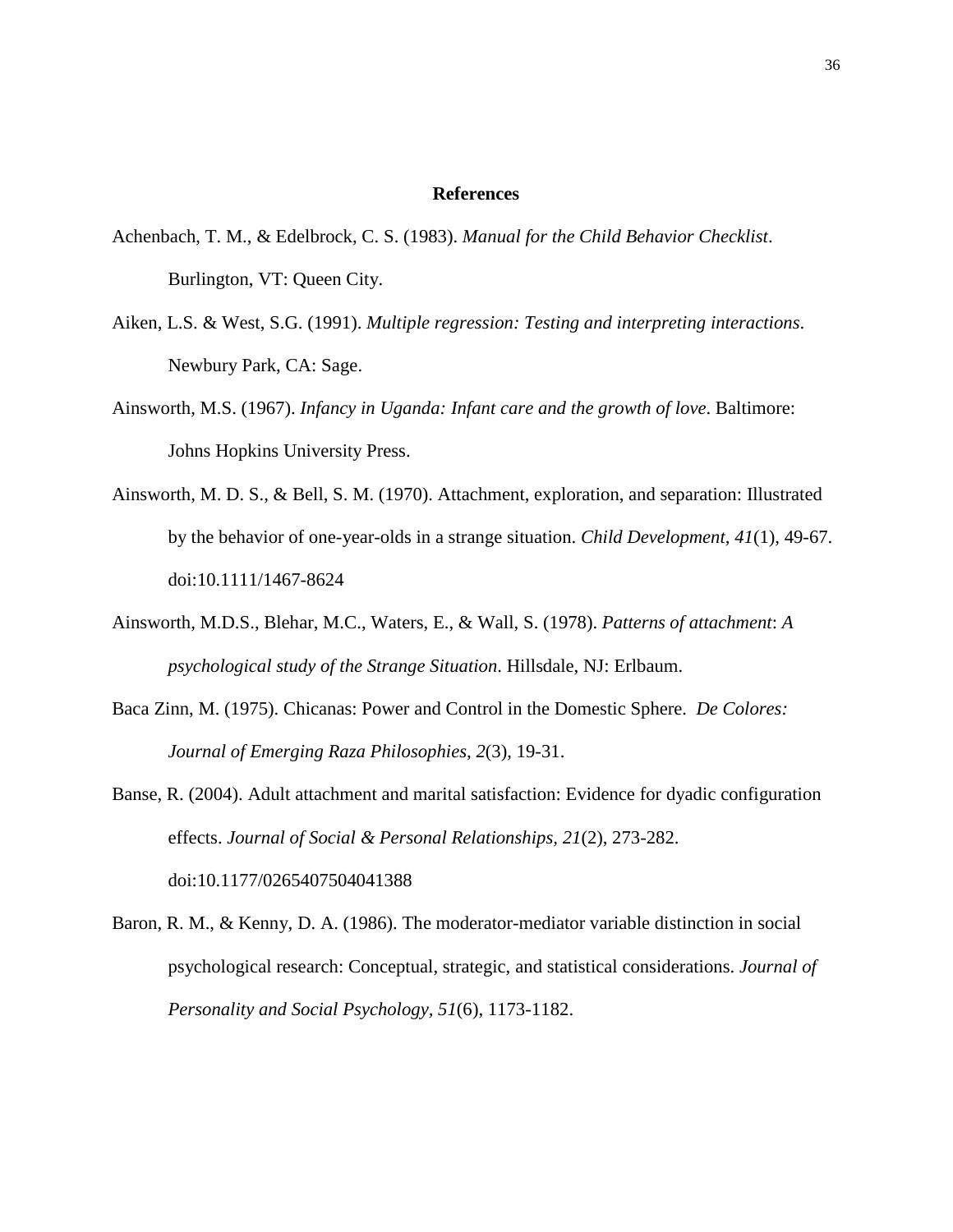#### **References**

- Achenbach, T. M., & Edelbrock, C. S. (1983). *Manual for the Child Behavior Checklist*. Burlington, VT: Queen City.
- Aiken, L.S. & West, S.G. (1991). *Multiple regression: Testing and interpreting interactions*. Newbury Park, CA: Sage.
- Ainsworth, M.S. (1967). *Infancy in Uganda: Infant care and the growth of love*. Baltimore: Johns Hopkins University Press.
- Ainsworth, M. D. S., & Bell, S. M. (1970). Attachment, exploration, and separation: Illustrated by the behavior of one-year-olds in a strange situation. *Child Development, 41*(1), 49-67. doi:10.1111/1467-8624
- Ainsworth, M.D.S., Blehar, M.C., Waters, E., & Wall, S. (1978). *Patterns of attachment*: *A psychological study of the Strange Situation*. Hillsdale, NJ: Erlbaum.
- Baca Zinn, M. (1975). Chicanas: Power and Control in the Domestic Sphere. *De Colores: Journal of Emerging Raza Philosophies, 2*(3), 19-31.
- Banse, R. (2004). Adult attachment and marital satisfaction: Evidence for dyadic configuration effects. *Journal of Social & Personal Relationships, 21*(2), 273-282. doi:10.1177/0265407504041388
- Baron, R. M., & Kenny, D. A. (1986). The moderator-mediator variable distinction in social psychological research: Conceptual, strategic, and statistical considerations. *Journal of Personality and Social Psychology, 51*(6), 1173-1182.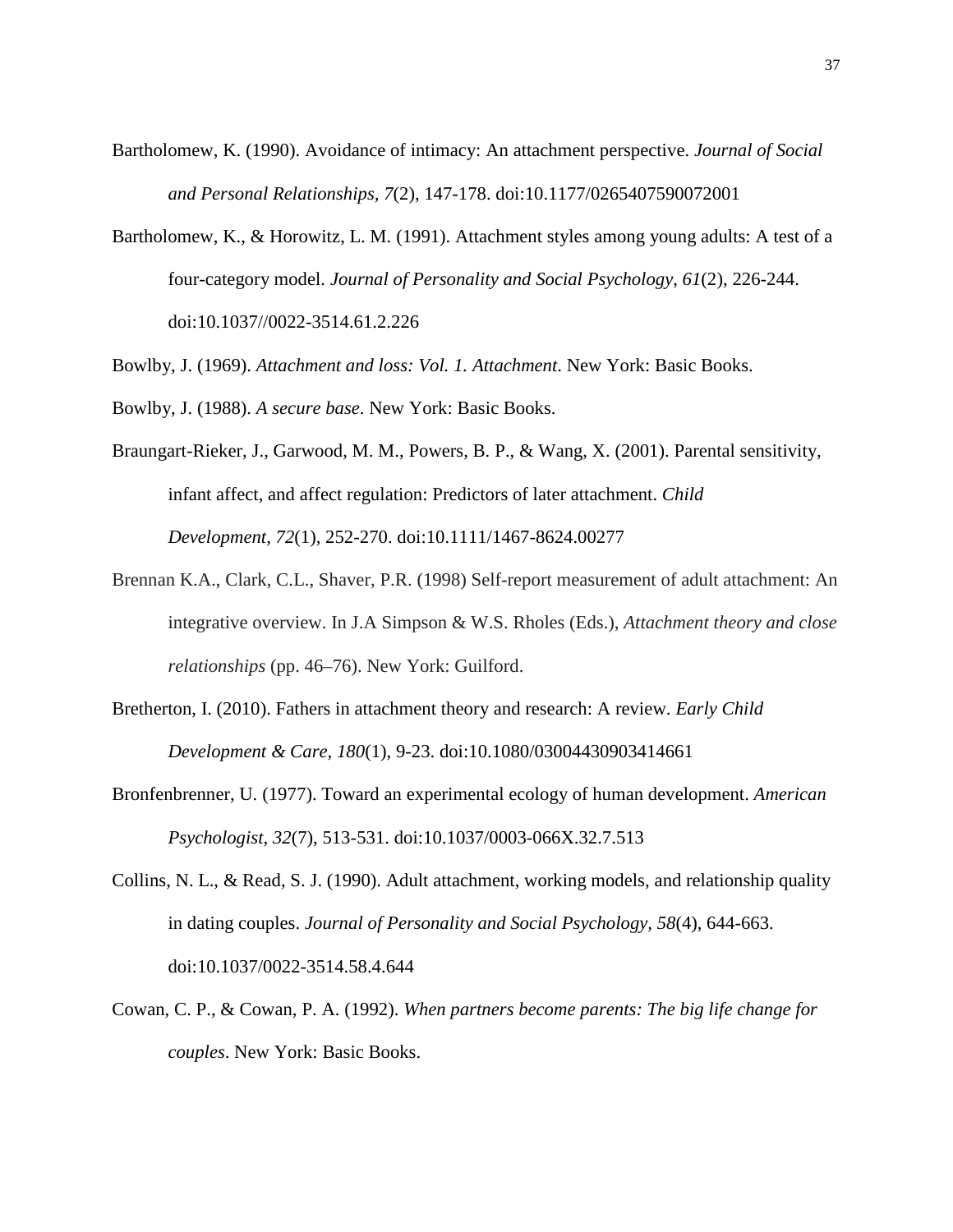- Bartholomew, K. (1990). Avoidance of intimacy: An attachment perspective. *Journal of Social and Personal Relationships, 7*(2), 147-178. doi:10.1177/0265407590072001
- Bartholomew, K., & Horowitz, L. M. (1991). Attachment styles among young adults: A test of a four-category model. *Journal of Personality and Social Psychology*, *61*(2), 226-244. doi:10.1037//0022-3514.61.2.226

Bowlby, J. (1969). *Attachment and loss: Vol. 1. Attachment*. New York: Basic Books.

- Bowlby, J. (1988). *A secure base*. New York: Basic Books.
- Braungart-Rieker, J., Garwood, M. M., Powers, B. P., & Wang, X. (2001). Parental sensitivity, infant affect, and affect regulation: Predictors of later attachment. *Child Development, 72*(1), 252-270. doi:10.1111/1467-8624.00277
- Brennan K.A., Clark, C.L., Shaver, P.R. (1998) Self-report measurement of adult attachment: An integrative overview. In J.A Simpson & W.S. Rholes (Eds.), *Attachment theory and close relationships* (pp. 46–76). New York: Guilford.
- Bretherton, I. (2010). Fathers in attachment theory and research: A review. *Early Child Development & Care, 180*(1), 9-23. doi:10.1080/03004430903414661
- Bronfenbrenner, U. (1977). Toward an experimental ecology of human development. *American Psychologist, 32*(7), 513-531. doi:10.1037/0003-066X.32.7.513
- Collins, N. L., & Read, S. J. (1990). Adult attachment, working models, and relationship quality in dating couples. *Journal of Personality and Social Psychology, 58*(4), 644-663. doi:10.1037/0022-3514.58.4.644
- Cowan, C. P., & Cowan, P. A. (1992). *When partners become parents: The big life change for couples*. New York: Basic Books.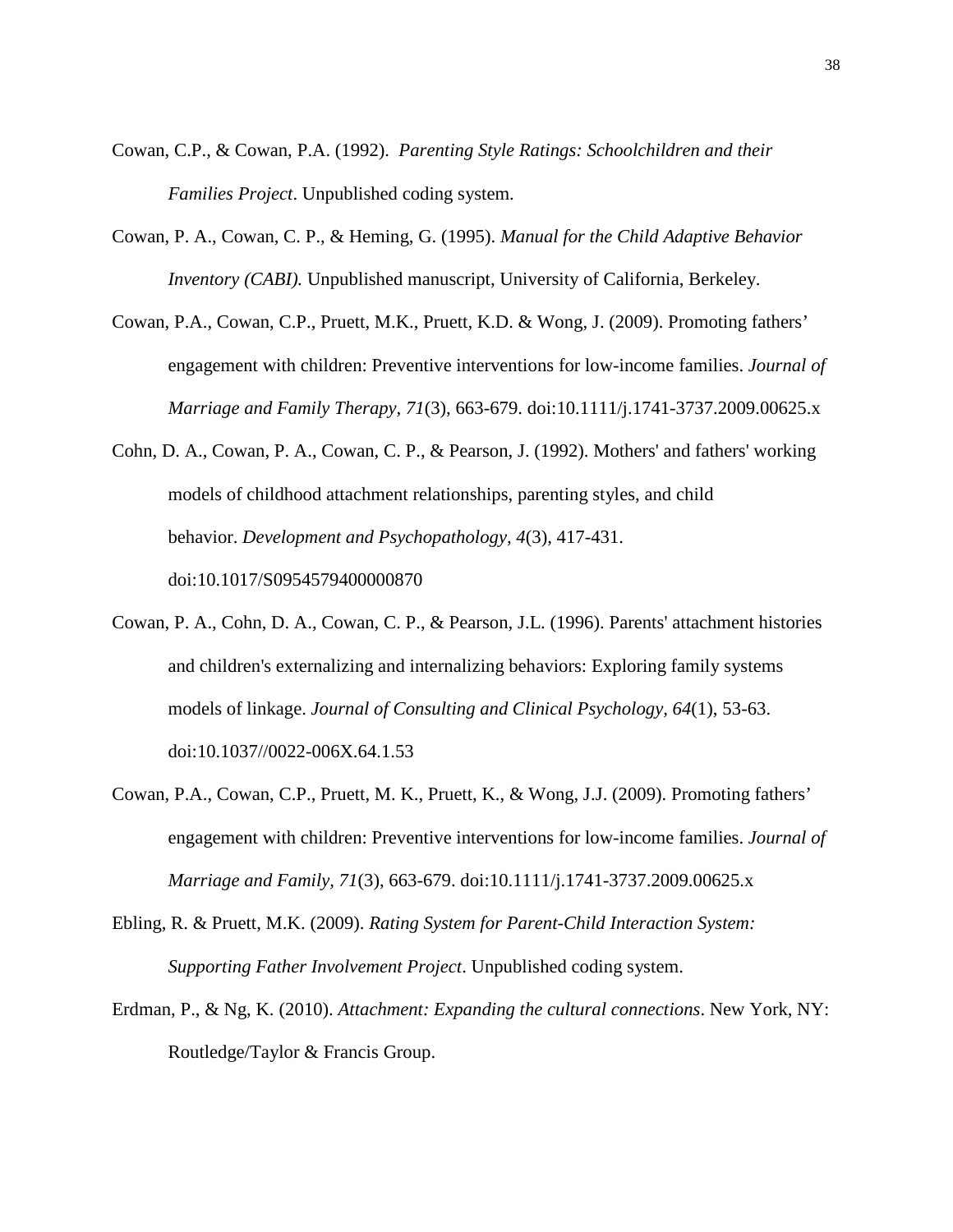- Cowan, C.P., & Cowan, P.A. (1992). *Parenting Style Ratings: Schoolchildren and their Families Project*. Unpublished coding system.
- Cowan, P. A., Cowan, C. P., & Heming, G. (1995). *Manual for the Child Adaptive Behavior Inventory (CABI).* Unpublished manuscript, University of California, Berkeley.
- Cowan, P.A., Cowan, C.P., Pruett, M.K., Pruett, K.D. & Wong, J. (2009). Promoting fathers' engagement with children: Preventive interventions for low-income families. *Journal of Marriage and Family Therapy, 71*(3), 663-679. doi:10.1111/j.1741-3737.2009.00625.x
- Cohn, D. A., Cowan, P. A., Cowan, C. P., & Pearson, J. (1992). Mothers' and fathers' working models of childhood attachment relationships, parenting styles, and child behavior. *Development and Psychopathology, 4*(3), 417-431. doi:10.1017/S0954579400000870
- Cowan, P. A., Cohn, D. A., Cowan, C. P., & Pearson, J.L. (1996). Parents' attachment histories and children's externalizing and internalizing behaviors: Exploring family systems models of linkage. *Journal of Consulting and Clinical Psychology, 64*(1), 53-63. doi:10.1037//0022-006X.64.1.53
- Cowan, P.A., Cowan, C.P., Pruett, M. K., Pruett, K., & Wong, J.J. (2009). Promoting fathers' engagement with children: Preventive interventions for low-income families. *Journal of Marriage and Family, 71*(3), 663-679. doi:10.1111/j.1741-3737.2009.00625.x
- Ebling, R. & Pruett, M.K. (2009). *Rating System for Parent-Child Interaction System: Supporting Father Involvement Project*. Unpublished coding system.
- Erdman, P., & Ng, K. (2010). *Attachment: Expanding the cultural connections*. New York, NY: Routledge/Taylor & Francis Group.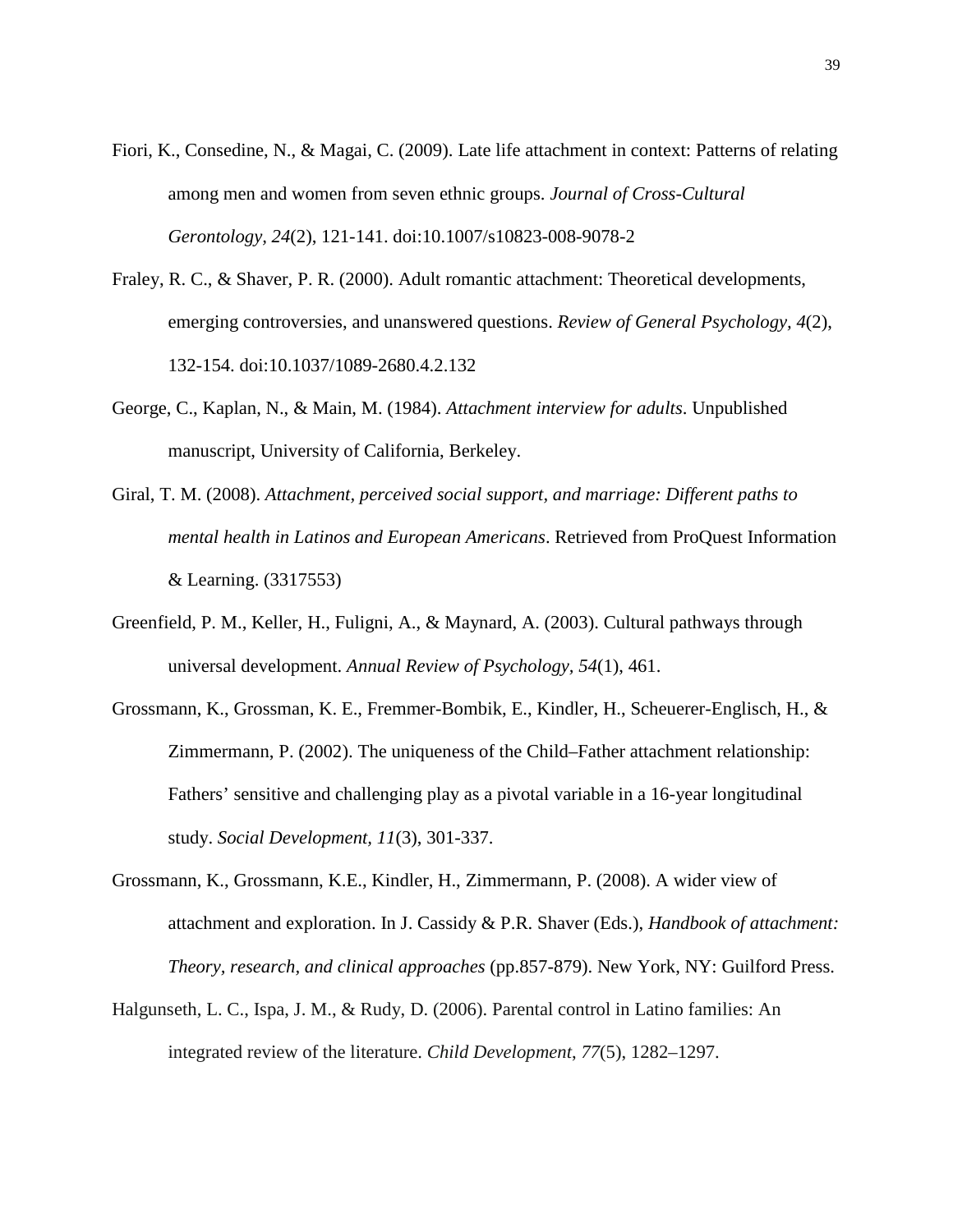- Fiori, K., Consedine, N., & Magai, C. (2009). Late life attachment in context: Patterns of relating among men and women from seven ethnic groups. *Journal of Cross-Cultural Gerontology, 24*(2), 121-141. doi:10.1007/s10823-008-9078-2
- Fraley, R. C., & Shaver, P. R. (2000). Adult romantic attachment: Theoretical developments, emerging controversies, and unanswered questions. *Review of General Psychology, 4*(2), 132-154. doi:10.1037/1089-2680.4.2.132
- George, C., Kaplan, N., & Main, M. (1984). *Attachment interview for adults*. Unpublished manuscript, University of California, Berkeley.
- Giral, T. M. (2008). *Attachment, perceived social support, and marriage: Different paths to mental health in Latinos and European Americans*. Retrieved from ProQuest Information & Learning. (3317553)
- Greenfield, P. M., Keller, H., Fuligni, A., & Maynard, A. (2003). Cultural pathways through universal development. *Annual Review of Psychology, 54*(1), 461.
- Grossmann, K., Grossman, K. E., Fremmer-Bombik, E., Kindler, H., Scheuerer-Englisch, H., & Zimmermann, P. (2002). The uniqueness of the Child–Father attachment relationship: Fathers' sensitive and challenging play as a pivotal variable in a 16-year longitudinal study. *Social Development, 11*(3), 301-337.
- Grossmann, K., Grossmann, K.E., Kindler, H., Zimmermann, P. (2008). A wider view of attachment and exploration. In J. Cassidy & P.R. Shaver (Eds.), *Handbook of attachment: Theory, research, and clinical approaches* (pp.857-879). New York, NY: Guilford Press.
- Halgunseth, L. C., Ispa, J. M., & Rudy, D. (2006). Parental control in Latino families: An integrated review of the literature. *Child Development*, *77*(5), 1282–1297.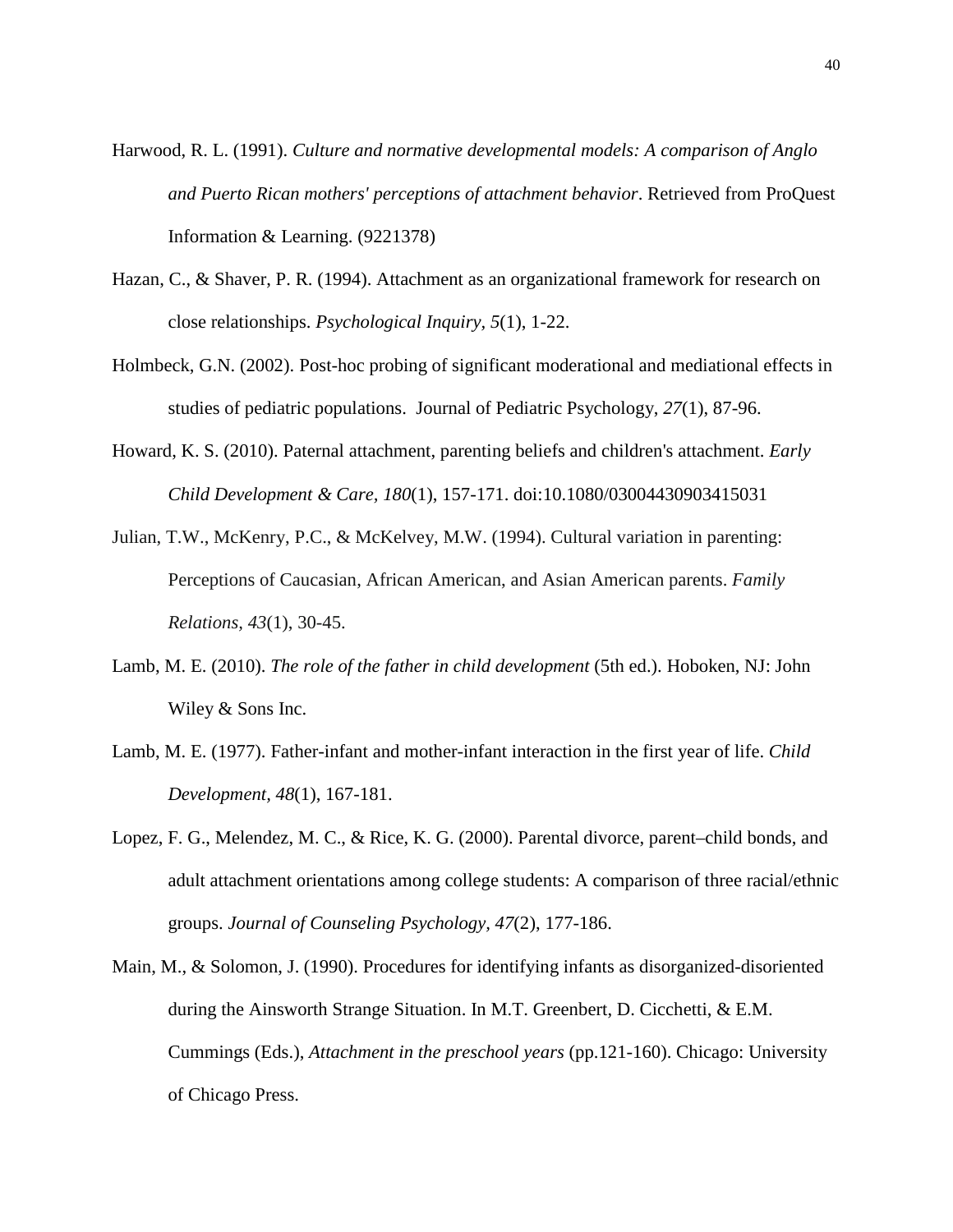- Harwood, R. L. (1991). *Culture and normative developmental models: A comparison of Anglo and Puerto Rican mothers' perceptions of attachment behavior*. Retrieved from ProQuest Information & Learning. (9221378)
- Hazan, C., & Shaver, P. R. (1994). Attachment as an organizational framework for research on close relationships. *Psychological Inquiry, 5*(1), 1-22.
- Holmbeck, G.N. (2002). Post-hoc probing of significant moderational and mediational effects in studies of pediatric populations. Journal of Pediatric Psychology, *27*(1), 87-96.
- Howard, K. S. (2010). Paternal attachment, parenting beliefs and children's attachment. *Early Child Development & Care, 180*(1), 157-171. doi:10.1080/03004430903415031
- Julian, T.W., McKenry, P.C., & McKelvey, M.W. (1994). Cultural variation in parenting: Perceptions of Caucasian, African American, and Asian American parents. *Family Relations, 43*(1), 30-45.
- Lamb, M. E. (2010). *The role of the father in child development* (5th ed.). Hoboken, NJ: John Wiley & Sons Inc.
- Lamb, M. E. (1977). Father-infant and mother-infant interaction in the first year of life. *Child Development, 48*(1), 167-181.
- Lopez, F. G., Melendez, M. C., & Rice, K. G. (2000). Parental divorce, parent–child bonds, and adult attachment orientations among college students: A comparison of three racial/ethnic groups. *Journal of Counseling Psychology, 47*(2), 177-186.
- Main, M., & Solomon, J. (1990). Procedures for identifying infants as disorganized-disoriented during the Ainsworth Strange Situation. In M.T. Greenbert, D. Cicchetti, & E.M. Cummings (Eds.), *Attachment in the preschool years* (pp.121-160). Chicago: University of Chicago Press.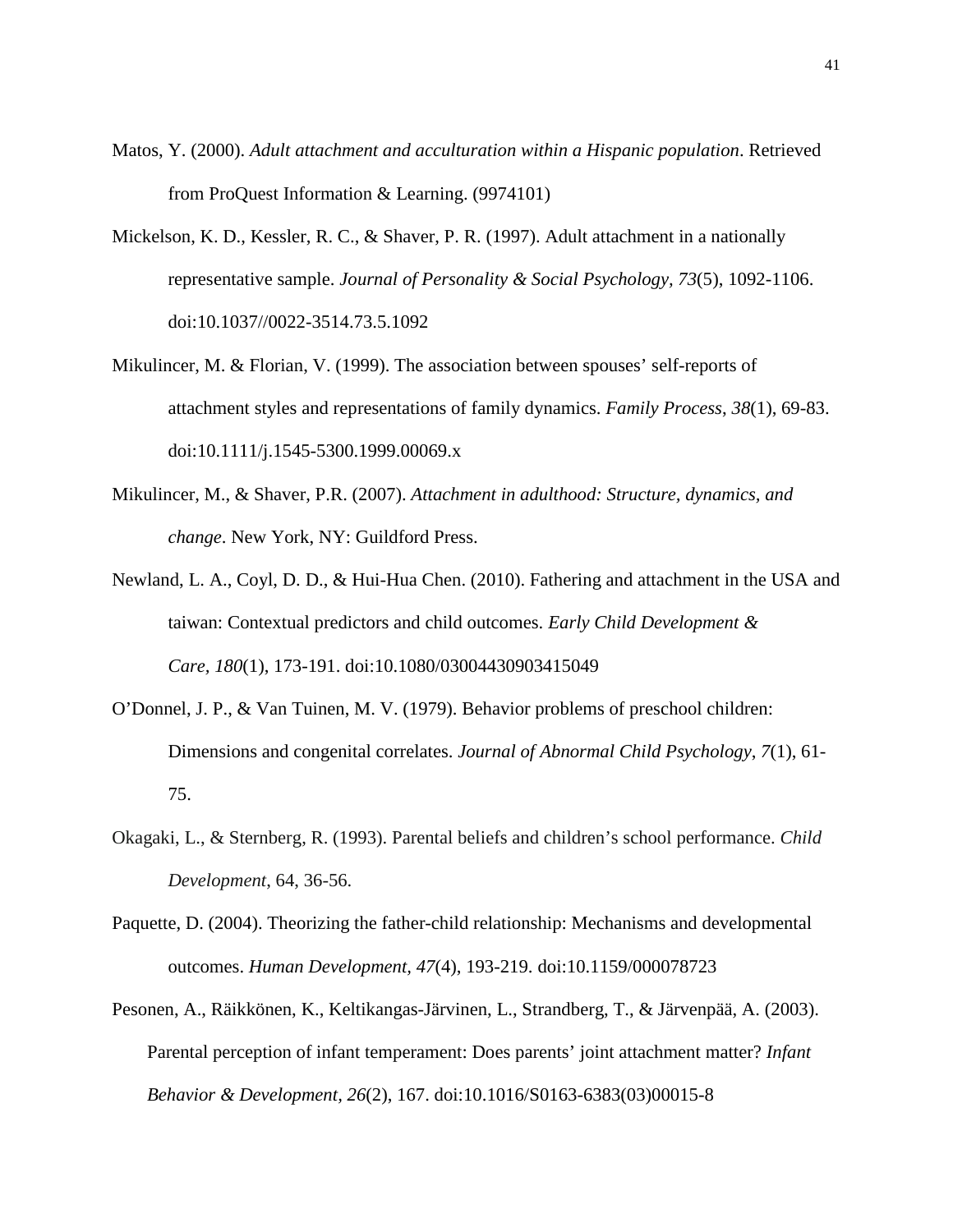- Matos, Y. (2000). *Adult attachment and acculturation within a Hispanic population*. Retrieved from ProQuest Information & Learning. (9974101)
- Mickelson, K. D., Kessler, R. C., & Shaver, P. R. (1997). Adult attachment in a nationally representative sample. *Journal of Personality & Social Psychology, 73*(5), 1092-1106. doi:10.1037//0022-3514.73.5.1092
- Mikulincer, M. & Florian, V. (1999). The association between spouses' self-reports of attachment styles and representations of family dynamics. *Family Process*, *38*(1), 69-83. doi:10.1111/j.1545-5300.1999.00069.x
- Mikulincer, M., & Shaver, P.R. (2007). *Attachment in adulthood: Structure, dynamics, and change*. New York, NY: Guildford Press.
- Newland, L. A., Coyl, D. D., & Hui-Hua Chen. (2010). Fathering and attachment in the USA and taiwan: Contextual predictors and child outcomes. *Early Child Development & Care, 180*(1), 173-191. doi:10.1080/03004430903415049
- O'Donnel, J. P., & Van Tuinen, M. V. (1979). Behavior problems of preschool children: Dimensions and congenital correlates. *Journal of Abnormal Child Psychology*, *7*(1), 61- 75.
- Okagaki, L., & Sternberg, R. (1993). Parental beliefs and children's school performance. *Child Development*, 64, 36-56.
- Paquette, D. (2004). Theorizing the father-child relationship: Mechanisms and developmental outcomes. *Human Development, 47*(4), 193-219. doi:10.1159/000078723
- Pesonen, A., Räikkönen, K., Keltikangas-Järvinen, L., Strandberg, T., & Järvenpää, A. (2003). Parental perception of infant temperament: Does parents' joint attachment matter? *Infant Behavior & Development, 26*(2), 167. doi:10.1016/S0163-6383(03)00015-8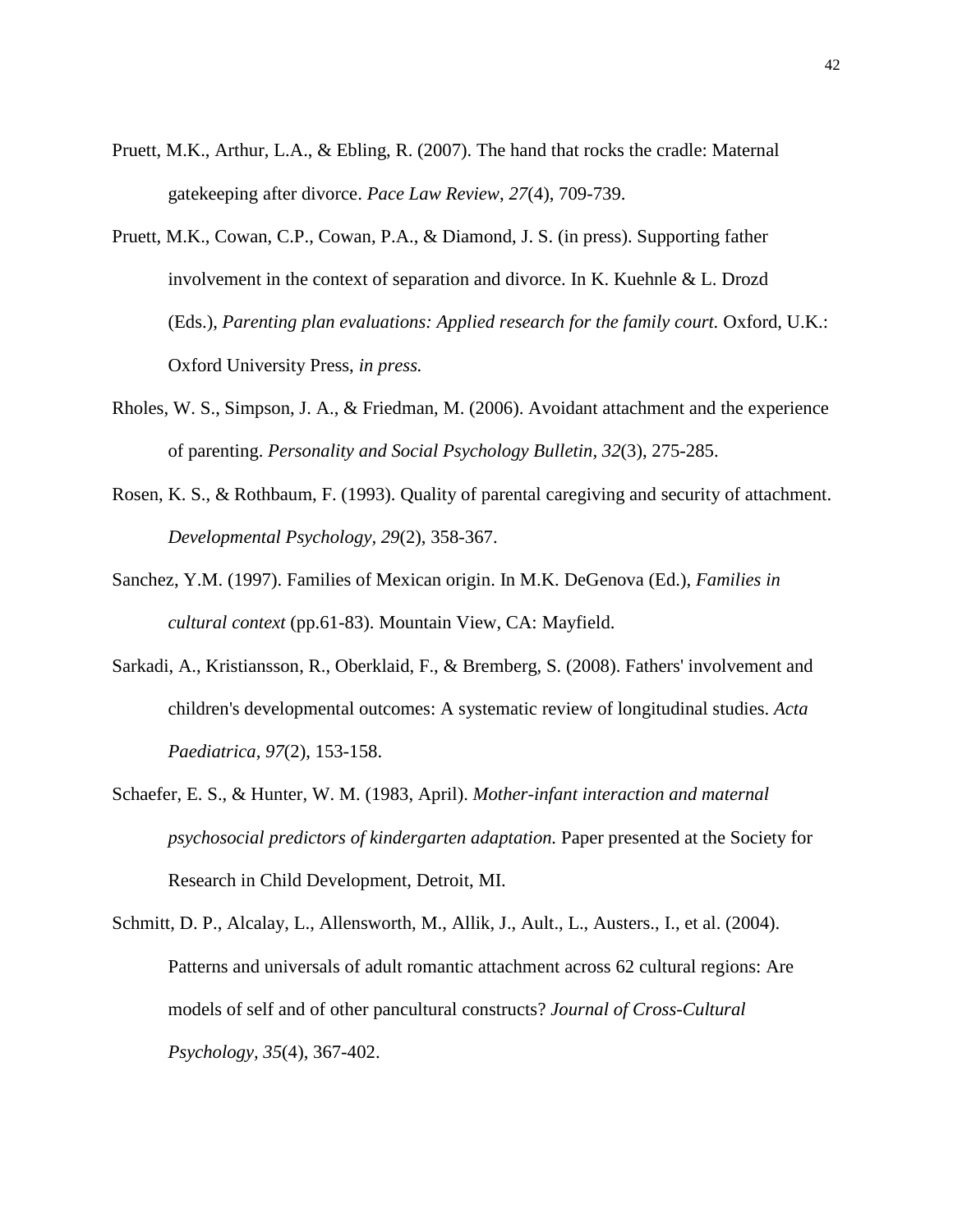- Pruett, M.K., Arthur, L.A., & Ebling, R. (2007). The hand that rocks the cradle: Maternal gatekeeping after divorce. *Pace Law Review*, *27*(4), 709-739.
- Pruett, M.K., Cowan, C.P., Cowan, P.A., & Diamond, J. S. (in press). Supporting father involvement in the context of separation and divorce. In K. Kuehnle & L. Drozd (Eds.), *Parenting plan evaluations: Applied research for the family court.* Oxford, U.K.: Oxford University Press, *in press.*
- Rholes, W. S., Simpson, J. A., & Friedman, M. (2006). Avoidant attachment and the experience of parenting. *Personality and Social Psychology Bulletin, 32*(3), 275-285.
- Rosen, K. S., & Rothbaum, F. (1993). Quality of parental caregiving and security of attachment. *Developmental Psychology, 29*(2), 358-367.
- Sanchez, Y.M. (1997). Families of Mexican origin. In M.K. DeGenova (Ed.), *Families in cultural context* (pp.61-83). Mountain View, CA: Mayfield.
- Sarkadi, A., Kristiansson, R., Oberklaid, F., & Bremberg, S. (2008). Fathers' involvement and children's developmental outcomes: A systematic review of longitudinal studies. *Acta Paediatrica, 97*(2), 153-158.
- Schaefer, E. S., & Hunter, W. M. (1983, April). *Mother-infant interaction and maternal psychosocial predictors of kindergarten adaptation.* Paper presented at the Society for Research in Child Development, Detroit, MI.
- Schmitt, D. P., Alcalay, L., Allensworth, M., Allik, J., Ault., L., Austers., I., et al. (2004). Patterns and universals of adult romantic attachment across 62 cultural regions: Are models of self and of other pancultural constructs? *Journal of Cross-Cultural Psychology, 35*(4), 367-402.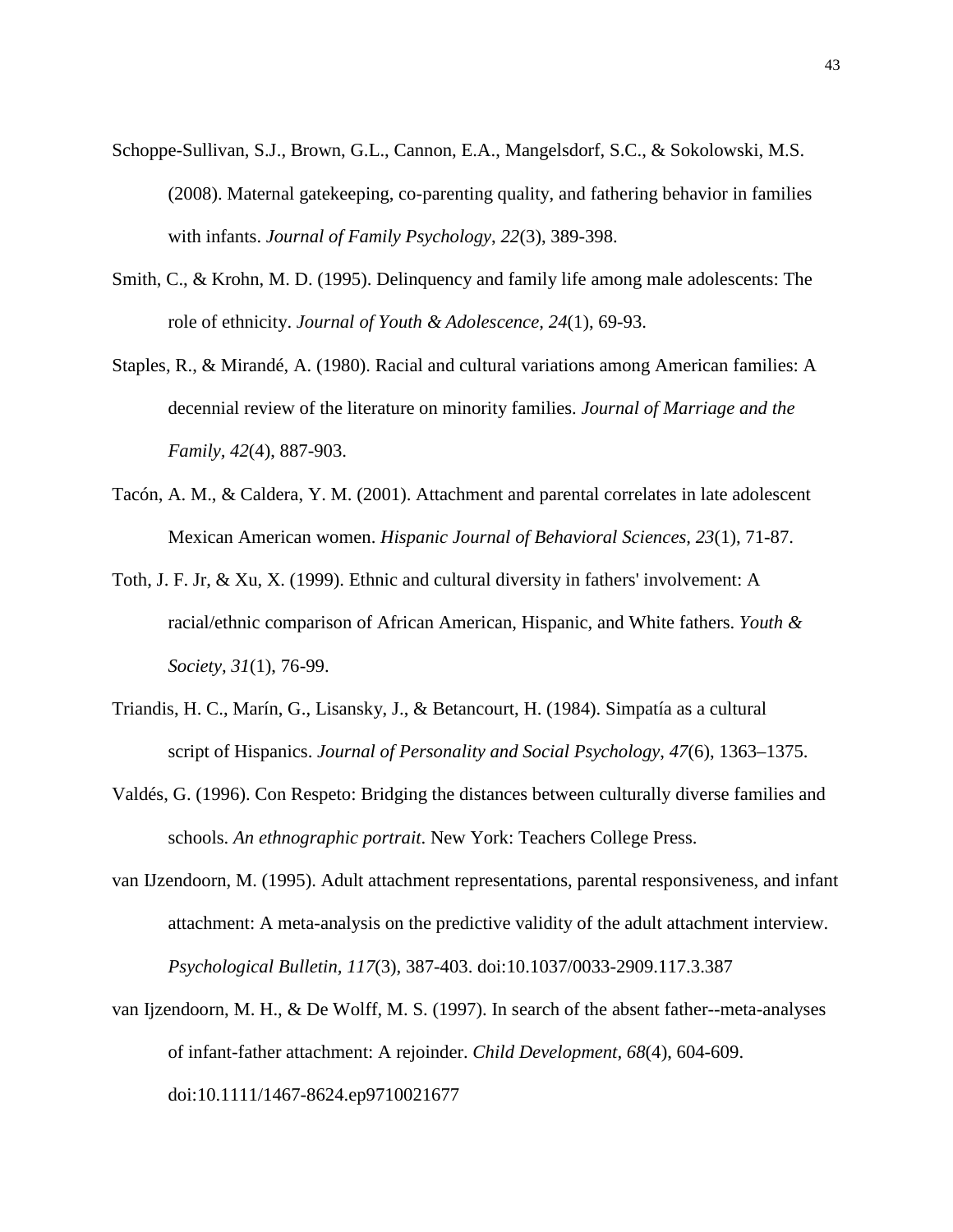- Schoppe-Sullivan, S.J., Brown, G.L., Cannon, E.A., Mangelsdorf, S.C., & Sokolowski, M.S. (2008). Maternal gatekeeping, co-parenting quality, and fathering behavior in families with infants. *Journal of Family Psychology*, *22*(3), 389-398.
- Smith, C., & Krohn, M. D. (1995). Delinquency and family life among male adolescents: The role of ethnicity. *Journal of Youth & Adolescence, 24*(1), 69-93.
- Staples, R., & Mirandé, A. (1980). Racial and cultural variations among American families: A decennial review of the literature on minority families. *Journal of Marriage and the Family, 42*(4), 887-903.
- Tacón, A. M., & Caldera, Y. M. (2001). Attachment and parental correlates in late adolescent Mexican American women. *Hispanic Journal of Behavioral Sciences, 23*(1), 71-87.
- Toth, J. F. Jr, & Xu, X. (1999). Ethnic and cultural diversity in fathers' involvement: A racial/ethnic comparison of African American, Hispanic, and White fathers. *Youth & Society, 31*(1), 76-99.
- Triandis, H. C., Marín, G., Lisansky, J., & Betancourt, H. (1984). Simpatía as a cultural script of Hispanics. *Journal of Personality and Social Psychology*, *47*(6), 1363–1375.
- Valdés, G. (1996). Con Respeto: Bridging the distances between culturally diverse families and schools. *An ethnographic portrait*. New York: Teachers College Press.
- van IJzendoorn, M. (1995). Adult attachment representations, parental responsiveness, and infant attachment: A meta-analysis on the predictive validity of the adult attachment interview. *Psychological Bulletin, 117*(3), 387-403. doi:10.1037/0033-2909.117.3.387
- van Ijzendoorn, M. H., & De Wolff, M. S. (1997). In search of the absent father--meta-analyses of infant-father attachment: A rejoinder. *Child Development, 68*(4), 604-609. doi:10.1111/1467-8624.ep9710021677